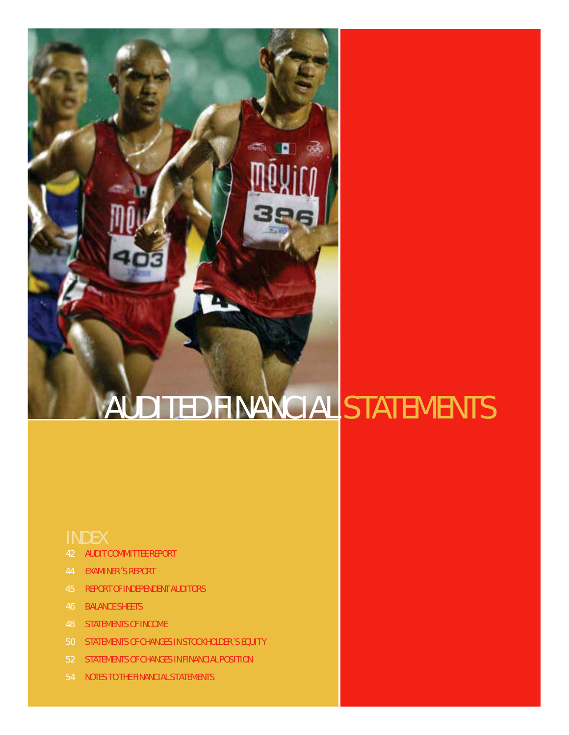# AUDITED FINANCIAL STATEMENTS

## INDEX

- AUDIT COMMITTEE REPORT 42
- EXAMINER´S REPORT 44
- REPORT OF INDEPENDENT AUDITORS
- BALANCE SHEETS
- STATEMENTS OF INCOME
- STATEMENTS OF CHANGES IN STOCKHOLDER 'S EQUITY 50
- STATEMENTS OF CHANGES IN FINANCIAL POSITION 52
- NOTES TO THE FINANCIAL STATEMENTS 54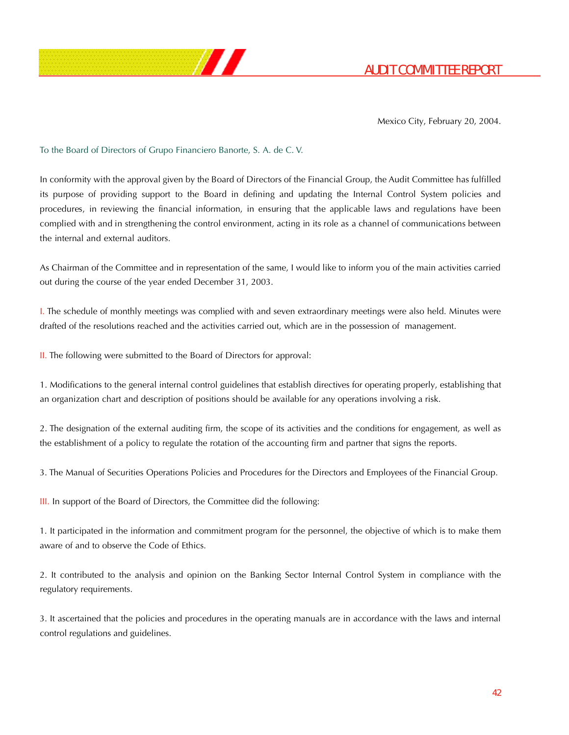

Mexico City, February 20, 2004.

#### To the Board of Directors of Grupo Financiero Banorte, S. A. de C. V.

In conformity with the approval given by the Board of Directors of the Financial Group, the Audit Committee has fulfilled its purpose of providing support to the Board in defining and updating the Internal Control System policies and procedures, in reviewing the financial information, in ensuring that the applicable laws and regulations have been complied with and in strengthening the control environment, acting in its role as a channel of communications between the internal and external auditors.

As Chairman of the Committee and in representation of the same, I would like to inform you of the main activities carried out during the course of the year ended December 31, 2003.

I. The schedule of monthly meetings was complied with and seven extraordinary meetings were also held. Minutes were drafted of the resolutions reached and the activities carried out, which are in the possession of management.

II. The following were submitted to the Board of Directors for approval:

1. Modifications to the general internal control guidelines that establish directives for operating properly, establishing that an organization chart and description of positions should be available for any operations involving a risk.

2. The designation of the external auditing firm, the scope of its activities and the conditions for engagement, as well as the establishment of a policy to regulate the rotation of the accounting firm and partner that signs the reports.

3. The Manual of Securities Operations Policies and Procedures for the Directors and Employees of the Financial Group.

III. In support of the Board of Directors, the Committee did the following:

1. It participated in the information and commitment program for the personnel, the objective of which is to make them aware of and to observe the Code of Ethics.

2. It contributed to the analysis and opinion on the Banking Sector Internal Control System in compliance with the regulatory requirements.

3. It ascertained that the policies and procedures in the operating manuals are in accordance with the laws and internal control regulations and guidelines.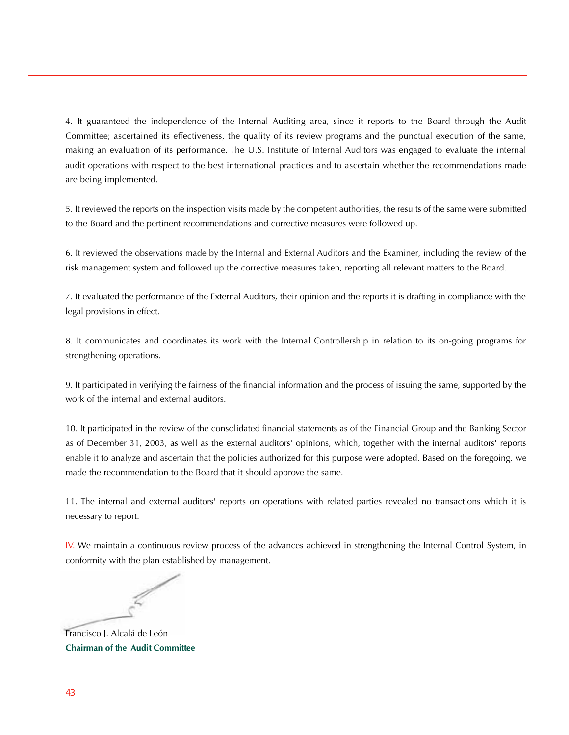4. It guaranteed the independence of the Internal Auditing area, since it reports to the Board through the Audit Committee; ascertained its effectiveness, the quality of its review programs and the punctual execution of the same, making an evaluation of its performance. The U.S. Institute of Internal Auditors was engaged to evaluate the internal audit operations with respect to the best international practices and to ascertain whether the recommendations made are being implemented.

5. It reviewed the reports on the inspection visits made by the competent authorities, the results of the same were submitted to the Board and the pertinent recommendations and corrective measures were followed up.

6. It reviewed the observations made by the Internal and External Auditors and the Examiner, including the review of the risk management system and followed up the corrective measures taken, reporting all relevant matters to the Board.

7. It evaluated the performance of the External Auditors, their opinion and the reports it is drafting in compliance with the legal provisions in effect.

8. It communicates and coordinates its work with the Internal Controllership in relation to its on-going programs for strengthening operations.

9. It participated in verifying the fairness of the financial information and the process of issuing the same, supported by the work of the internal and external auditors.

10. It participated in the review of the consolidated financial statements as of the Financial Group and the Banking Sector as of December 31, 2003, as well as the external auditors' opinions, which, together with the internal auditors' reports enable it to analyze and ascertain that the policies authorized for this purpose were adopted. Based on the foregoing, we made the recommendation to the Board that it should approve the same.

11. The internal and external auditors' reports on operations with related parties revealed no transactions which it is necessary to report.

IV. We maintain a continuous review process of the advances achieved in strengthening the Internal Control System, in conformity with the plan established by management.

Francisco J. Alcalá de León **Chairman of the Audit Committee**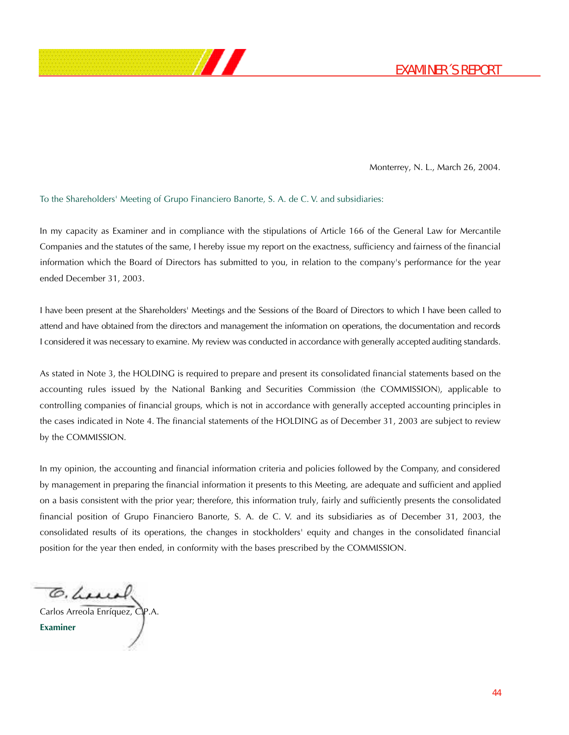Monterrey, N. L., March 26, 2004.

To the Shareholders' Meeting of Grupo Financiero Banorte, S. A. de C. V. and subsidiaries:

In my capacity as Examiner and in compliance with the stipulations of Article 166 of the General Law for Mercantile Companies and the statutes of the same, I hereby issue my report on the exactness, sufficiency and fairness of the financial information which the Board of Directors has submitted to you, in relation to the company's performance for the year ended December 31, 2003.

I have been present at the Shareholders' Meetings and the Sessions of the Board of Directors to which I have been called to attend and have obtained from the directors and management the information on operations, the documentation and records I considered it was necessary to examine. My review was conducted in accordance with generally accepted auditing standards.

As stated in Note 3, the HOLDING is required to prepare and present its consolidated financial statements based on the accounting rules issued by the National Banking and Securities Commission (the COMMISSION), applicable to controlling companies of financial groups, which is not in accordance with generally accepted accounting principles in the cases indicated in Note 4. The financial statements of the HOLDING as of December 31, 2003 are subject to review by the COMMISSION.

In my opinion, the accounting and financial information criteria and policies followed by the Company, and considered by management in preparing the financial information it presents to this Meeting, are adequate and sufficient and applied on a basis consistent with the prior year; therefore, this information truly, fairly and sufficiently presents the consolidated financial position of Grupo Financiero Banorte, S. A. de C. V. and its subsidiaries as of December 31, 2003, the consolidated results of its operations, the changes in stockholders' equity and changes in the consolidated financial position for the year then ended, in conformity with the bases prescribed by the COMMISSION.

G. Luce

Carlos Arreola Enríquez, C.P.A. **Examiner**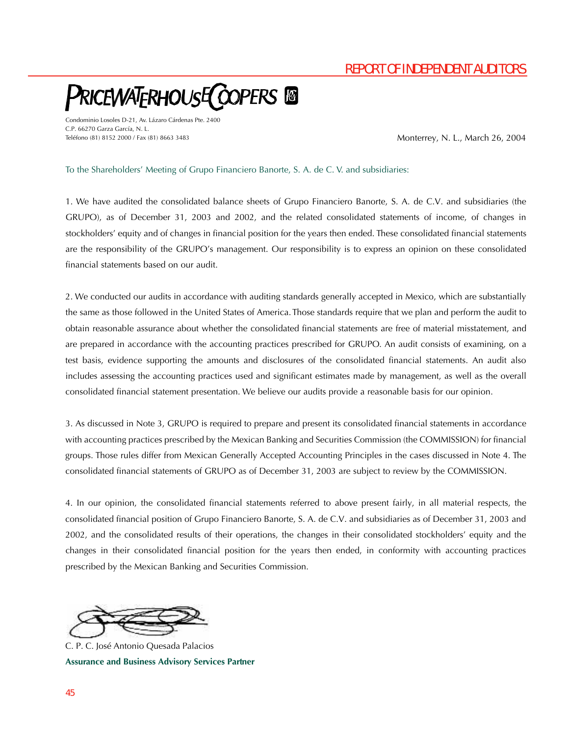## REPORT OF INDEPENDENT AUDITORS

## PRICEWATERHOUSE COPERS ®

Condominio Losoles D-21, Av. Lázaro Cárdenas Pte. 2400 C.P. 66270 Garza García, N. L. Teléfono (81) 8152 2000 / Fax (81) 8663 3483

Monterrey, N. L., March 26, 2004

#### To the Shareholders' Meeting of Grupo Financiero Banorte, S. A. de C. V. and subsidiaries:

1. We have audited the consolidated balance sheets of Grupo Financiero Banorte, S. A. de C.V. and subsidiaries (the GRUPO), as of December 31, 2003 and 2002, and the related consolidated statements of income, of changes in stockholders' equity and of changes in financial position for the years then ended. These consolidated financial statements are the responsibility of the GRUPO's management. Our responsibility is to express an opinion on these consolidated financial statements based on our audit.

2. We conducted our audits in accordance with auditing standards generally accepted in Mexico, which are substantially the same as those followed in the United States of America. Those standards require that we plan and perform the audit to obtain reasonable assurance about whether the consolidated financial statements are free of material misstatement, and are prepared in accordance with the accounting practices prescribed for GRUPO. An audit consists of examining, on a test basis, evidence supporting the amounts and disclosures of the consolidated financial statements. An audit also includes assessing the accounting practices used and significant estimates made by management, as well as the overall consolidated financial statement presentation. We believe our audits provide a reasonable basis for our opinion.

3. As discussed in Note 3, GRUPO is required to prepare and present its consolidated financial statements in accordance with accounting practices prescribed by the Mexican Banking and Securities Commission (the COMMISSION) for financial groups. Those rules differ from Mexican Generally Accepted Accounting Principles in the cases discussed in Note 4. The consolidated financial statements of GRUPO as of December 31, 2003 are subject to review by the COMMISSION.

4. In our opinion, the consolidated financial statements referred to above present fairly, in all material respects, the consolidated financial position of Grupo Financiero Banorte, S. A. de C.V. and subsidiaries as of December 31, 2003 and 2002, and the consolidated results of their operations, the changes in their consolidated stockholders' equity and the changes in their consolidated financial position for the years then ended, in conformity with accounting practices prescribed by the Mexican Banking and Securities Commission.

C. P. C. José Antonio Quesada Palacios **Assurance and Business Advisory Services Partner**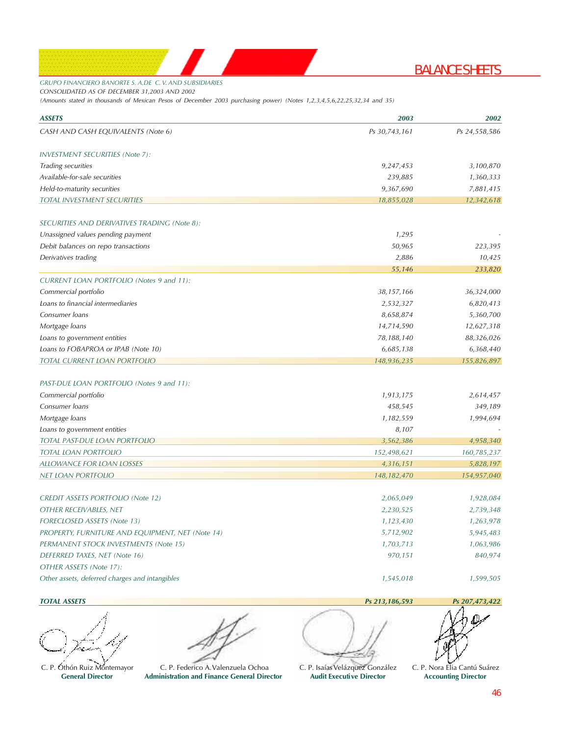*GRUPO FINANCIERO BANORTE S. A.DE C. V. AND SUBSIDIARIES CONSOLIDATED AS OF DECEMBER 31,2003 AND 2002* 

*(Amounts stated in thousands of Mexican Pesos of December 2003 purchasing power) (Notes 1,2,3,4,5,6,22,25,32,34 and 35)*

| <b>ASSETS</b>                                    | 2003          | 2002          |
|--------------------------------------------------|---------------|---------------|
| CASH AND CASH EQUIVALENTS (Note 6)               | Ps 30,743,161 | Ps 24,558,586 |
| INVESTMENT SECURITIES (Note 7):                  |               |               |
| Trading securities                               | 9,247,453     | 3,100,870     |
| Available-for-sale securities                    | 239,885       | 1,360,333     |
| Held-to-maturity securities                      | 9,367,690     | 7,881,415     |
| TOTAL INVESTMENT SECURITIES                      | 18,855,028    | 12,342,618    |
| SECURITIES AND DERIVATIVES TRADING (Note 8):     |               |               |
| Unassigned values pending payment                | 1,295         |               |
| Debit balances on repo transactions              | 50,965        | 223,395       |
| Derivatives trading                              | 2,886         | 10,425        |
|                                                  | 55,146        | 233,820       |
| CURRENT LOAN PORTFOLIO (Notes 9 and 11):         |               |               |
| Commercial portfolio                             | 38,157,166    | 36,324,000    |
| Loans to financial intermediaries                | 2,532,327     | 6,820,413     |
| Consumer loans                                   | 8,658,874     | 5,360,700     |
| Mortgage loans                                   | 14,714,590    | 12,627,318    |
| Loans to government entities                     | 78,188,140    | 88,326,026    |
| Loans to FOBAPROA or IPAB (Note 10)              | 6,685,138     | 6,368,440     |
| TOTAL CURRENT LOAN PORTFOLIO                     | 148,936,235   | 155,826,897   |
| PAST-DUE LOAN PORTFOLIO (Notes 9 and 11):        |               |               |
| Commercial portfolio                             | 1,913,175     | 2,614,457     |
| Consumer loans                                   | 458,545       | 349,189       |
| Mortgage loans                                   | 1,182,559     | 1,994,694     |
| Loans to government entities                     | 8,107         |               |
| TOTAL PAST-DUE LOAN PORTFOLIO                    | 3,562,386     | 4,958,340     |
| <b>TOTAL LOAN PORTFOLIO</b>                      | 152,498,621   | 160,785,237   |
| <b>ALLOWANCE FOR LOAN LOSSES</b>                 | 4,316,151     | 5,828,197     |
| <b>NET LOAN PORTFOLIO</b>                        | 148, 182, 470 | 154,957,040   |
|                                                  |               |               |
| <b>CREDIT ASSETS PORTFOLIO (Note 12)</b>         | 2,065,049     | 1,928,084     |
| OTHER RECEIVABLES, NET                           | 2,230,525     | 2,739,348     |
| <b>FORECLOSED ASSETS (Note 13)</b>               | 1,123,430     | 1,263,978     |
| PROPERTY, FURNITURE AND EQUIPMENT, NET (Note 14) | 5,712,902     | 5,945,483     |
| PERMANENT STOCK INVESTMENTS (Note 15)            | 1,703,713     | 1,063,986     |
| DEFERRED TAXES, NET (Note 16)                    | 970,151       | 840,974       |
| OTHER ASSETS (Note 17):                          |               |               |
| Other assets, deferred charges and intangibles   | 1,545,018     | 1,599,505     |

*TOTAL ASSETS*

C. P. Othón Ruiz Montemayor **General Director**

C. P. Federico A. Valenzuela Ochoa **Administration and Finance General Director**

*Ps 213,186,593* 

C. P. Isaías Velázquez González **Audit Executive Director**



**Accounting Director**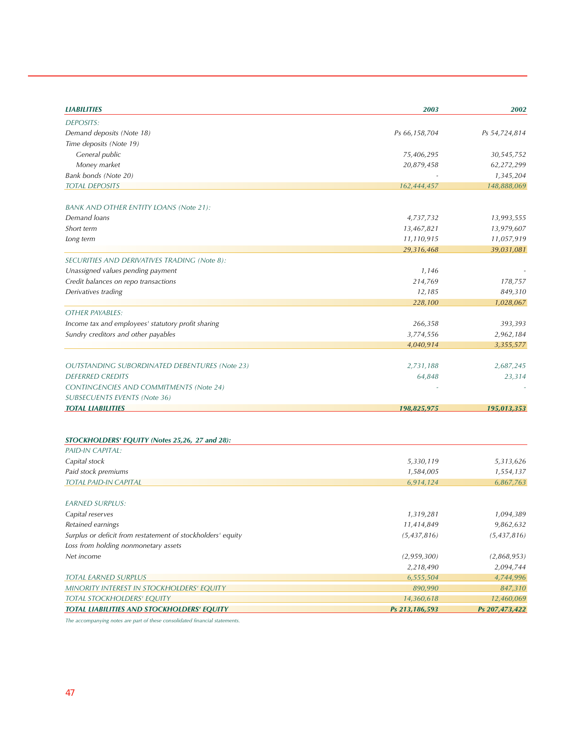| <b>LIABILITIES</b>                                          | 2003                | 2002                |
|-------------------------------------------------------------|---------------------|---------------------|
| <b>DEPOSITS:</b>                                            |                     |                     |
| Demand deposits (Note 18)                                   | Ps 66,158,704       | Ps 54,724,814       |
| Time deposits (Note 19)                                     |                     |                     |
| General public                                              | 75,406,295          | 30,545,752          |
| Money market                                                | 20,879,458          | 62,272,299          |
| Bank bonds (Note 20)                                        |                     | 1,345,204           |
| <b>TOTAL DEPOSITS</b>                                       | 162,444,457         | 148,888,069         |
| <b>BANK AND OTHER ENTITY LOANS (Note 21):</b>               |                     |                     |
| Demand loans                                                | 4,737,732           | 13,993,555          |
| Short term                                                  | 13,467,821          | 13,979,607          |
| Long term                                                   | 11,110,915          | 11,057,919          |
|                                                             | <u>29,316,468</u>   | 39,031,081          |
| SECURITIES AND DERIVATIVES TRADING (Note 8):                |                     |                     |
| Unassigned values pending payment                           | 1,146               |                     |
| Credit balances on repo transactions                        | 214,769             | 178,757             |
| Derivatives trading                                         | 12,185              | 849,310             |
|                                                             | 228,100             | 1,028,067           |
| <b>OTHER PAYABLES:</b>                                      |                     |                     |
| Income tax and employees' statutory profit sharing          | 266,358             | 393,393             |
| Sundry creditors and other payables                         | 3,774,556           | 2,962,184           |
|                                                             | 4,040,914           | 3,355,577           |
| <b>OUTSTANDING SUBORDINATED DEBENTURES (Note 23)</b>        |                     |                     |
| <b>DEFERRED CREDITS</b>                                     | 2,731,188<br>64,848 | 2,687,245<br>23,314 |
| <b>CONTINGENCIES AND COMMITMENTS (Note 24)</b>              |                     |                     |
| <b>SUBSECUENTS EVENTS (Note 36)</b>                         |                     |                     |
| <b>TOTAL LIABILITIES</b>                                    | 198,825,975         | <u>195,013,353</u>  |
|                                                             |                     |                     |
| STOCKHOLDERS' EQUITY (Notes 25,26, 27 and 28):              |                     |                     |
| PAID-IN CAPITAL:                                            |                     |                     |
| Capital stock                                               | 5,330,119           | 5,313,626           |
| Paid stock premiums                                         | 1,584,005           | 1,554,137           |
| <b>TOTAL PAID-IN CAPITAL</b>                                | 6,914,124           | 6,867,763           |
| <b>EARNED SURPLUS:</b>                                      |                     |                     |
| Capital reserves                                            | 1,319,281           | 1,094,389           |
| Retained earnings                                           | 11,414,849          | 9,862,632           |
| Surplus or deficit from restatement of stockholders' equity | (5,437,816)         | (5,437,816)         |
| Loss from holding nonmonetary assets                        |                     |                     |
| Net income                                                  | (2,959,300)         | (2,868,953)         |
|                                                             | 2,218,490           | 2,094,744           |
| <b>TOTAL EARNED SURPLUS</b>                                 | 6,555,504           | 4,744,996           |
| MINORITY INTEREST IN STOCKHOLDERS' EQUITY                   | 890,990             | 847,310             |
| <b>TOTAL STOCKHOLDERS' EQUITY</b>                           | 14,360,618          | 12,460,069          |
| <b>TOTAL LIABILITIES AND STOCKHOLDERS' EQUITY</b>           | Ps 213,186,593      | Ps 207,473,422      |

*The accompanying notes are part of these consolidated financial statements.*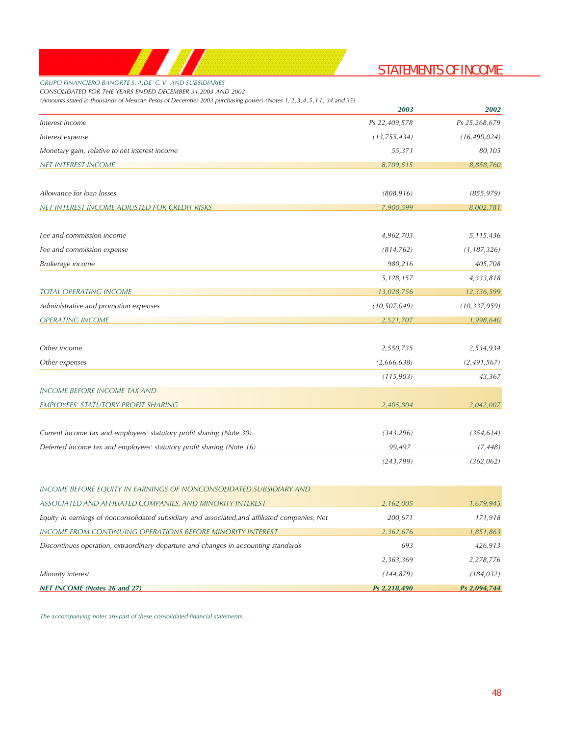STATEMENTS OF INCOME

#### *GRUPO FINANCIERO BANORTE S. A.DE C. V. AND SUBSIDIARIES*

*CONSOLIDATED FOR THE YEARS ENDED DECEMBER 31,2003 AND 2002*

*(Amounts stated in thousands of Mexican Pesos of December 2003 purchasing power) (Notes 1, 2 ,3 ,4 ,5 ,1 1 , 34 and 35)*

|                                                                                  | 2003           | 2002           |
|----------------------------------------------------------------------------------|----------------|----------------|
| Interest income                                                                  | Ps 22,409,578  | Ps 25,268,679  |
| Interest expense                                                                 | (13, 755, 434) | (16, 490, 024) |
| Monetary gain, relative to net interest income                                   | 55,371         | 80,105         |
| NET INTEREST INCOME                                                              | 8,709,515      | 8,858,760      |
| Allowance for loan losses                                                        | (808, 916)     | (855, 979)     |
| NET INTEREST INCOME ADJUSTED FOR CREDIT RISKS                                    | 7,900,599      | 8,002,781      |
| Fee and commission income                                                        | 4,962,703      | 5,115,436      |
| Fee and commission expense                                                       | (814, 762)     | (1, 187, 326)  |
| Brokerage income                                                                 | 980,216        | 405,708        |
|                                                                                  | 5,128,157      | 4,333,818      |
| TOTAL OPERATING INCOME                                                           | 13,028,756     | 12,336,599     |
| Administrative and promotion expenses                                            | (10, 507, 049) | (10, 337, 959) |
| <b>OPERATING INCOME</b>                                                          | 2,521,707      | 1,998,640      |
| Other income                                                                     | 2,550,735      | 2,534,934      |
| Other expenses                                                                   | (2,666,638)    | (2,491,567)    |
|                                                                                  | (115, 903)     | 43,367         |
| <b>INCOME BEFORE INCOME TAX AND</b>                                              |                |                |
| <b>EMPLOYEES' STATUTORY PROFIT SHARING</b>                                       | 2,405,804      | 2,042,007      |
| Current income tax and employees' statutory profit sharing (Note 30)             | (343, 296)     | (354, 614)     |
| Deferred income tax and employees' statutory profit sharing (Note 16)            | 99,497         | (7, 448)       |
|                                                                                  | (243, 799)     | (362, 062)     |
| $INICMIE$ DEENDE ENLI<br><u>ITV IN EARNINGS OF NONGONSOUDATED SURSIDIARY AND</u> |                |                |

| INCOME BEFORE EQUITY IN EARNINGS OF NONCONSOLIDATED SUBSIDIARY AND                             |            |            |
|------------------------------------------------------------------------------------------------|------------|------------|
| ASSOCIATED AND AFFILIATED COMPANIES, AND MINORITY INTEREST                                     | 2,162,005  | 1,679,945  |
| Equity in earnings of nonconsolidated subsidiary and associated, and affiliated companies, Net | 200,671    | 171,918    |
| INCOME FROM CONTINUING OPERATIONS BEFORE MINORITY INTEREST                                     | 2,362,676  | 1,851,863  |
| Discontinues operation, extraordinary departure and changes in accounting standards            | 693        | 426,913    |
|                                                                                                | 2,363,369  | 2,278,776  |
| Minority interest                                                                              | (144, 879) | (184, 032) |
|                                                                                                |            |            |

*The accompanying notes are part of these consolidated financial statements.*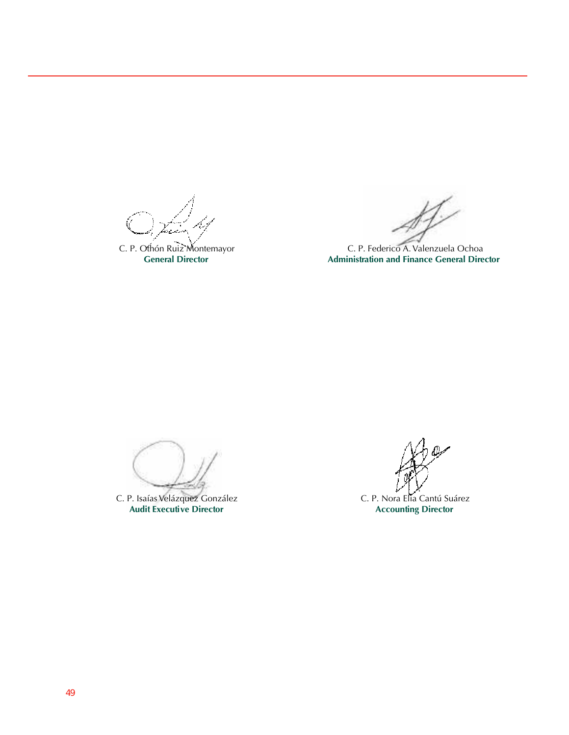C. P. Othón Ruiz Montemayor **General Director**

11

C. P. Federico A. Valenzuela Ochoa **Administration and Finance General Director**

C. P. Isaías Velázquez González **Audit Executive Director**

C. P. Nora Elia Cantú Suárez **Accounting Director**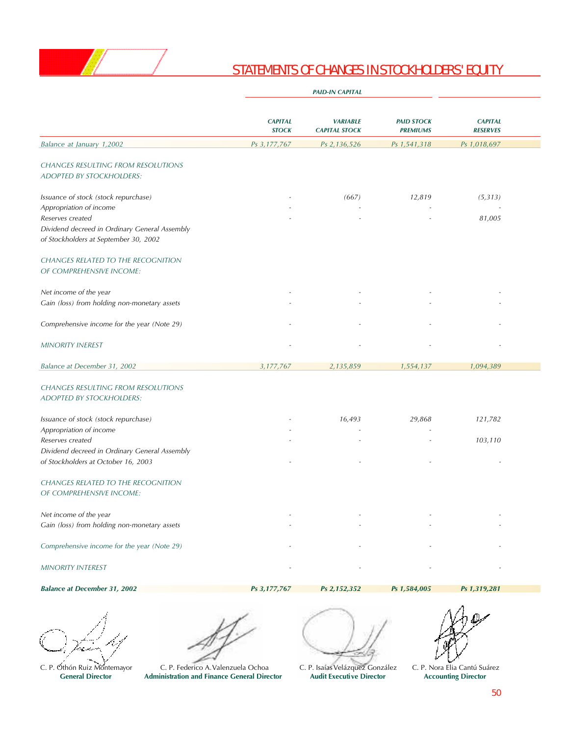

## STATEMENTS OF CHANGES IN STOCKHOLDERS' EQUITY

|                                                                                        | <b>CAPITAL</b><br><b>STOCK</b> | <b>VARIABLE</b><br><b>CAPITAL STOCK</b> | <b>PAID STOCK</b><br><b>PREMIUMS</b> | <b>CAPITAL</b><br><b>RESERVES</b> |  |
|----------------------------------------------------------------------------------------|--------------------------------|-----------------------------------------|--------------------------------------|-----------------------------------|--|
| Balance at January 1,2002                                                              | Ps 3, 177, 767                 | Ps 2,136,526                            | Ps 1,541,318                         | Ps 1,018,697                      |  |
| <b>CHANGES RESULTING FROM RESOLUTIONS</b>                                              |                                |                                         |                                      |                                   |  |
| ADOPTED BY STOCKHOLDERS:                                                               |                                |                                         |                                      |                                   |  |
| Issuance of stock (stock repurchase)                                                   |                                | (667)                                   | 12,819                               | (5,313)                           |  |
| Appropriation of income                                                                |                                |                                         |                                      |                                   |  |
| Reserves created                                                                       |                                |                                         |                                      | 81,005                            |  |
| Dividend decreed in Ordinary General Assembly<br>of Stockholders at September 30, 2002 |                                |                                         |                                      |                                   |  |
| <b>CHANGES RELATED TO THE RECOGNITION</b>                                              |                                |                                         |                                      |                                   |  |
| OF COMPREHENSIVE INCOME:                                                               |                                |                                         |                                      |                                   |  |
| Net income of the year                                                                 |                                |                                         |                                      |                                   |  |
| Gain (loss) from holding non-monetary assets                                           |                                |                                         |                                      |                                   |  |
| Comprehensive income for the year (Note 29)                                            |                                |                                         |                                      |                                   |  |
| <b>MINORITY INEREST</b>                                                                |                                |                                         |                                      |                                   |  |
| Balance at December 31, 2002                                                           | 3,177,767                      | 2,135,859                               | 1,554,137                            | 1,094,389                         |  |
| <b>CHANGES RESULTING FROM RESOLUTIONS</b>                                              |                                |                                         |                                      |                                   |  |
| ADOPTED BY STOCKHOLDERS:                                                               |                                |                                         |                                      |                                   |  |
| Issuance of stock (stock repurchase)                                                   |                                | 16,493                                  | 29,868                               | 121,782                           |  |
| Appropriation of income                                                                |                                |                                         |                                      |                                   |  |
| Reserves created                                                                       |                                |                                         |                                      | 103,110                           |  |
| Dividend decreed in Ordinary General Assembly<br>of Stockholders at October 16, 2003   |                                |                                         |                                      |                                   |  |
|                                                                                        |                                |                                         |                                      |                                   |  |
| CHANGES RELATED TO THE RECOGNITION                                                     |                                |                                         |                                      |                                   |  |
| OF COMPREHENSIVE INCOME:                                                               |                                |                                         |                                      |                                   |  |
| Net income of the year                                                                 |                                |                                         |                                      |                                   |  |
| Gain (loss) from holding non-monetary assets                                           |                                |                                         |                                      |                                   |  |
| Comprehensive income for the year (Note 29)                                            |                                |                                         |                                      |                                   |  |
| <b>MINORITY INTEREST</b>                                                               |                                |                                         |                                      |                                   |  |
| <b>Balance at December 31, 2002</b>                                                    | Ps 3, 177, 767                 | Ps 2, 152, 352                          | Ps 1,584,005                         | Ps 1,319,281                      |  |



C. P. Óthón Ruiz Montemayor **General Director**

C. P. Federico A. Valenzuela Ochoa **Administration and Finance General Director**

C. P. Isaías Velázquez González **Audit Executive Director**

C. P. Nora Elia Cantú Suárez **Accounting Director**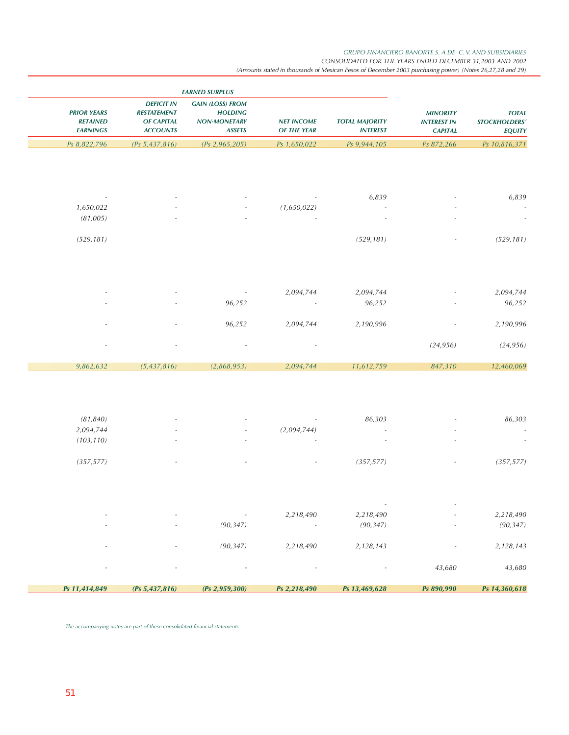#### *GRUPO FINANCIERO BANORTE S. A.DE C. V. AND SUBSIDIARIES*

*CONSOLIDATED FOR THE YEARS ENDED DECEMBER 31,2003 AND 2002*

*(Amounts stated in thousands of Mexican Pesos of December 2003 purchasing power) (Notes 26,27,28 and 29)*

|                                                |                                                         |                                          |                                  | <b>EARNED SURPLUS</b>                                                             |                                                                                 |                                                          |  |  |
|------------------------------------------------|---------------------------------------------------------|------------------------------------------|----------------------------------|-----------------------------------------------------------------------------------|---------------------------------------------------------------------------------|----------------------------------------------------------|--|--|
| <b>TOTAL</b><br>STOCKHOLDERS'<br><b>EQUITY</b> | <b>MINORITY</b><br><b>INTEREST IN</b><br><b>CAPITAL</b> | <b>TOTAL MAJORITY</b><br><b>INTEREST</b> | <b>NET INCOME</b><br>OF THE YEAR | <b>GAIN (LOSS) FROM</b><br><b>HOLDING</b><br><b>NON-MONETARY</b><br><b>ASSETS</b> | <b>DEFICIT IN</b><br><b>RESTATEMENT</b><br><b>OF CAPITAL</b><br><b>ACCOUNTS</b> | <b>PRIOR YEARS</b><br><b>RETAINED</b><br><b>EARNINGS</b> |  |  |
| Ps 10,816,371                                  | Ps 872,266                                              | Ps 9,944,105                             | Ps 1,650,022                     | (Ps 2, 965, 205)                                                                  | (Ps 5, 437, 816)                                                                | Ps 8,822,796                                             |  |  |
|                                                |                                                         |                                          |                                  |                                                                                   |                                                                                 |                                                          |  |  |
| 6,839                                          |                                                         | 6,839                                    |                                  |                                                                                   |                                                                                 |                                                          |  |  |
|                                                |                                                         |                                          | (1,650,022)                      |                                                                                   |                                                                                 | 1,650,022                                                |  |  |
|                                                |                                                         |                                          |                                  |                                                                                   |                                                                                 | (81,005)                                                 |  |  |
| (529, 181)                                     |                                                         | (529, 181)                               |                                  |                                                                                   |                                                                                 | (529, 181)                                               |  |  |
|                                                |                                                         |                                          |                                  |                                                                                   |                                                                                 |                                                          |  |  |
| 2,094,744                                      |                                                         | 2,094,744                                | 2,094,744                        |                                                                                   |                                                                                 |                                                          |  |  |
| 96,252                                         |                                                         | 96,252                                   |                                  | 96,252                                                                            |                                                                                 |                                                          |  |  |
| 2,190,996                                      |                                                         | 2,190,996                                | 2,094,744                        | 96,252                                                                            |                                                                                 |                                                          |  |  |
| (24, 956)                                      | (24, 956)                                               |                                          |                                  |                                                                                   |                                                                                 |                                                          |  |  |
| 12,460,069                                     | 847,310                                                 | 11,612,759                               | 2,094,744                        | (2,868,953)                                                                       | (5,437,816)                                                                     | 9,862,632                                                |  |  |
|                                                |                                                         |                                          |                                  |                                                                                   |                                                                                 |                                                          |  |  |
| 86,303                                         |                                                         | 86,303                                   |                                  |                                                                                   |                                                                                 | (81, 840)                                                |  |  |
|                                                |                                                         |                                          | (2,094,744)                      |                                                                                   |                                                                                 | 2,094,744                                                |  |  |
|                                                |                                                         |                                          |                                  |                                                                                   |                                                                                 | (103, 110)                                               |  |  |
| (357, 577)                                     |                                                         | (357, 577)                               |                                  |                                                                                   |                                                                                 | (357, 577)                                               |  |  |
|                                                |                                                         |                                          |                                  |                                                                                   |                                                                                 |                                                          |  |  |
| 2,218,490                                      |                                                         | 2,218,490                                | 2,218,490                        | $\sim 100$                                                                        |                                                                                 |                                                          |  |  |
| (90, 347)                                      |                                                         | (90, 347)                                |                                  | (90, 347)                                                                         |                                                                                 |                                                          |  |  |
| 2,128,143                                      |                                                         | 2,128,143                                | 2,218,490                        | (90, 347)                                                                         |                                                                                 |                                                          |  |  |
| 43,680                                         | 43,680                                                  |                                          |                                  |                                                                                   |                                                                                 |                                                          |  |  |
| Ps 14,360,618                                  | Ps 890,990                                              | Ps 13,469,628                            | Ps 2,218,490                     | (Ps 2, 959, 300)                                                                  | (Ps 5, 437, 816)                                                                | Ps 11,414,849                                            |  |  |

*The accompanying notes are part of these consolidated financial statements.*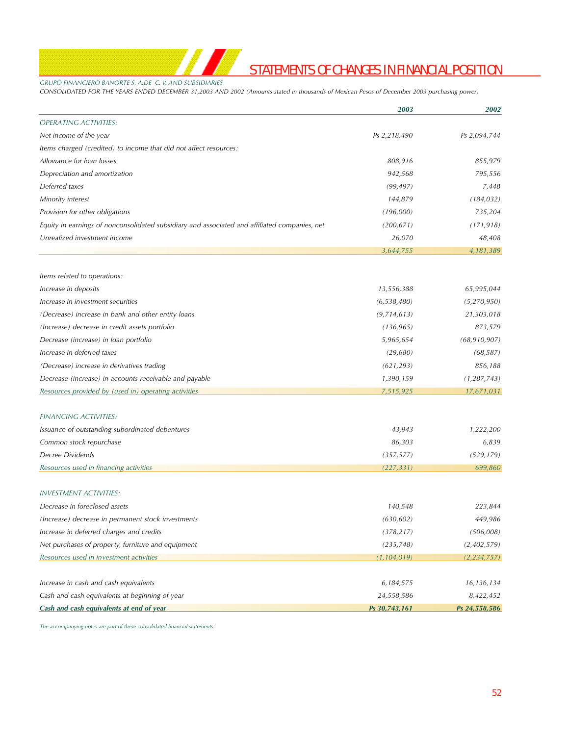

## **ATE<u>MENTS OF CHANGES IN FINANCIAL POSITION</u>**

*CONSOLIDATED FOR THE YEARS ENDED DECEMBER 31,2003 AND 2002 (Amounts stated in thousands of Mexican Pesos of December 2003 purchasing power)*

|                                                                                               | 2003          | 2002           |
|-----------------------------------------------------------------------------------------------|---------------|----------------|
| <b>OPERATING ACTIVITIES:</b>                                                                  |               |                |
| Net income of the year                                                                        | Ps 2,218,490  | Ps 2,094,744   |
| Items charged (credited) to income that did not affect resources:                             |               |                |
| Allowance for loan losses                                                                     | 808,916       | 855,979        |
| Depreciation and amortization                                                                 | 942,568       | 795,556        |
| Deferred taxes                                                                                | (99, 497)     | 7,448          |
| Minority interest                                                                             | 144,879       | (184, 032)     |
| Provision for other obligations                                                               | (196,000)     | 735,204        |
| Equity in earnings of nonconsolidated subsidiary and associated and affiliated companies, net | (200, 671)    | (171, 918)     |
| Unrealized investment income                                                                  | 26,070        | 48,408         |
|                                                                                               | 3,644,755     | 4,181,389      |
| Items related to operations:                                                                  |               |                |
| Increase in deposits                                                                          | 13,556,388    | 65,995,044     |
| Increase in investment securities                                                             | (6, 538, 480) | (5,270,950)    |
| (Decrease) increase in bank and other entity loans                                            | (9,714,613)   | 21,303,018     |
| (Increase) decrease in credit assets portfolio                                                | (136, 965)    | 873,579        |
| Decrease (increase) in loan portfolio                                                         | 5,965,654     | (68, 910, 907) |
| Increase in deferred taxes                                                                    | (29, 680)     | (68, 587)      |
| (Decrease) increase in derivatives trading                                                    | (621, 293)    | 856,188        |
| Decrease (increase) in accounts receivable and payable                                        | 1,390,159     | (1, 287, 743)  |
| Resources provided by (used in) operating activities                                          | 7,515,925     | 17,671,031     |
|                                                                                               |               |                |
| <b>FINANCING ACTIVITIES:</b>                                                                  |               |                |
| Issuance of outstanding subordinated debentures                                               | 43,943        | 1,222,200      |
| Common stock repurchase                                                                       | 86,303        | 6,839          |
| Decree Dividends                                                                              | (357, 577)    | (529, 179)     |
| Resources used in financing activities                                                        | (227, 331)    | 699,860        |
| <b>INVESTMENT ACTIVITIES:</b>                                                                 |               |                |
| Decrease in foreclosed assets                                                                 | 140,548       | 223,844        |
| (Increase) decrease in permanent stock investments                                            | (630, 602)    | 449,986        |
| Increase in deferred charges and credits                                                      | (378, 217)    | (506,008)      |
| Net purchases of property, furniture and equipment                                            | (235, 748)    | (2,402,579)    |
| Resources used in investment activities                                                       | (1, 104, 019) | (2, 234, 757)  |
|                                                                                               |               |                |
| Increase in cash and cash equivalents                                                         | 6,184,575     | 16, 136, 134   |
| Cash and cash equivalents at beginning of year                                                | 24,558,586    | 8,422,452      |
| Cash and cash equivalents at end of year                                                      | Ps 30,743,161 | Ps 24,558,586  |

*The accompanying notes are part of these consolidated financial statements.*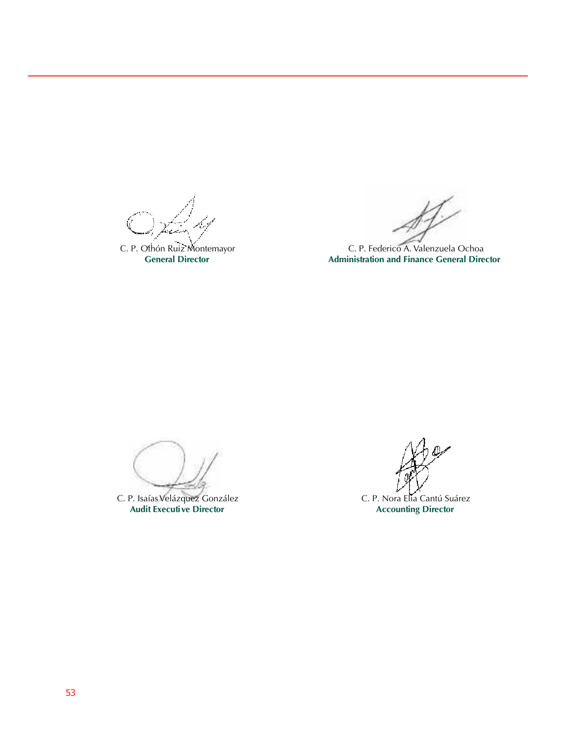C. P. Othón Ruiz Montemayor **General Director**

11

C. P. Federico A. Valenzuela Ochoa **Administration and Finance General Director**

C. P. Isaías Velázquez González **Audit Executive Director** 

C. P. Nora Elia Cantú Suárez **Accounting Director**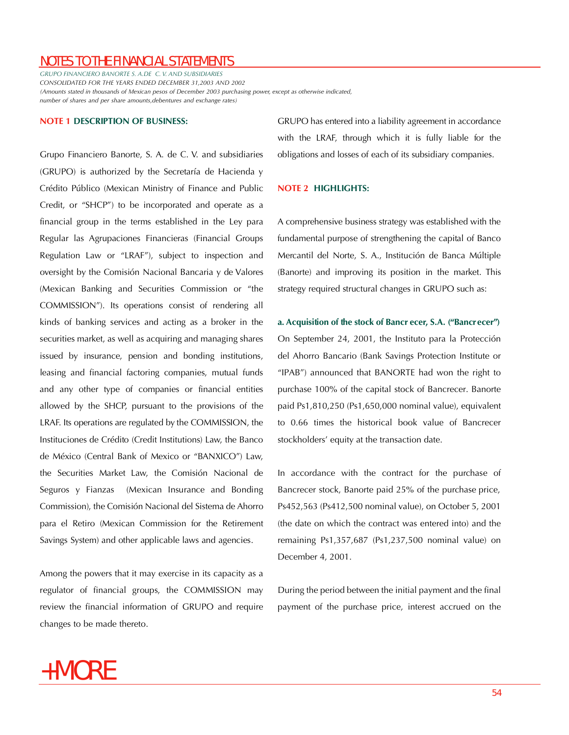*GRUPO FINANCIERO BANORTE S. A.DE C. V. AND SUBSIDIARIES CONSOLIDATED FOR THE YEARS ENDED DECEMBER 31,2003 AND 2002 (Amounts stated in thousands of Mexican pesos of December 2003 purchasing power, except as otherwise indicated, number of shares and per share amounts,debentures and exchange rates)*

#### **NOTE 1 DESCRIPTION OF BUSINESS:**

Grupo Financiero Banorte, S. A. de C. V. and subsidiaries (GRUPO) is authorized by the Secretaría de Hacienda y Crédito Público (Mexican Ministry of Finance and Public Credit, or "SHCP") to be incorporated and operate as a financial group in the terms established in the Ley para Regular las Agrupaciones Financieras (Financial Groups Regulation Law or "LRAF"), subject to inspection and oversight by the Comisión Nacional Bancaria y de Valores (Mexican Banking and Securities Commission or "the COMMISSION"). Its operations consist of rendering all kinds of banking services and acting as a broker in the securities market, as well as acquiring and managing shares issued by insurance, pension and bonding institutions, leasing and financial factoring companies, mutual funds and any other type of companies or financial entities allowed by the SHCP, pursuant to the provisions of the LRAF. Its operations are regulated by the COMMISSION, the Instituciones de Crédito (Credit Institutions) Law, the Banco de México (Central Bank of Mexico or "BANXICO") Law, the Securities Market Law, the Comisión Nacional de Seguros y Fianzas (Mexican Insurance and Bonding Commission), the Comisión Nacional del Sistema de Ahorro para el Retiro (Mexican Commission for the Retirement Savings System) and other applicable laws and agencies.

Among the powers that it may exercise in its capacity as a regulator of financial groups, the COMMISSION may review the financial information of GRUPO and require changes to be made thereto.

GRUPO has entered into a liability agreement in accordance with the LRAF, through which it is fully liable for the obligations and losses of each of its subsidiary companies.

#### **NOTE 2 HIGHLIGHTS:**

A comprehensive business strategy was established with the fundamental purpose of strengthening the capital of Banco Mercantil del Norte, S. A., Institución de Banca Múltiple (Banorte) and improving its position in the market. This strategy required structural changes in GRUPO such as:

#### a. Acquisition of the stock of Bancr ecer, S.A. ("Bancrecer")

On September 24, 2001, the Instituto para la Protección del Ahorro Bancario (Bank Savings Protection Institute or "IPAB") announced that BANORTE had won the right to purchase 100% of the capital stock of Bancrecer. Banorte paid Ps1,810,250 (Ps1,650,000 nominal value), equivalent to 0.66 times the historical book value of Bancrecer stockholders' equity at the transaction date.

In accordance with the contract for the purchase of Bancrecer stock, Banorte paid 25% of the purchase price, Ps452,563 (Ps412,500 nominal value), on October 5, 2001 (the date on which the contract was entered into) and the remaining Ps1,357,687 (Ps1,237,500 nominal value) on December 4, 2001.

During the period between the initial payment and the final payment of the purchase price, interest accrued on the

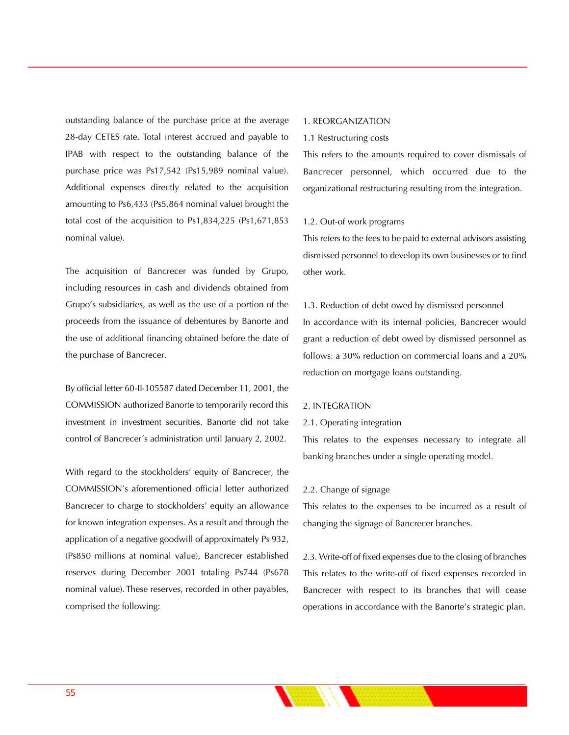outstanding balance of the purchase price at the average 28-day CETES rate. Total interest accrued and payable to IPAB with respect to the outstanding balance of the purchase price was Ps17,542 (Ps15,989 nominal value). Additional expenses directly related to the acquisition amounting to Ps6,433 (Ps5,864 nominal value) brought the total cost of the acquisition to Ps1,834,225 (Ps1,671,853 nominal value).

The acquisition of Bancrecer was funded by Grupo, including resources in cash and dividends obtained from Grupo's subsidiaries, as well as the use of a portion of the proceeds from the issuance of debentures by Banorte and the use of additional financing obtained before the date of the purchase of Bancrecer.

By official letter 60-II-105587 dated December 11, 2001, the COMMISSION authorized Banorte to temporarily record this investment in investment securities. Banorte did not take control of Bancrecer´s administration until January 2, 2002.

With regard to the stockholders' equity of Bancrecer, the COMMISSION's aforementioned official letter authorized Bancrecer to charge to stockholders' equity an allowance for known integration expenses. As a result and through the application of a negative goodwill of approximately Ps 932, (Ps850 millions at nominal value), Bancrecer established reserves during December 2001 totaling Ps744 (Ps678 nominal value). These reserves, recorded in other payables, comprised the following:

#### 1. REORGANIZATION

#### 1.1 Restructuring costs

This refers to the amounts required to cover dismissals of Bancrecer personnel, which occurred due to the organizational restructuring resulting from the integration.

#### 1.2. Out-of work programs

This refers to the fees to be paid to external advisors assisting dismissed personnel to develop its own businesses or to find other work.

1.3. Reduction of debt owed by dismissed personnel In accordance with its internal policies, Bancrecer would grant a reduction of debt owed by dismissed personnel as follows: a 30% reduction on commercial loans and a 20% reduction on mortgage loans outstanding.

#### 2. INTEGRATION

#### 2.1. Operating integration

This relates to the expenses necessary to integrate all banking branches under a single operating model.

#### 2.2. Change of signage

This relates to the expenses to be incurred as a result of changing the signage of Bancrecer branches.

2.3. Write-off of fixed expenses due to the closing of branches This relates to the write-off of fixed expenses recorded in Bancrecer with respect to its branches that will cease operations in accordance with the Banorte's strategic plan.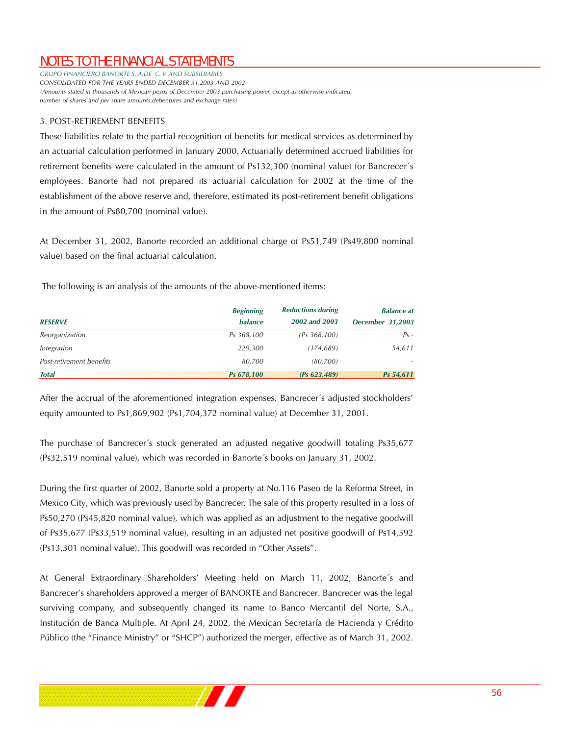*GRUPO FINANCIERO BANORTE S. A.DE C. V. AND SUBSIDIARIES CONSOLIDATED FOR THE YEARS ENDED DECEMBER 31,2003 AND 2002 (Amounts stated in thousands of Mexican pesos of December 2003 purchasing power, except as otherwise indicated, number of shares and per share amounts,debentures and exchange rates)*

#### 3. POST-RETIREMENT BENEFITS

These liabilities relate to the partial recognition of benefits for medical services as determined by an actuarial calculation performed in January 2000. Actuarially determined accrued liabilities for retirement benefits were calculated in the amount of Ps132,300 (nominal value) for Bancrecer´s employees. Banorte had not prepared its actuarial calculation for 2002 at the time of the establishment of the above reserve and, therefore, estimated its post-retirement benefit obligations in the amount of Ps80,700 (nominal value).

At December 31, 2002, Banorte recorded an additional charge of Ps51,749 (Ps49,800 nominal value) based on the final actuarial calculation.

The following is an analysis of the amounts of the above-mentioned items:

|                          | <b>Beginning</b> | <b>Reductions during</b> | <b>Balance</b> at       |  |
|--------------------------|------------------|--------------------------|-------------------------|--|
| <b>RESERVE</b>           | balance          | 2002 and 2003            | <b>December 31,2003</b> |  |
| Reorganization           | Ps 368,100       | (Ps 368, 100)            | $Ps -$                  |  |
| Integration              | 229,300          | (174, 689)               | 54,611                  |  |
| Post-retirement benefits | 80.700           | (80, 700)                |                         |  |
| <b>Total</b>             | Ps 678,100       | (Ps 623,489)             | Ps 54,611               |  |

After the accrual of the aforementioned integration expenses, Bancrecer´s adjusted stockholders' equity amounted to Ps1,869,902 (Ps1,704,372 nominal value) at December 31, 2001.

The purchase of Bancrecer´s stock generated an adjusted negative goodwill totaling Ps35,677 (Ps32,519 nominal value), which was recorded in Banorte´s books on January 31, 2002.

During the first quarter of 2002, Banorte sold a property at No.116 Paseo de la Reforma Street, in Mexico City, which was previously used by Bancrecer. The sale of this property resulted in a loss of Ps50,270 (Ps45,820 nominal value), which was applied as an adjustment to the negative goodwill of Ps35,677 (Ps33,519 nominal value), resulting in an adjusted net positive goodwill of Ps14,592 (Ps13,301 nominal value). This goodwill was recorded in "Other Assets".

At General Extraordinary Shareholders' Meeting held on March 11, 2002, Banorte´s and Bancrecer's shareholders approved a merger of BANORTE and Bancrecer. Bancrecer was the legal surviving company, and subsequently changed its name to Banco Mercantil del Norte, S.A., Institución de Banca Multiple. At April 24, 2002, the Mexican Secretaría de Hacienda y Crédito Público (the "Finance Ministry" or "SHCP") authorized the merger, effective as of March 31, 2002.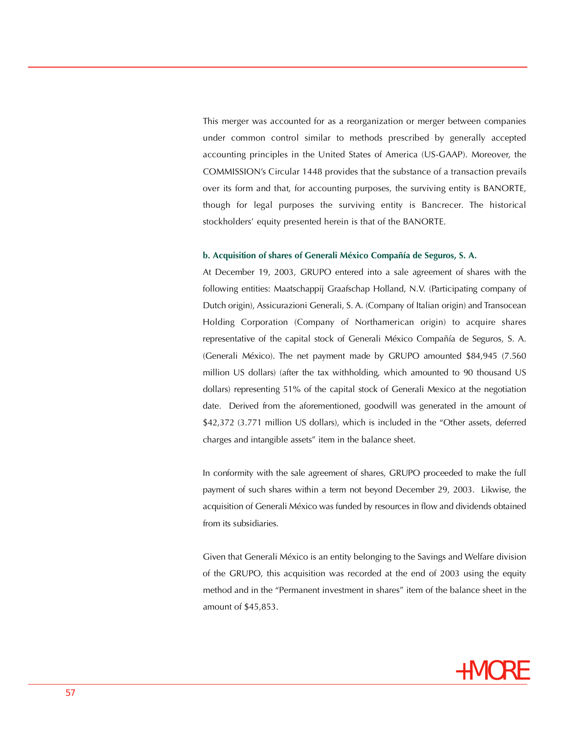This merger was accounted for as a reorganization or merger between companies under common control similar to methods prescribed by generally accepted accounting principles in the United States of America (US-GAAP). Moreover, the COMMISSION's Circular 1448 provides that the substance of a transaction prevails over its form and that, for accounting purposes, the surviving entity is BANORTE, though for legal purposes the surviving entity is Bancrecer. The historical stockholders' equity presented herein is that of the BANORTE.

#### **b. Acquisition of shares of Generali México Compañía de Seguros, S. A.**

At December 19, 2003, GRUPO entered into a sale agreement of shares with the following entities: Maatschappij Graafschap Holland, N.V. (Participating company of Dutch origin), Assicurazioni Generali, S. A. (Company of Italian origin) and Transocean Holding Corporation (Company of Northamerican origin) to acquire shares representative of the capital stock of Generali México Compañía de Seguros, S. A. (Generali México). The net payment made by GRUPO amounted \$84,945 (7.560 million US dollars) (after the tax withholding, which amounted to 90 thousand US dollars) representing 51% of the capital stock of Generali Mexico at the negotiation date. Derived from the aforementioned, goodwill was generated in the amount of \$42,372 (3.771 million US dollars), which is included in the "Other assets, deferred charges and intangible assets" item in the balance sheet.

In conformity with the sale agreement of shares, GRUPO proceeded to make the full payment of such shares within a term not beyond December 29, 2003. Likwise, the acquisition of Generali México was funded by resources in flow and dividends obtained from its subsidiaries.

Given that Generali México is an entity belonging to the Savings and Welfare division of the GRUPO, this acquisition was recorded at the end of 2003 using the equity method and in the "Permanent investment in shares" item of the balance sheet in the amount of \$45,853.

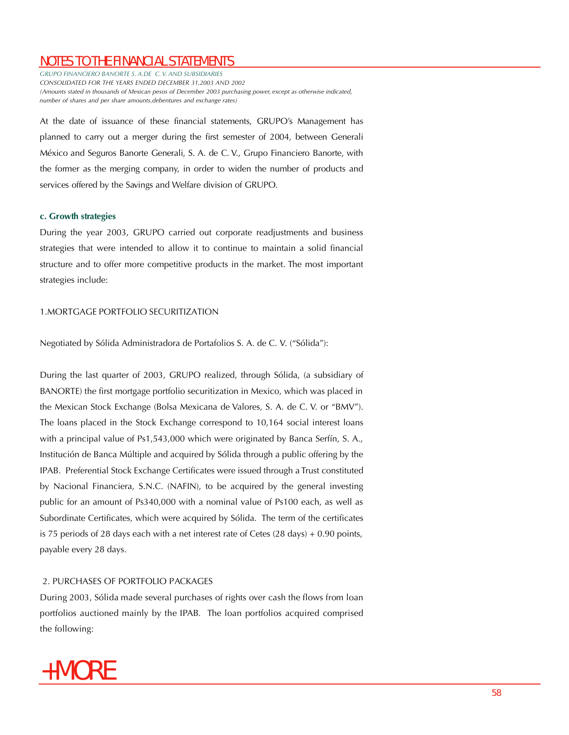*GRUPO FINANCIERO BANORTE S. A.DE C. V. AND SUBSIDIARIES CONSOLIDATED FOR THE YEARS ENDED DECEMBER 31,2003 AND 2002 (Amounts stated in thousands of Mexican pesos of December 2003 purchasing power, except as otherwise indicated, number of shares and per share amounts,debentures and exchange rates)*

At the date of issuance of these financial statements, GRUPO's Management has planned to carry out a merger during the first semester of 2004, between Generali México and Seguros Banorte Generali, S. A. de C. V., Grupo Financiero Banorte, with the former as the merging company, in order to widen the number of products and services offered by the Savings and Welfare division of GRUPO.

#### **c. Growth strategies**

During the year 2003, GRUPO carried out corporate readjustments and business strategies that were intended to allow it to continue to maintain a solid financial structure and to offer more competitive products in the market. The most important strategies include:

#### 1.MORTGAGE PORTFOLIO SECURITIZATION

Negotiated by Sólida Administradora de Portafolios S. A. de C. V. ("Sólida"):

During the last quarter of 2003, GRUPO realized, through Sólida, (a subsidiary of BANORTE) the first mortgage portfolio securitization in Mexico, which was placed in the Mexican Stock Exchange (Bolsa Mexicana de Valores, S. A. de C. V. or "BMV"). The loans placed in the Stock Exchange correspond to 10,164 social interest loans with a principal value of Ps1,543,000 which were originated by Banca Serfín, S. A., Institución de Banca Múltiple and acquired by Sólida through a public offering by the IPAB. Preferential Stock Exchange Certificates were issued through a Trust constituted by Nacional Financiera, S.N.C. (NAFIN), to be acquired by the general investing public for an amount of Ps340,000 with a nominal value of Ps100 each, as well as Subordinate Certificates, which were acquired by Sólida. The term of the certificates is 75 periods of 28 days each with a net interest rate of Cetes  $(28 \text{ days}) + 0.90 \text{ points}$ , payable every 28 days.

#### 2. PURCHASES OF PORTFOLIO PACKAGES

During 2003, Sólida made several purchases of rights over cash the flows from loan portfolios auctioned mainly by the IPAB. The loan portfolios acquired comprised the following:

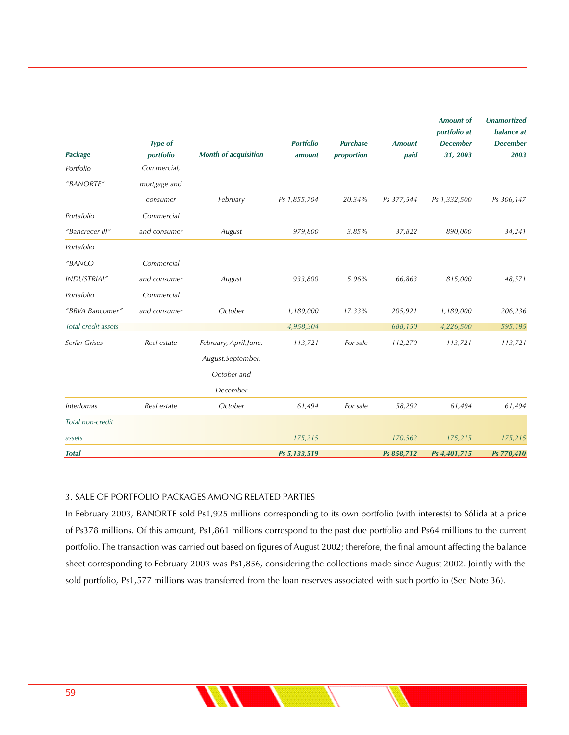|                     |                |                             |                  |                 |               | <b>Amount of</b><br>portfolio at | <b>Unamortized</b><br><b>balance</b> at |
|---------------------|----------------|-----------------------------|------------------|-----------------|---------------|----------------------------------|-----------------------------------------|
|                     | <b>Type of</b> |                             | <b>Portfolio</b> | <b>Purchase</b> | <b>Amount</b> | <b>December</b>                  | <b>December</b>                         |
| Package             | portfolio      | <b>Month of acquisition</b> | amount           | proportion      | paid          | 31, 2003                         | 2003                                    |
| Portfolio           | Commercial,    |                             |                  |                 |               |                                  |                                         |
| "BANORTE"           | mortgage and   |                             |                  |                 |               |                                  |                                         |
|                     | consumer       | February                    | Ps 1,855,704     | 20.34%          | Ps 377,544    | Ps 1,332,500                     | Ps 306,147                              |
| Portafolio          | Commercial     |                             |                  |                 |               |                                  |                                         |
| "Bancrecer III"     | and consumer   | August                      | 979,800          | 3.85%           | 37,822        | 890,000                          | 34,241                                  |
| Portafolio          |                |                             |                  |                 |               |                                  |                                         |
| "BANCO              | Commercial     |                             |                  |                 |               |                                  |                                         |
| <b>INDUSTRIAL"</b>  | and consumer   | August                      | 933,800          | 5.96%           | 66,863        | 815,000                          | 48,571                                  |
| Portafolio          | Commercial     |                             |                  |                 |               |                                  |                                         |
| "BBVA Bancomer"     | and consumer   | October                     | 1,189,000        | 17.33%          | 205,921       | 1,189,000                        | 206,236                                 |
| Total credit assets |                |                             | 4,958,304        |                 | 688,150       | 4,226,500                        | 595,195                                 |
| Serfin Grises       | Real estate    | February, April, June,      | 113,721          | For sale        | 112,270       | 113,721                          | 113,721                                 |
|                     |                | August, September,          |                  |                 |               |                                  |                                         |
|                     |                | October and                 |                  |                 |               |                                  |                                         |
|                     |                | December                    |                  |                 |               |                                  |                                         |
| Interlomas          | Real estate    | October                     | 61,494           | For sale        | 58,292        | 61,494                           | 61,494                                  |
| Total non-credit    |                |                             |                  |                 |               |                                  |                                         |
| assets              |                |                             | 175,215          |                 | 170,562       | 175,215                          | 175,215                                 |
| <b>Total</b>        |                |                             | Ps 5,133,519     |                 | Ps 858,712    | Ps 4,401,715                     | Ps 770,410                              |

#### 3. SALE OF PORTFOLIO PACKAGES AMONG RELATED PARTIES

In February 2003, BANORTE sold Ps1,925 millions corresponding to its own portfolio (with interests) to Sólida at a price of Ps378 millions. Of this amount, Ps1,861 millions correspond to the past due portfolio and Ps64 millions to the current portfolio. The transaction was carried out based on figures of August 2002; therefore, the final amount affecting the balance sheet corresponding to February 2003 was Ps1,856, considering the collections made since August 2002. Jointly with the sold portfolio, Ps1,577 millions was transferred from the loan reserves associated with such portfolio (See Note 36).

 $\sqrt{2}$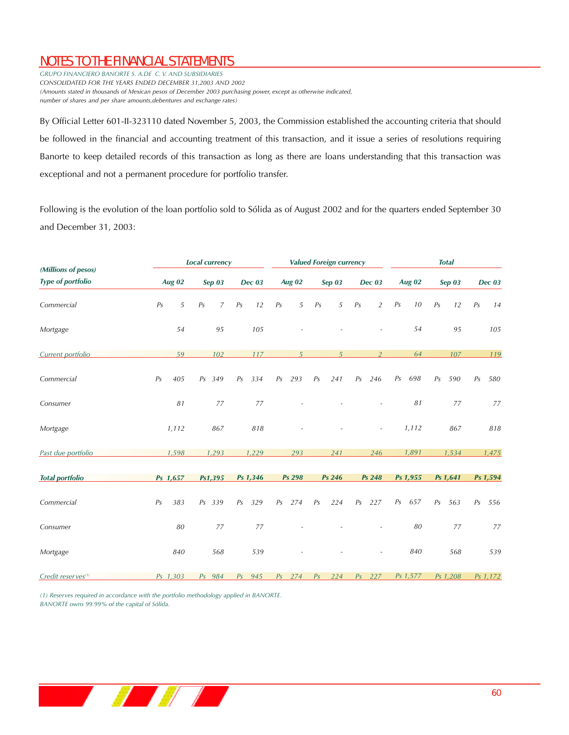*GRUPO FINANCIERO BANORTE S. A.DE C. V. AND SUBSIDIARIES CONSOLIDATED FOR THE YEARS ENDED DECEMBER 31,2003 AND 2002 (Amounts stated in thousands of Mexican pesos of December 2003 purchasing power, except as otherwise indicated, number of shares and per share amounts,debentures and exchange rates)*

By Official Letter 601-II-323110 dated November 5, 2003, the Commission established the accounting criteria that should be followed in the financial and accounting treatment of this transaction, and it issue a series of resolutions requiring Banorte to keep detailed records of this transaction as long as there are loans understanding that this transaction was exceptional and not a permanent procedure for portfolio transfer.

Following is the evolution of the loan portfolio sold to Sólida as of August 2002 and for the quarters ended September 30 and December 31, 2003:

| (Millions of pesos)            |                       | <b>Local currency</b>            |                      |                       | <b>Valued Foreign currency</b> |                                  |                       | <b>Total</b>          |                       |  |
|--------------------------------|-----------------------|----------------------------------|----------------------|-----------------------|--------------------------------|----------------------------------|-----------------------|-----------------------|-----------------------|--|
| <b>Type of portfolio</b>       | <b>Aug 02</b>         | Sep 03                           | <b>Dec 03</b>        | <b>Aug 02</b>         | Sep $03$                       | <b>Dec</b> 03                    | <b>Aug 02</b>         | <b>Sep 03</b>         | <b>Dec 03</b>         |  |
| Commercial                     | P <sub>S</sub><br>5   | P <sub>S</sub><br>$\overline{z}$ | P <sub>S</sub><br>12 | P <sub>S</sub><br>5   | 5<br>P <sub>S</sub>            | P <sub>S</sub><br>$\overline{2}$ | P <sub>S</sub><br>10  | P <sub>S</sub><br>12  | P <sub>S</sub><br>14  |  |
| Mortgage                       | 54                    | 95                               | 105                  |                       |                                | L,                               | 54                    | 95                    | 105                   |  |
| Current portfolio              | 59                    | 102                              | 117                  | $5\overline{5}$       | $5\overline{5}$                | $\overline{2}$                   | 64                    | 107                   | 119                   |  |
| Commercial                     | Ps<br>405             | Ps 349                           | Ps<br>334            | 293<br>P <sub>S</sub> | Ps<br>241                      | P <sub>S</sub><br>246            | P <sub>S</sub><br>698 | P <sub>S</sub><br>590 | Ps<br>580             |  |
| Consumer                       | 81                    | 77                               | 77                   |                       |                                |                                  | 81                    | $77$                  | $77\,$                |  |
| Mortgage                       | 1,112                 | 867                              | 818                  |                       |                                | $\sim$                           | 1,112                 | 867                   | 818                   |  |
| Past due portfolio             | 1,598                 | 1,293                            | 1,229                | 293                   | 241                            | 246                              | 1,891                 | 1,534                 | 1,475                 |  |
| <b>Total portfolio</b>         | Ps 1,657              | Ps1,395                          | Ps 1,346             | Ps 298                | Ps 246                         | Ps 248                           | Ps 1,955              | Ps 1,641              | Ps 1,594              |  |
| Commercial                     | P <sub>S</sub><br>383 | Ps 339                           | Ps<br>329            | Ps<br>274             | Ps<br>224                      | P <sub>S</sub><br>227            | Ps<br>657             | Ps<br>563             | P <sub>S</sub><br>556 |  |
| Consumer                       | 80                    | 77                               | 77                   |                       |                                |                                  | 80                    | 77                    | 77                    |  |
| Mortgage                       | 840                   | 568                              | 539                  |                       |                                |                                  | 840                   | 568                   | 539                   |  |
| Credit reserves <sup>(1)</sup> | Ps 1,303              | Ps 984                           | 945<br>Ps            | 274<br>Ps             | 224<br>Ps                      | Ps<br>227                        | Ps 1,577              | Ps 1,208              | Ps 1,172              |  |

*(1) Reserves required in accordance with the portfolio methodology applied in BANORTE. BANORTE owns 99.99% of the capital of Sólida.*

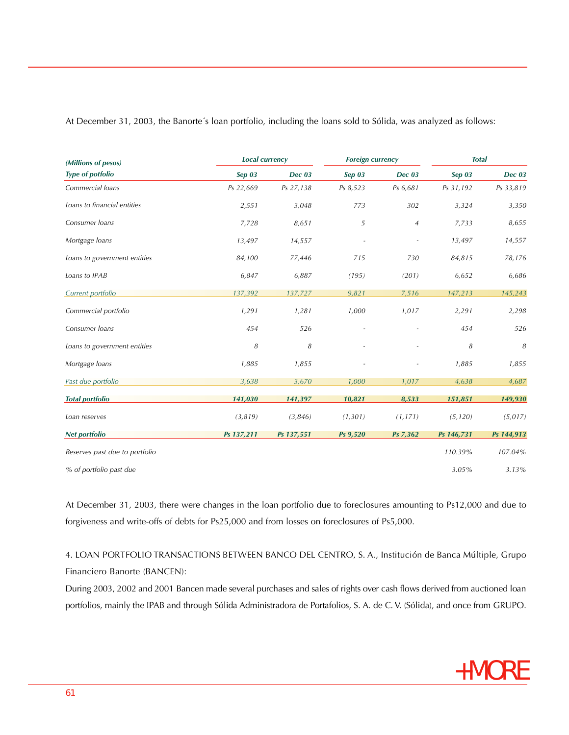At December 31, 2003, the Banorte´s loan portfolio, including the loans sold to Sólida, was analyzed as follows:

| (Millions of pesos)            |               | <b>Local currency</b><br><b>Foreign currency</b> |            |                | <b>Total</b> |               |  |  |  |  |
|--------------------------------|---------------|--------------------------------------------------|------------|----------------|--------------|---------------|--|--|--|--|
| <b>Type of potfolio</b>        | <b>Sep 03</b> | <b>Dec</b> 03                                    | Sep $03$   | <b>Dec 03</b>  | Sep 03       | <b>Dec</b> 03 |  |  |  |  |
| Commercial loans               | Ps 22,669     | Ps 27,138                                        | Ps 8,523   | Ps 6,681       | Ps 31,192    | Ps 33,819     |  |  |  |  |
| Loans to financial entities    | 2,551         | 3,048                                            | 773        | 302            | 3,324        | 3,350         |  |  |  |  |
| Consumer loans                 | 7,728         | 8,651                                            | $\sqrt{5}$ | $\overline{4}$ | 7,733        | 8,655         |  |  |  |  |
| Mortgage loans                 | 13,497        | 14,557                                           |            |                | 13,497       | 14,557        |  |  |  |  |
| Loans to government entities   | 84,100        | 77,446                                           | 715        | 730            | 84,815       | 78,176        |  |  |  |  |
| Loans to IPAB                  | 6,847         | 6,887                                            | (195)      | (201)          | 6,652        | 6,686         |  |  |  |  |
| Current portfolio              | 137,392       | 137,727                                          | 9,821      | 7,516          | 147,213      | 145,243       |  |  |  |  |
| Commercial portfolio           | 1,291         | 1,281                                            | 1,000      | 1,017          | 2,291        | 2,298         |  |  |  |  |
| Consumer loans                 | 454           | 526                                              |            |                | 454          | 526           |  |  |  |  |
| Loans to government entities   | 8             | 8                                                |            |                | 8            | 8             |  |  |  |  |
| Mortgage loans                 | 1,885         | 1,855                                            |            |                | 1,885        | 1,855         |  |  |  |  |
| Past due portfolio             | 3,638         | 3,670                                            | 1,000      | 1,017          | 4,638        | 4,687         |  |  |  |  |
| <b>Total portfolio</b>         | 141,030       | 141,397                                          | 10,821     | 8,533          | 151,851      | 149,930       |  |  |  |  |
| Loan reserves                  | (3,819)       | (3,846)                                          | (1,301)    | (1, 171)       | (5, 120)     | (5,017)       |  |  |  |  |
| <b>Net portfolio</b>           | Ps 137,211    | Ps 137,551                                       | Ps 9,520   | Ps 7,362       | Ps 146,731   | Ps 144,913    |  |  |  |  |
| Reserves past due to portfolio |               |                                                  |            |                | 110.39%      | 107.04%       |  |  |  |  |
| % of portfolio past due        |               |                                                  |            |                | 3.05%        | 3.13%         |  |  |  |  |

At December 31, 2003, there were changes in the loan portfolio due to foreclosures amounting to Ps12,000 and due to forgiveness and write-offs of debts for Ps25,000 and from losses on foreclosures of Ps5,000.

4. LOAN PORTFOLIO TRANSACTIONS BETWEEN BANCO DEL CENTRO, S. A., Institución de Banca Múltiple, Grupo Financiero Banorte (BANCEN):

During 2003, 2002 and 2001 Bancen made several purchases and sales of rights over cash flows derived from auctioned loan portfolios, mainly the IPAB and through Sólida Administradora de Portafolios, S. A. de C. V. (Sólida), and once from GRUPO.

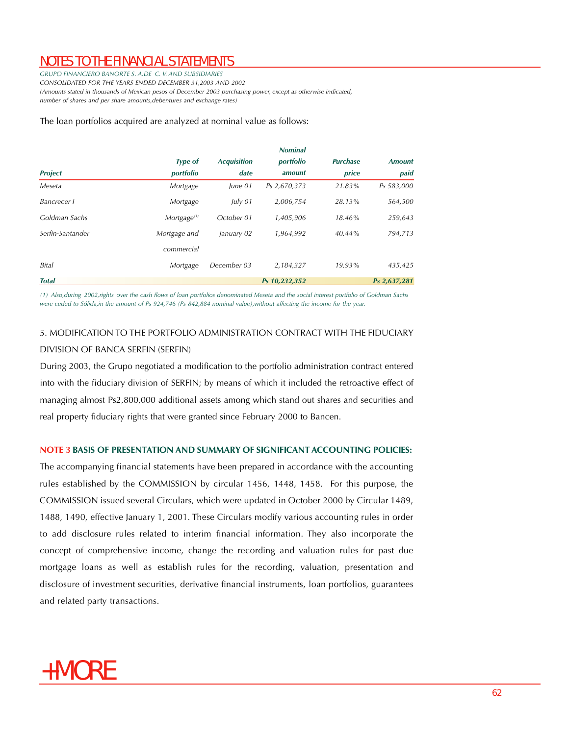*GRUPO FINANCIERO BANORTE S. A.DE C. V. AND SUBSIDIARIES CONSOLIDATED FOR THE YEARS ENDED DECEMBER 31,2003 AND 2002 (Amounts stated in thousands of Mexican pesos of December 2003 purchasing power, except as otherwise indicated, number of shares and per share amounts,debentures and exchange rates)*

#### The loan portfolios acquired are analyzed at nominal value as follows:

|                    |                           |                    | <b>Nominal</b> |                 |               |
|--------------------|---------------------------|--------------------|----------------|-----------------|---------------|
|                    | <b>Type of</b>            | <b>Acquisition</b> | portfolio      | <b>Purchase</b> | <b>Amount</b> |
| <b>Project</b>     | portfolio                 | date               | amount         | price           | paid          |
| Meseta             | Mortgage                  | lune 01            | Ps 2,670,373   | 21.83%          | Ps 583,000    |
| <b>Bancrecer</b> I | Mortgage                  | July $01$          | 2,006,754      | 28.13%          | 564,500       |
| Goldman Sachs      | $Mortgage$ <sup>(1)</sup> | October 01         | 1,405,906      | 18.46%          | 259,643       |
| Serfin-Santander   | Mortgage and              | January 02         | 1,964,992      | 40.44%          | 794,713       |
|                    | commercial                |                    |                |                 |               |
| <b>Bital</b>       | Mortgage                  | December 03        | 2,184,327      | 19.93%          | 435,425       |
| <b>Total</b>       |                           |                    | Ps 10,232,352  |                 | Ps 2,637,281  |

*(1) Also,during 2002,rights over the cash flows of loan portfolios denominated Meseta and the social interest portfolio of Goldman Sachs were ceded to Sólida,in the amount of Ps 924,746 (Ps 842,884 nominal value),without affecting the income for the year.*

## 5. MODIFICATION TO THE PORTFOLIO ADMINISTRATION CONTRACT WITH THE FIDUCIARY DIVISION OF BANCA SERFIN (SERFIN)

During 2003, the Grupo negotiated a modification to the portfolio administration contract entered into with the fiduciary division of SERFIN; by means of which it included the retroactive effect of managing almost Ps2,800,000 additional assets among which stand out shares and securities and real property fiduciary rights that were granted since February 2000 to Bancen.

#### **NOTE 3 BASIS OF PRESENTATION AND SUMMARY OF SIGNIFICANT ACCOUNTING POLICIES:**

The accompanying financial statements have been prepared in accordance with the accounting rules established by the COMMISSION by circular 1456, 1448, 1458. For this purpose, the COMMISSION issued several Circulars, which were updated in October 2000 by Circular 1489, 1488, 1490, effective January 1, 2001. These Circulars modify various accounting rules in order to add disclosure rules related to interim financial information. They also incorporate the concept of comprehensive income, change the recording and valuation rules for past due mortgage loans as well as establish rules for the recording, valuation, presentation and disclosure of investment securities, derivative financial instruments, loan portfolios, guarantees and related party transactions.

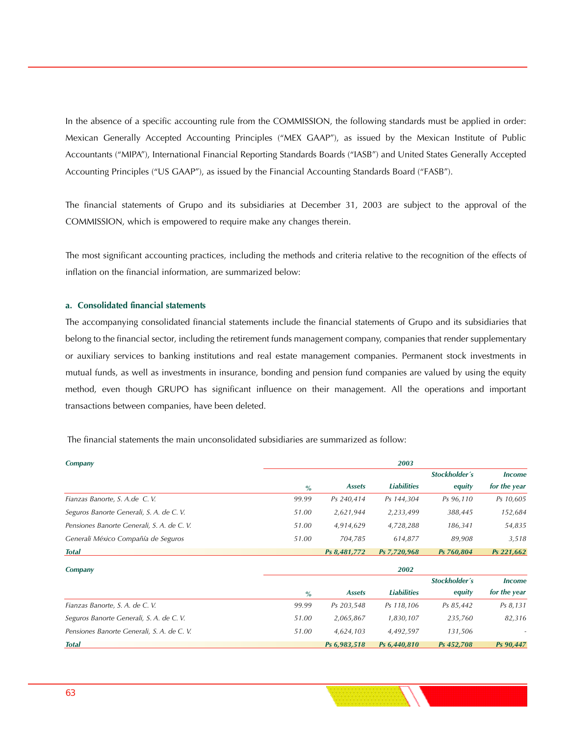In the absence of a specific accounting rule from the COMMISSION, the following standards must be applied in order: Mexican Generally Accepted Accounting Principles ("MEX GAAP"), as issued by the Mexican Institute of Public Accountants ("MIPA"), International Financial Reporting Standards Boards ("IASB") and United States Generally Accepted Accounting Principles ("US GAAP"), as issued by the Financial Accounting Standards Board ("FASB").

The financial statements of Grupo and its subsidiaries at December 31, 2003 are subject to the approval of the COMMISSION, which is empowered to require make any changes therein.

The most significant accounting practices, including the methods and criteria relative to the recognition of the effects of inflation on the financial information, are summarized below:

#### **a. Consolidated financial statements**

The accompanying consolidated financial statements include the financial statements of Grupo and its subsidiaries that belong to the financial sector, including the retirement funds management company, companies that render supplementary or auxiliary services to banking institutions and real estate management companies. Permanent stock investments in mutual funds, as well as investments in insurance, bonding and pension fund companies are valued by using the equity method, even though GRUPO has significant influence on their management. All the operations and important transactions between companies, have been deleted.

The financial statements the main unconsolidated subsidiaries are summarized as follow:

| Company                                    | 2003          |               |                    |               |               |
|--------------------------------------------|---------------|---------------|--------------------|---------------|---------------|
|                                            |               |               |                    | Stockholder's | <b>Income</b> |
|                                            | $\%$          | <b>Assets</b> | <b>Liabilities</b> | equity        | for the year  |
| Fianzas Banorte, S. A.de C. V.             | 99.99         | Ps 240,414    | Ps 144,304         | Ps 96,110     | Ps 10,605     |
| Seguros Banorte Generali, S. A. de C. V.   | 51.00         | 2,621,944     | 2,233,499          | 388,445       | 152,684       |
| Pensiones Banorte Generali, S. A. de C. V. | 51.00         | 4,914,629     | 4,728,288          | 186,341       | 54,835        |
| Generali México Compañía de Seguros        | 51.00         | 704,785       | 614,877            | 89,908        | 3,518         |
| <b>Total</b>                               |               | Ps 8,481,772  | Ps 7,720,968       | Ps 760,804    | Ps 221,662    |
| Company                                    |               |               | 2002               |               |               |
|                                            |               |               |                    | Stockholder's | <b>Income</b> |
|                                            | $\frac{9}{6}$ | <b>Assets</b> | <b>Liabilities</b> | equity        | for the year  |
| Fianzas Banorte, S. A. de C. V.            | 99.99         | Ps 203,548    | Ps 118,106         | Ps 85,442     | Ps 8,131      |
| Seguros Banorte Generali, S. A. de C. V.   | 51.00         | 2,065,867     | 1,830,107          | 235,760       | 82,316        |
| Pensiones Banorte Generali, S. A. de C. V. | 51.00         | 4,624,103     | 4,492,597          | 131,506       |               |
| <b>Total</b>                               |               | Ps 6,983,518  | Ps 6,440,810       | Ps 452,708    | Ps 90,447     |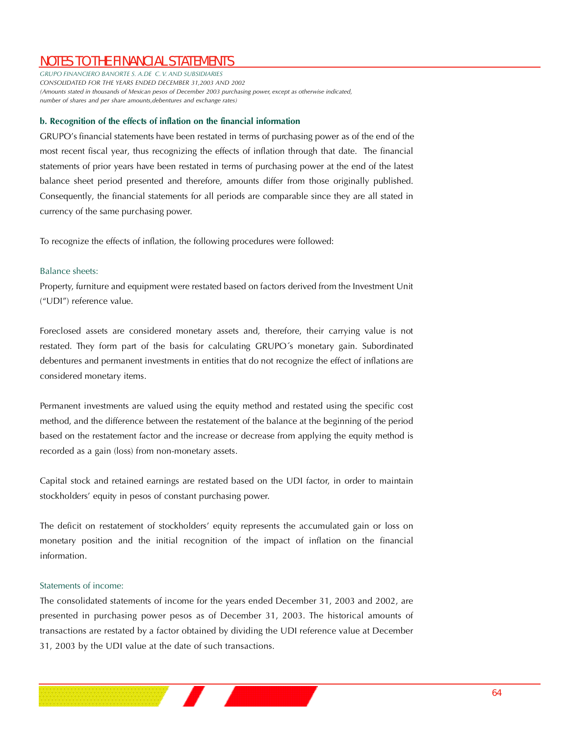*GRUPO FINANCIERO BANORTE S. A.DE C. V. AND SUBSIDIARIES CONSOLIDATED FOR THE YEARS ENDED DECEMBER 31,2003 AND 2002 (Amounts stated in thousands of Mexican pesos of December 2003 purchasing power, except as otherwise indicated, number of shares and per share amounts,debentures and exchange rates)*

#### **b. Recognition of the effects of inflation on the financial information**

GRUPO's financial statements have been restated in terms of purchasing power as of the end of the most recent fiscal year, thus recognizing the effects of inflation through that date. The financial statements of prior years have been restated in terms of purchasing power at the end of the latest balance sheet period presented and therefore, amounts differ from those originally published. Consequently, the financial statements for all periods are comparable since they are all stated in currency of the same purchasing power.

To recognize the effects of inflation, the following procedures were followed:

#### Balance sheets:

Property, furniture and equipment were restated based on factors derived from the Investment Unit ("UDI") reference value.

Foreclosed assets are considered monetary assets and, therefore, their carrying value is not restated. They form part of the basis for calculating GRUPO´s monetary gain. Subordinated debentures and permanent investments in entities that do not recognize the effect of inflations are considered monetary items.

Permanent investments are valued using the equity method and restated using the specific cost method, and the difference between the restatement of the balance at the beginning of the period based on the restatement factor and the increase or decrease from applying the equity method is recorded as a gain (loss) from non-monetary assets.

Capital stock and retained earnings are restated based on the UDI factor, in order to maintain stockholders' equity in pesos of constant purchasing power.

The deficit on restatement of stockholders' equity represents the accumulated gain or loss on monetary position and the initial recognition of the impact of inflation on the financial information.

#### Statements of income:

The consolidated statements of income for the years ended December 31, 2003 and 2002, are presented in purchasing power pesos as of December 31, 2003. The historical amounts of transactions are restated by a factor obtained by dividing the UDI reference value at December 31, 2003 by the UDI value at the date of such transactions.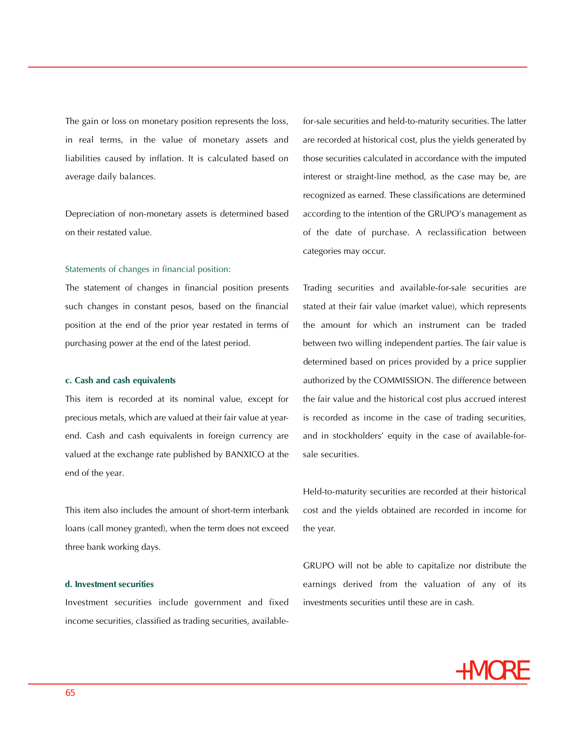The gain or loss on monetary position represents the loss, in real terms, in the value of monetary assets and liabilities caused by inflation. It is calculated based on average daily balances.

Depreciation of non-monetary assets is determined based on their restated value.

#### Statements of changes in financial position:

The statement of changes in financial position presents such changes in constant pesos, based on the financial position at the end of the prior year restated in terms of purchasing power at the end of the latest period.

#### **c. Cash and cash equivalents**

This item is recorded at its nominal value, except for precious metals, which are valued at their fair value at yearend. Cash and cash equivalents in foreign currency are valued at the exchange rate published by BANXICO at the end of the year.

This item also includes the amount of short-term interbank loans (call money granted), when the term does not exceed three bank working days.

#### **d. Investment securities**

Investment securities include government and fixed income securities, classified as trading securities, available-

for-sale securities and held-to-maturity securities. The latter are recorded at historical cost, plus the yields generated by those securities calculated in accordance with the imputed interest or straight-line method, as the case may be, are recognized as earned. These classifications are determined according to the intention of the GRUPO's management as of the date of purchase. A reclassification between categories may occur.

Trading securities and available-for-sale securities are stated at their fair value (market value), which represents the amount for which an instrument can be traded between two willing independent parties. The fair value is determined based on prices provided by a price supplier authorized by the COMMISSION. The difference between the fair value and the historical cost plus accrued interest is recorded as income in the case of trading securities, and in stockholders' equity in the case of available-forsale securities.

Held-to-maturity securities are recorded at their historical cost and the yields obtained are recorded in income for the year.

GRUPO will not be able to capitalize nor distribute the earnings derived from the valuation of any of its investments securities until these are in cash.

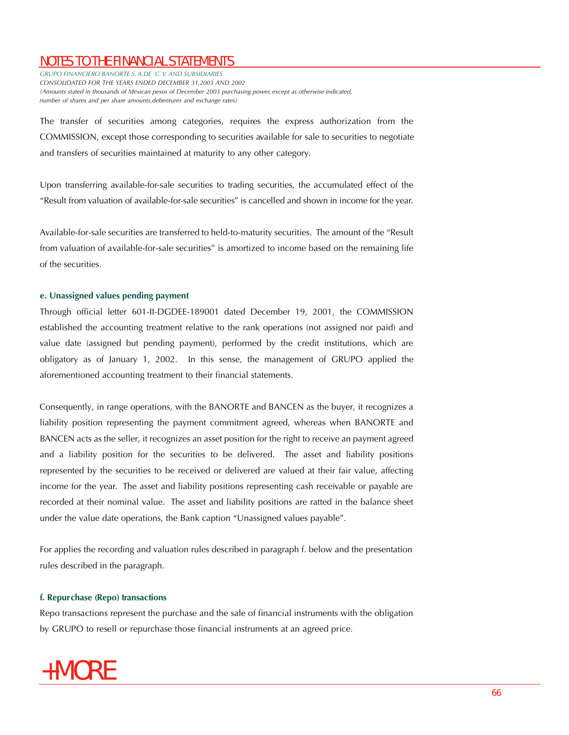*GRUPO FINANCIERO BANORTE S. A.DE C. V. AND SUBSIDIARIES CONSOLIDATED FOR THE YEARS ENDED DECEMBER 31,2003 AND 2002 (Amounts stated in thousands of Mexican pesos of December 2003 purchasing power, except as otherwise indicated, number of shares and per share amounts,debentures and exchange rates)*

The transfer of securities among categories, requires the express authorization from the COMMISSION, except those corresponding to securities available for sale to securities to negotiate and transfers of securities maintained at maturity to any other category.

Upon transferring available-for-sale securities to trading securities, the accumulated effect of the "Result from valuation of available-for-sale securities" is cancelled and shown in income for the year.

Available-for-sale securities are transferred to held-to-maturity securities. The amount of the "Result from valuation of available-for-sale securities" is amortized to income based on the remaining life of the securities.

#### **e. Unassigned values pending payment**

Through official letter 601-II-DGDEE-189001 dated December 19, 2001, the COMMISSION established the accounting treatment relative to the rank operations (not assigned nor paid) and value date (assigned but pending payment), performed by the credit institutions, which are obligatory as of January 1, 2002. In this sense, the management of GRUPO applied the aforementioned accounting treatment to their financial statements.

Consequently, in range operations, with the BANORTE and BANCEN as the buyer, it recognizes a liability position representing the payment commitment agreed, whereas when BANORTE and BANCEN acts as the seller, it recognizes an asset position for the right to receive an payment agreed and a liability position for the securities to be delivered. The asset and liability positions represented by the securities to be received or delivered are valued at their fair value, affecting income for the year. The asset and liability positions representing cash receivable or payable are recorded at their nominal value. The asset and liability positions are ratted in the balance sheet under the value date operations, the Bank caption "Unassigned values payable".

For applies the recording and valuation rules described in paragraph f. below and the presentation rules described in the paragraph.

#### **f. Repurchase (Repo) transactions**

Repo transactions represent the purchase and the sale of financial instruments with the obligation by GRUPO to resell or repurchase those financial instruments at an agreed price.

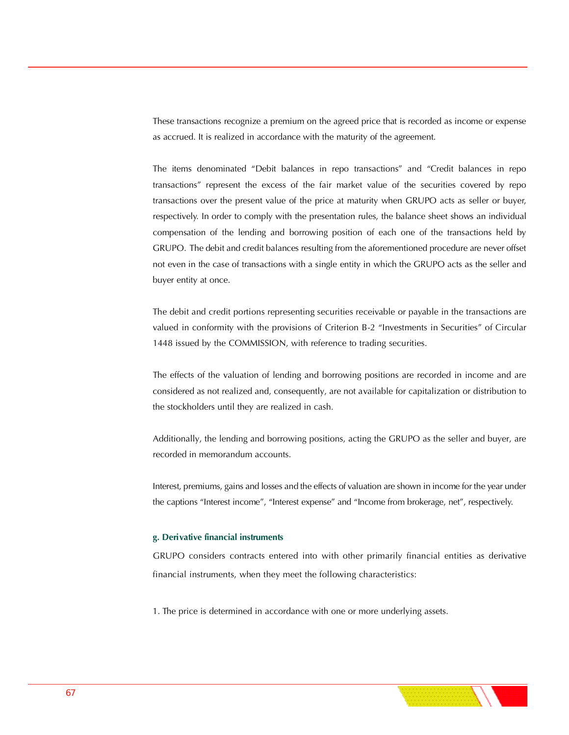These transactions recognize a premium on the agreed price that is recorded as income or expense as accrued. It is realized in accordance with the maturity of the agreement.

The items denominated "Debit balances in repo transactions" and "Credit balances in repo transactions" represent the excess of the fair market value of the securities covered by repo transactions over the present value of the price at maturity when GRUPO acts as seller or buyer, respectively. In order to comply with the presentation rules, the balance sheet shows an individual compensation of the lending and borrowing position of each one of the transactions held by GRUPO. The debit and credit balances resulting from the aforementioned procedure are never offset not even in the case of transactions with a single entity in which the GRUPO acts as the seller and buyer entity at once.

The debit and credit portions representing securities receivable or payable in the transactions are valued in conformity with the provisions of Criterion B-2 "Investments in Securities" of Circular 1448 issued by the COMMISSION, with reference to trading securities.

The effects of the valuation of lending and borrowing positions are recorded in income and are considered as not realized and, consequently, are not available for capitalization or distribution to the stockholders until they are realized in cash.

Additionally, the lending and borrowing positions, acting the GRUPO as the seller and buyer, are recorded in memorandum accounts.

Interest, premiums, gains and losses and the effects of valuation are shown in income for the year under the captions "Interest income", "Interest expense" and "Income from brokerage, net", respectively.

#### **g. Derivative financial instruments**

GRUPO considers contracts entered into with other primarily financial entities as derivative financial instruments, when they meet the following characteristics:

1. The price is determined in accordance with one or more underlying assets.

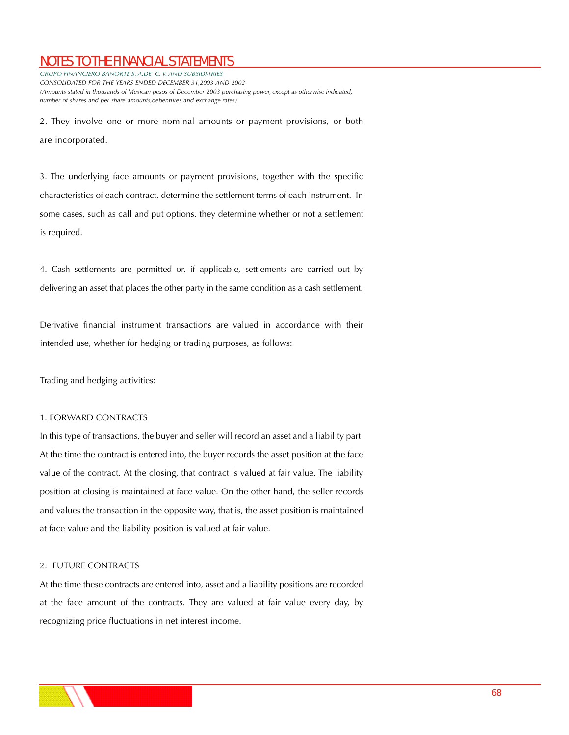*GRUPO FINANCIERO BANORTE S. A.DE C. V. AND SUBSIDIARIES CONSOLIDATED FOR THE YEARS ENDED DECEMBER 31,2003 AND 2002 (Amounts stated in thousands of Mexican pesos of December 2003 purchasing power, except as otherwise indicated, number of shares and per share amounts,debentures and exchange rates)*

2. They involve one or more nominal amounts or payment provisions, or both are incorporated.

3. The underlying face amounts or payment provisions, together with the specific characteristics of each contract, determine the settlement terms of each instrument. In some cases, such as call and put options, they determine whether or not a settlement is required.

4. Cash settlements are permitted or, if applicable, settlements are carried out by delivering an asset that places the other party in the same condition as a cash settlement.

Derivative financial instrument transactions are valued in accordance with their intended use, whether for hedging or trading purposes, as follows:

Trading and hedging activities:

#### 1. FORWARD CONTRACTS

In this type of transactions, the buyer and seller will record an asset and a liability part. At the time the contract is entered into, the buyer records the asset position at the face value of the contract. At the closing, that contract is valued at fair value. The liability position at closing is maintained at face value. On the other hand, the seller records and values the transaction in the opposite way, that is, the asset position is maintained at face value and the liability position is valued at fair value.

#### 2. FUTURE CONTRACTS

At the time these contracts are entered into, asset and a liability positions are recorded at the face amount of the contracts. They are valued at fair value every day, by recognizing price fluctuations in net interest income.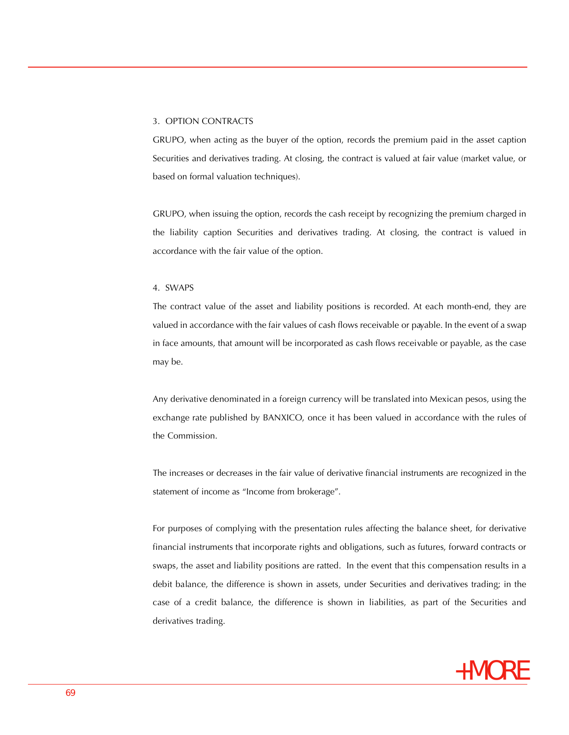#### 3. OPTION CONTRACTS

GRUPO, when acting as the buyer of the option, records the premium paid in the asset caption Securities and derivatives trading. At closing, the contract is valued at fair value (market value, or based on formal valuation techniques).

GRUPO, when issuing the option, records the cash receipt by recognizing the premium charged in the liability caption Securities and derivatives trading. At closing, the contract is valued in accordance with the fair value of the option.

#### 4. SWAPS

The contract value of the asset and liability positions is recorded. At each month-end, they are valued in accordance with the fair values of cash flows receivable or payable. In the event of a swap in face amounts, that amount will be incorporated as cash flows receivable or payable, as the case may be.

Any derivative denominated in a foreign currency will be translated into Mexican pesos, using the exchange rate published by BANXICO, once it has been valued in accordance with the rules of the Commission.

The increases or decreases in the fair value of derivative financial instruments are recognized in the statement of income as "Income from brokerage".

For purposes of complying with the presentation rules affecting the balance sheet, for derivative financial instruments that incorporate rights and obligations, such as futures, forward contracts or swaps, the asset and liability positions are ratted. In the event that this compensation results in a debit balance, the difference is shown in assets, under Securities and derivatives trading; in the case of a credit balance, the difference is shown in liabilities, as part of the Securities and derivatives trading.

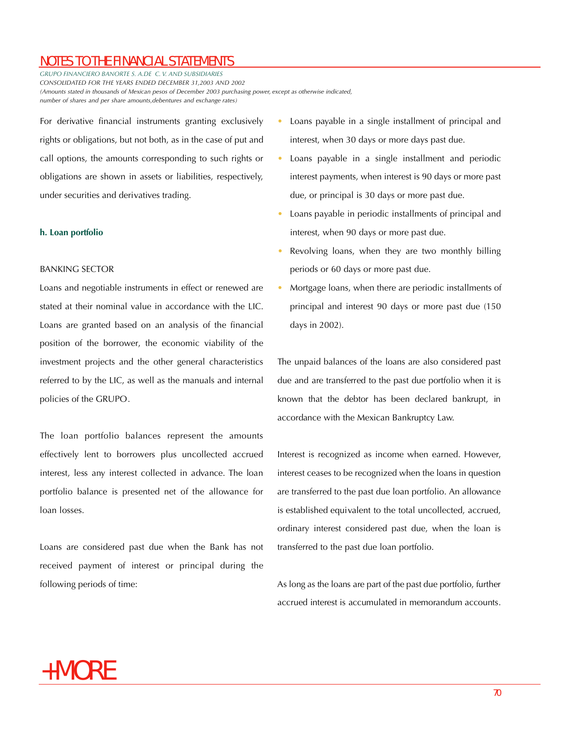*GRUPO FINANCIERO BANORTE S. A.DE C. V. AND SUBSIDIARIES CONSOLIDATED FOR THE YEARS ENDED DECEMBER 31,2003 AND 2002 (Amounts stated in thousands of Mexican pesos of December 2003 purchasing power, except as otherwise indicated, number of shares and per share amounts,debentures and exchange rates)*

For derivative financial instruments granting exclusively rights or obligations, but not both, as in the case of put and call options, the amounts corresponding to such rights or obligations are shown in assets or liabilities, respectively, under securities and derivatives trading.

#### **h. Loan portfolio**

#### BANKING SECTOR

Loans and negotiable instruments in effect or renewed are stated at their nominal value in accordance with the LIC. Loans are granted based on an analysis of the financial position of the borrower, the economic viability of the investment projects and the other general characteristics referred to by the LIC, as well as the manuals and internal policies of the GRUPO.

The loan portfolio balances represent the amounts effectively lent to borrowers plus uncollected accrued interest, less any interest collected in advance. The loan portfolio balance is presented net of the allowance for loan losses.

Loans are considered past due when the Bank has not received payment of interest or principal during the following periods of time:

- Loans payable in a single installment of principal and interest, when 30 days or more days past due. •
- Loans payable in a single installment and periodic interest payments, when interest is 90 days or more past due, or principal is 30 days or more past due. •
- Loans payable in periodic installments of principal and interest, when 90 days or more past due. •
- Revolving loans, when they are two monthly billing periods or 60 days or more past due. •
- Mortgage loans, when there are periodic installments of principal and interest 90 days or more past due (150 days in 2002). •

The unpaid balances of the loans are also considered past due and are transferred to the past due portfolio when it is known that the debtor has been declared bankrupt, in accordance with the Mexican Bankruptcy Law.

Interest is recognized as income when earned. However, interest ceases to be recognized when the loans in question are transferred to the past due loan portfolio. An allowance is established equivalent to the total uncollected, accrued, ordinary interest considered past due, when the loan is transferred to the past due loan portfolio.

As long as the loans are part of the past due portfolio, further accrued interest is accumulated in memorandum accounts.

## +MORE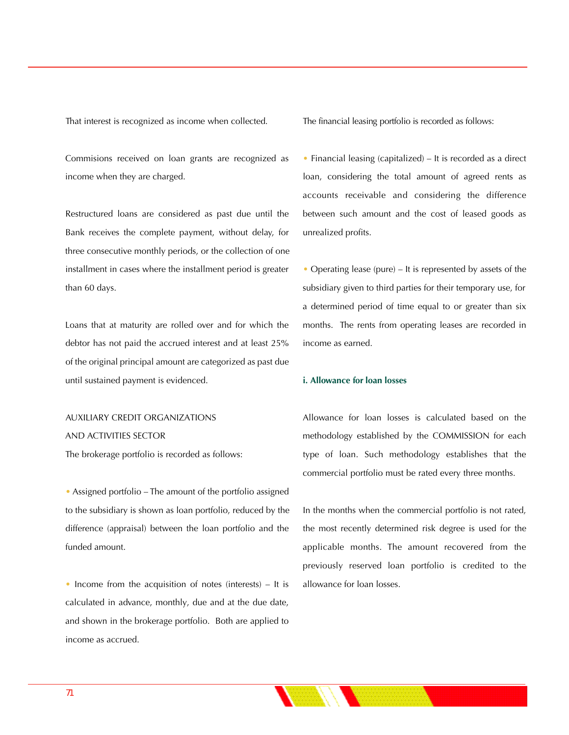That interest is recognized as income when collected.

Commisions received on loan grants are recognized as income when they are charged.

Restructured loans are considered as past due until the Bank receives the complete payment, without delay, for three consecutive monthly periods, or the collection of one installment in cases where the installment period is greater than 60 days.

Loans that at maturity are rolled over and for which the debtor has not paid the accrued interest and at least 25% of the original principal amount are categorized as past due until sustained payment is evidenced.

## AUXILIARY CREDIT ORGANIZATIONS AND ACTIVITIES SECTOR

The brokerage portfolio is recorded as follows:

• Assigned portfolio – The amount of the portfolio assigned to the subsidiary is shown as loan portfolio, reduced by the difference (appraisal) between the loan portfolio and the funded amount.

• Income from the acquisition of notes (interests) – It is calculated in advance, monthly, due and at the due date, and shown in the brokerage portfolio. Both are applied to income as accrued.

The financial leasing portfolio is recorded as follows:

• Financial leasing (capitalized) – It is recorded as a direct loan, considering the total amount of agreed rents as accounts receivable and considering the difference between such amount and the cost of leased goods as unrealized profits.

• Operating lease (pure) – It is represented by assets of the subsidiary given to third parties for their temporary use, for a determined period of time equal to or greater than six months. The rents from operating leases are recorded in income as earned.

#### **i. Allowance for loan losses**

Allowance for loan losses is calculated based on the methodology established by the COMMISSION for each type of loan. Such methodology establishes that the commercial portfolio must be rated every three months.

In the months when the commercial portfolio is not rated, the most recently determined risk degree is used for the applicable months. The amount recovered from the previously reserved loan portfolio is credited to the allowance for loan losses.

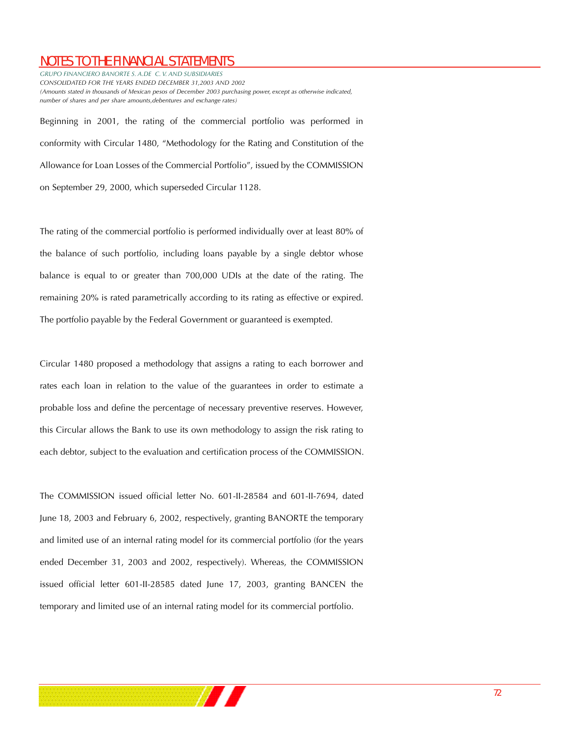*GRUPO FINANCIERO BANORTE S. A.DE C. V. AND SUBSIDIARIES CONSOLIDATED FOR THE YEARS ENDED DECEMBER 31,2003 AND 2002 (Amounts stated in thousands of Mexican pesos of December 2003 purchasing power, except as otherwise indicated, number of shares and per share amounts,debentures and exchange rates)*

Beginning in 2001, the rating of the commercial portfolio was performed in conformity with Circular 1480, "Methodology for the Rating and Constitution of the Allowance for Loan Losses of the Commercial Portfolio", issued by the COMMISSION on September 29, 2000, which superseded Circular 1128.

The rating of the commercial portfolio is performed individually over at least 80% of the balance of such portfolio, including loans payable by a single debtor whose balance is equal to or greater than 700,000 UDIs at the date of the rating. The remaining 20% is rated parametrically according to its rating as effective or expired. The portfolio payable by the Federal Government or guaranteed is exempted.

Circular 1480 proposed a methodology that assigns a rating to each borrower and rates each loan in relation to the value of the guarantees in order to estimate a probable loss and define the percentage of necessary preventive reserves. However, this Circular allows the Bank to use its own methodology to assign the risk rating to each debtor, subject to the evaluation and certification process of the COMMISSION.

The COMMISSION issued official letter No. 601-II-28584 and 601-II-7694, dated June 18, 2003 and February 6, 2002, respectively, granting BANORTE the temporary and limited use of an internal rating model for its commercial portfolio (for the years ended December 31, 2003 and 2002, respectively). Whereas, the COMMISSION issued official letter 601-II-28585 dated June 17, 2003, granting BANCEN the temporary and limited use of an internal rating model for its commercial portfolio.

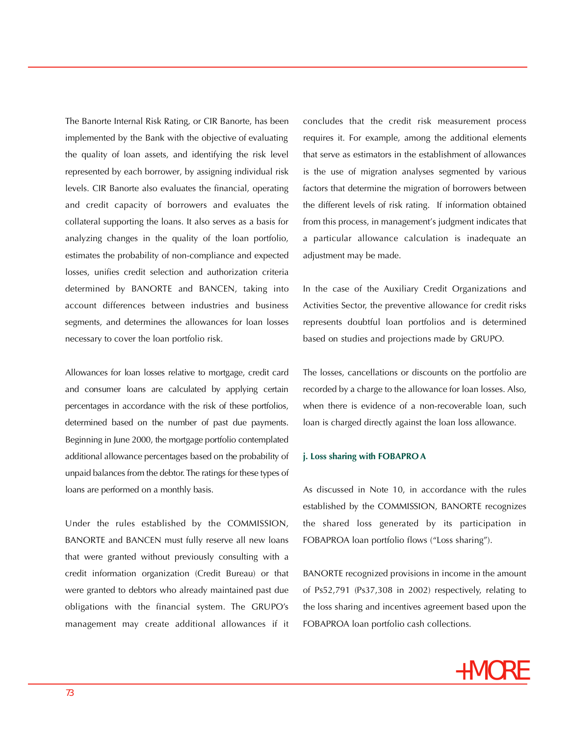The Banorte Internal Risk Rating, or CIR Banorte, has been implemented by the Bank with the objective of evaluating the quality of loan assets, and identifying the risk level represented by each borrower, by assigning individual risk levels. CIR Banorte also evaluates the financial, operating and credit capacity of borrowers and evaluates the collateral supporting the loans. It also serves as a basis for analyzing changes in the quality of the loan portfolio, estimates the probability of non-compliance and expected losses, unifies credit selection and authorization criteria determined by BANORTE and BANCEN, taking into account differences between industries and business segments, and determines the allowances for loan losses necessary to cover the loan portfolio risk.

Allowances for loan losses relative to mortgage, credit card and consumer loans are calculated by applying certain percentages in accordance with the risk of these portfolios, determined based on the number of past due payments. Beginning in June 2000, the mortgage portfolio contemplated additional allowance percentages based on the probability of unpaid balances from the debtor. The ratings for these types of loans are performed on a monthly basis.

Under the rules established by the COMMISSION, BANORTE and BANCEN must fully reserve all new loans that were granted without previously consulting with a credit information organization (Credit Bureau) or that were granted to debtors who already maintained past due obligations with the financial system. The GRUPO's management may create additional allowances if it

concludes that the credit risk measurement process requires it. For example, among the additional elements that serve as estimators in the establishment of allowances is the use of migration analyses segmented by various factors that determine the migration of borrowers between the different levels of risk rating. If information obtained from this process, in management's judgment indicates that a particular allowance calculation is inadequate an adjustment may be made.

In the case of the Auxiliary Credit Organizations and Activities Sector, the preventive allowance for credit risks represents doubtful loan portfolios and is determined based on studies and projections made by GRUPO.

The losses, cancellations or discounts on the portfolio are recorded by a charge to the allowance for loan losses. Also, when there is evidence of a non-recoverable loan, such loan is charged directly against the loan loss allowance.

#### **j. Loss sharing with FOBAPRO A**

As discussed in Note 10, in accordance with the rules established by the COMMISSION, BANORTE recognizes the shared loss generated by its participation in FOBAPROA loan portfolio flows ("Loss sharing").

BANORTE recognized provisions in income in the amount of Ps52,791 (Ps37,308 in 2002) respectively, relating to the loss sharing and incentives agreement based upon the FOBAPROA loan portfolio cash collections.

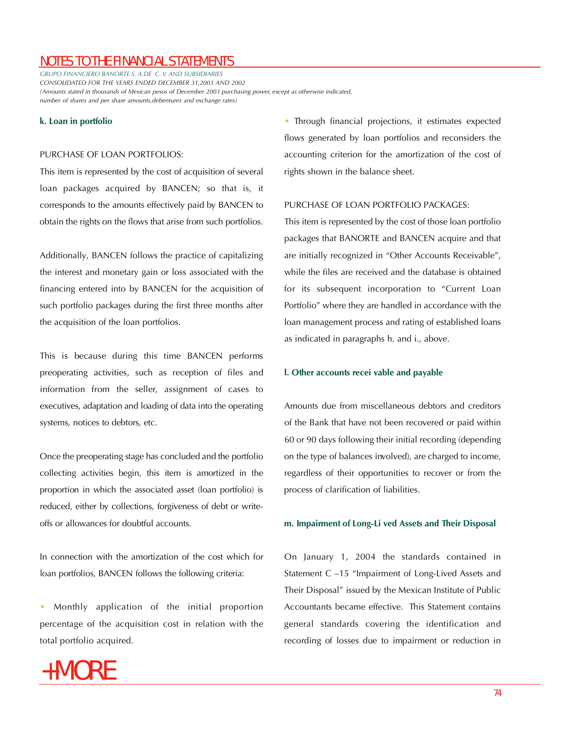*GRUPO FINANCIERO BANORTE S. A.DE C. V. AND SUBSIDIARIES CONSOLIDATED FOR THE YEARS ENDED DECEMBER 31,2003 AND 2002 (Amounts stated in thousands of Mexican pesos of December 2003 purchasing power, except as otherwise indicated, number of shares and per share amounts,debentures and exchange rates)*

#### **k. Loan in portfolio**

#### PURCHASE OF LOAN PORTFOLIOS:

This item is represented by the cost of acquisition of several loan packages acquired by BANCEN; so that is, it corresponds to the amounts effectively paid by BANCEN to obtain the rights on the flows that arise from such portfolios.

Additionally, BANCEN follows the practice of capitalizing the interest and monetary gain or loss associated with the financing entered into by BANCEN for the acquisition of such portfolio packages during the first three months after the acquisition of the loan portfolios.

This is because during this time BANCEN performs preoperating activities, such as reception of files and information from the seller, assignment of cases to executives, adaptation and loading of data into the operating systems, notices to debtors, etc.

Once the preoperating stage has concluded and the portfolio collecting activities begin, this item is amortized in the proportion in which the associated asset (loan portfolio) is reduced, either by collections, forgiveness of debt or writeoffs or allowances for doubtful accounts.

In connection with the amortization of the cost which for loan portfolios, BANCEN follows the following criteria:

• Monthly application of the initial proportion percentage of the acquisition cost in relation with the total portfolio acquired.



#### PURCHASE OF LOAN PORTFOLIO PACKAGES:

This item is represented by the cost of those loan portfolio packages that BANORTE and BANCEN acquire and that are initially recognized in "Other Accounts Receivable", while the files are received and the database is obtained for its subsequent incorporation to "Current Loan Portfolio" where they are handled in accordance with the loan management process and rating of established loans as indicated in paragraphs h. and i., above.

#### **l. Other accounts recei vable and payable**

Amounts due from miscellaneous debtors and creditors of the Bank that have not been recovered or paid within 60 or 90 days following their initial recording (depending on the type of balances involved), are charged to income, regardless of their opportunities to recover or from the process of clarification of liabilities.

#### **m. Impairment of Long-Li ved Assets and Their Disposal**

On January 1, 2004 the standards contained in Statement C –15 "Impairment of Long-Lived Assets and Their Disposal" issued by the Mexican Institute of Public Accountants became effective. This Statement contains general standards covering the identification and recording of losses due to impairment or reduction in

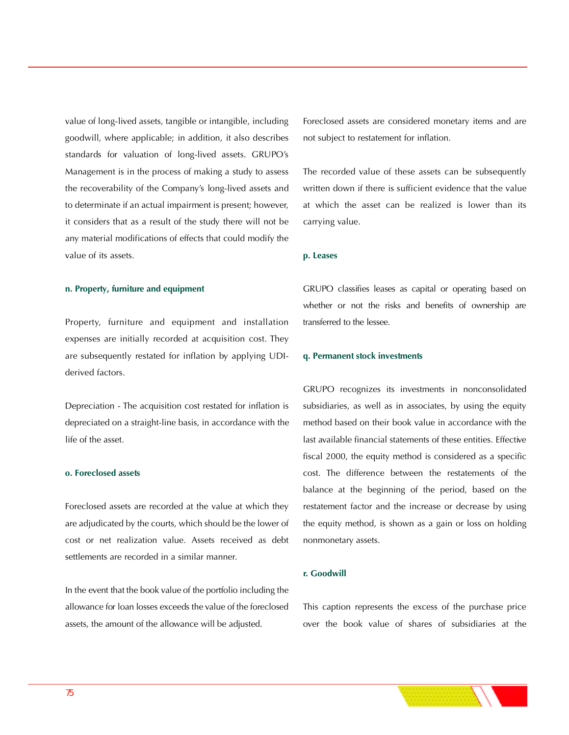value of long-lived assets, tangible or intangible, including goodwill, where applicable; in addition, it also describes standards for valuation of long-lived assets. GRUPO's Management is in the process of making a study to assess the recoverability of the Company's long-lived assets and to determinate if an actual impairment is present; however, it considers that as a result of the study there will not be any material modifications of effects that could modify the value of its assets.

#### **n. Property, furniture and equipment**

Property, furniture and equipment and installation expenses are initially recorded at acquisition cost. They are subsequently restated for inflation by applying UDIderived factors.

Depreciation - The acquisition cost restated for inflation is depreciated on a straight-line basis, in accordance with the life of the asset.

#### **o. Foreclosed assets**

Foreclosed assets are recorded at the value at which they are adjudicated by the courts, which should be the lower of cost or net realization value. Assets received as debt settlements are recorded in a similar manner.

In the event that the book value of the portfolio including the allowance for loan losses exceeds the value of the foreclosed assets, the amount of the allowance will be adjusted.

Foreclosed assets are considered monetary items and are not subject to restatement for inflation.

The recorded value of these assets can be subsequently written down if there is sufficient evidence that the value at which the asset can be realized is lower than its carrying value.

#### **p. Leases**

GRUPO classifies leases as capital or operating based on whether or not the risks and benefits of ownership are transferred to the lessee.

#### **q. Permanent stock investments**

GRUPO recognizes its investments in nonconsolidated subsidiaries, as well as in associates, by using the equity method based on their book value in accordance with the last available financial statements of these entities. Effective fiscal 2000, the equity method is considered as a specific cost. The difference between the restatements of the balance at the beginning of the period, based on the restatement factor and the increase or decrease by using the equity method, is shown as a gain or loss on holding nonmonetary assets.

#### **r. Goodwill**

This caption represents the excess of the purchase price over the book value of shares of subsidiaries at the

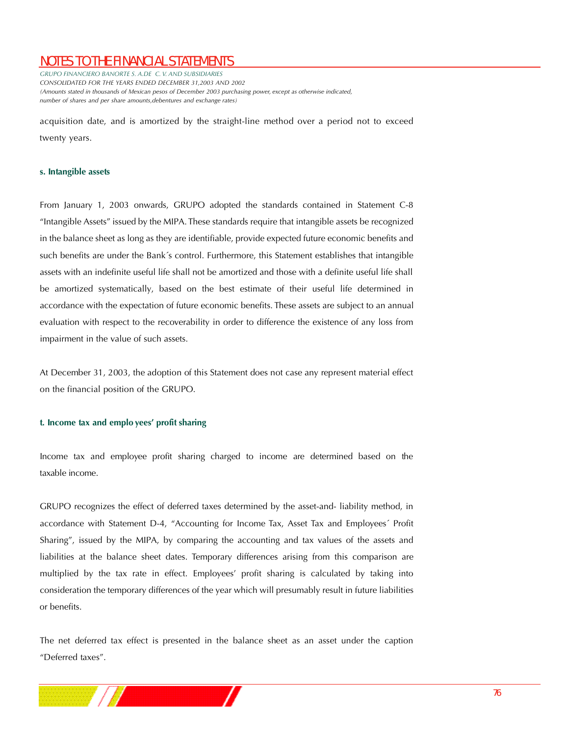*GRUPO FINANCIERO BANORTE S. A.DE C. V. AND SUBSIDIARIES CONSOLIDATED FOR THE YEARS ENDED DECEMBER 31,2003 AND 2002 (Amounts stated in thousands of Mexican pesos of December 2003 purchasing power, except as otherwise indicated, number of shares and per share amounts,debentures and exchange rates)*

acquisition date, and is amortized by the straight-line method over a period not to exceed twenty years.

#### **s. Intangible assets**

From January 1, 2003 onwards, GRUPO adopted the standards contained in Statement C-8 "Intangible Assets" issued by the MIPA. These standards require that intangible assets be recognized in the balance sheet as long as they are identifiable, provide expected future economic benefits and such benefits are under the Bank´s control. Furthermore, this Statement establishes that intangible assets with an indefinite useful life shall not be amortized and those with a definite useful life shall be amortized systematically, based on the best estimate of their useful life determined in accordance with the expectation of future economic benefits. These assets are subject to an annual evaluation with respect to the recoverability in order to difference the existence of any loss from impairment in the value of such assets.

At December 31, 2003, the adoption of this Statement does not case any represent material effect on the financial position of the GRUPO.

#### **t. Income tax and emplo yees' profit sharing**

Income tax and employee profit sharing charged to income are determined based on the taxable income.

GRUPO recognizes the effect of deferred taxes determined by the asset-and- liability method, in accordance with Statement D-4, "Accounting for Income Tax, Asset Tax and Employees´ Profit Sharing", issued by the MIPA, by comparing the accounting and tax values of the assets and liabilities at the balance sheet dates. Temporary differences arising from this comparison are multiplied by the tax rate in effect. Employees' profit sharing is calculated by taking into consideration the temporary differences of the year which will presumably result in future liabilities or benefits.

The net deferred tax effect is presented in the balance sheet as an asset under the caption "Deferred taxes".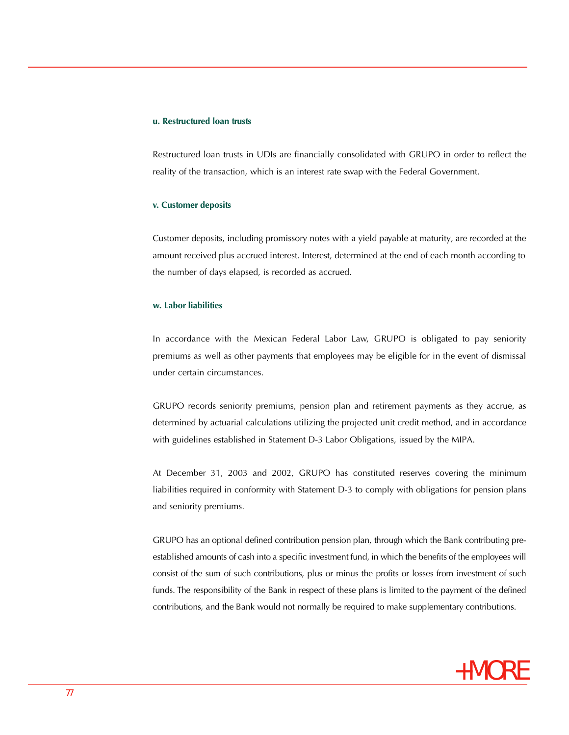# **u. Restructured loan trusts**

Restructured loan trusts in UDIs are financially consolidated with GRUPO in order to reflect the reality of the transaction, which is an interest rate swap with the Federal Government.

### **v. Customer deposits**

Customer deposits, including promissory notes with a yield payable at maturity, are recorded at the amount received plus accrued interest. Interest, determined at the end of each month according to the number of days elapsed, is recorded as accrued.

# **w. Labor liabilities**

In accordance with the Mexican Federal Labor Law, GRUPO is obligated to pay seniority premiums as well as other payments that employees may be eligible for in the event of dismissal under certain circumstances.

GRUPO records seniority premiums, pension plan and retirement payments as they accrue, as determined by actuarial calculations utilizing the projected unit credit method, and in accordance with guidelines established in Statement D-3 Labor Obligations, issued by the MIPA.

At December 31, 2003 and 2002, GRUPO has constituted reserves covering the minimum liabilities required in conformity with Statement D-3 to comply with obligations for pension plans and seniority premiums.

GRUPO has an optional defined contribution pension plan, through which the Bank contributing preestablished amounts of cash into a specific investment fund, in which the benefits of the employees will consist of the sum of such contributions, plus or minus the profits or losses from investment of such funds. The responsibility of the Bank in respect of these plans is limited to the payment of the defined contributions, and the Bank would not normally be required to make supplementary contributions.

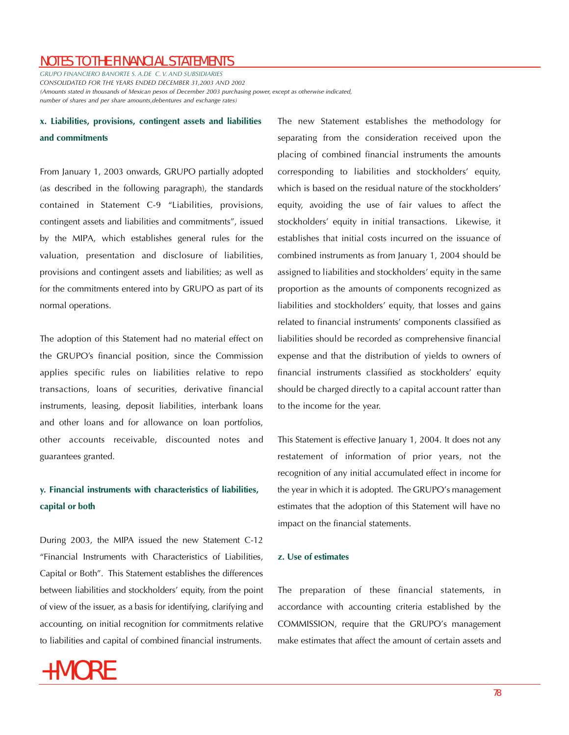*GRUPO FINANCIERO BANORTE S. A.DE C. V. AND SUBSIDIARIES CONSOLIDATED FOR THE YEARS ENDED DECEMBER 31,2003 AND 2002 (Amounts stated in thousands of Mexican pesos of December 2003 purchasing power, except as otherwise indicated, number of shares and per share amounts,debentures and exchange rates)*

# **x. Liabilities, provisions, contingent assets and liabilities and commitments**

From January 1, 2003 onwards, GRUPO partially adopted (as described in the following paragraph), the standards contained in Statement C-9 "Liabilities, provisions, contingent assets and liabilities and commitments", issued by the MIPA, which establishes general rules for the valuation, presentation and disclosure of liabilities, provisions and contingent assets and liabilities; as well as for the commitments entered into by GRUPO as part of its normal operations.

The adoption of this Statement had no material effect on the GRUPO's financial position, since the Commission applies specific rules on liabilities relative to repo transactions, loans of securities, derivative financial instruments, leasing, deposit liabilities, interbank loans and other loans and for allowance on loan portfolios, other accounts receivable, discounted notes and guarantees granted.

# **y. Financial instruments with characteristics of liabilities, capital or both**

During 2003, the MIPA issued the new Statement C-12 " Financial Instruments with Characteristics of Liabilities, Capital or Both". This Statement establishes the differences between liabilities and stockholders' equity, from the point of view of the issuer, as a basis for identifying, clarifying and accounting, on initial recognition for commitments relative to liabilities and capital of combined financial instruments.



The new Statement establishes the methodology for separating from the consideration received upon the placing of combined financial instruments the amounts corresponding to liabilities and stockholders' equity, which is based on the residual nature of the stockholders' equity, avoiding the use of fair values to affect the stockholders' equity in initial transactions. Likewise, it establishes that initial costs incurred on the issuance of combined instruments as from January 1, 2004 should be assigned to liabilities and stockholders' equity in the same proportion as the amounts of components recognized as liabilities and stockholders' equity, that losses and gains related to financial instruments' components classified as liabilities should be recorded as comprehensive financial expense and that the distribution of yields to owners of financial instruments classified as stockholders' equity should be charged directly to a capital account ratter than to the income for the year.

This Statement is effective January 1, 2004. It does not any restatement of information of prior years, not the recognition of any initial accumulated effect in income for the year in which it is adopted. The GRUPO's management estimates that the adoption of this Statement will have no impact on the financial statements.

## **z. Use of estimates**

The preparation of these financial statements, in accordance with accounting criteria established by the COMMISSION, require that the GRUPO's management make estimates that affect the amount of certain assets and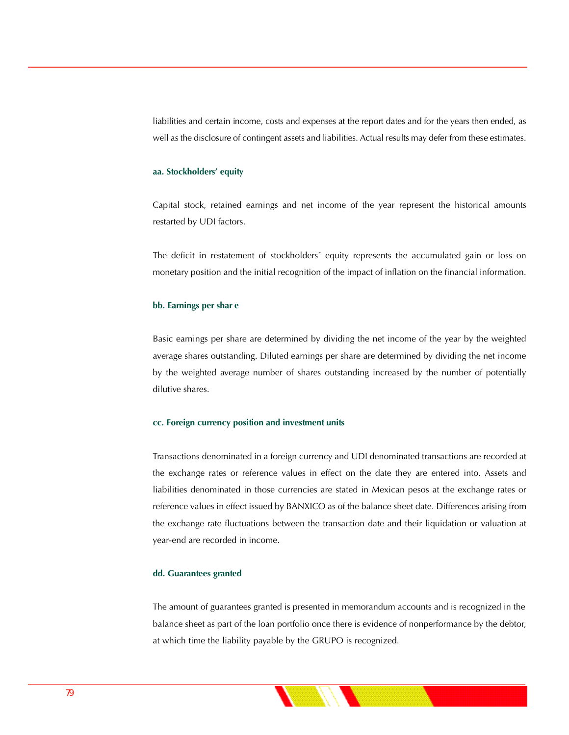liabilities and certain income, costs and expenses at the report dates and for the years then ended, as well as the disclosure of contingent assets and liabilities. Actual results may defer from these estimates.

## **aa. Stockholders' equity**

Capital stock, retained earnings and net income of the year represent the historical amounts restarted by UDI factors.

The deficit in restatement of stockholders´ equity represents the accumulated gain or loss on monetary position and the initial recognition of the impact of inflation on the financial information.

## **bb. Earnings per shar e**

Basic earnings per share are determined by dividing the net income of the year by the weighted average shares outstanding. Diluted earnings per share are determined by dividing the net income by the weighted average number of shares outstanding increased by the number of potentially dilutive shares.

## **cc. Foreign currency position and investment units**

Transactions denominated in a foreign currency and UDI denominated transactions are recorded at the exchange rates or reference values in effect on the date they are entered into. Assets and liabilities denominated in those currencies are stated in Mexican pesos at the exchange rates or reference values in effect issued by BANXICO as of the balance sheet date. Differences arising from the exchange rate fluctuations between the transaction date and their liquidation or valuation at year-end are recorded in income.

## **dd. Guarantees granted**

The amount of guarantees granted is presented in memorandum accounts and is recognized in the balance sheet as part of the loan portfolio once there is evidence of nonperformance by the debtor, at which time the liability payable by the GRUPO is recognized.

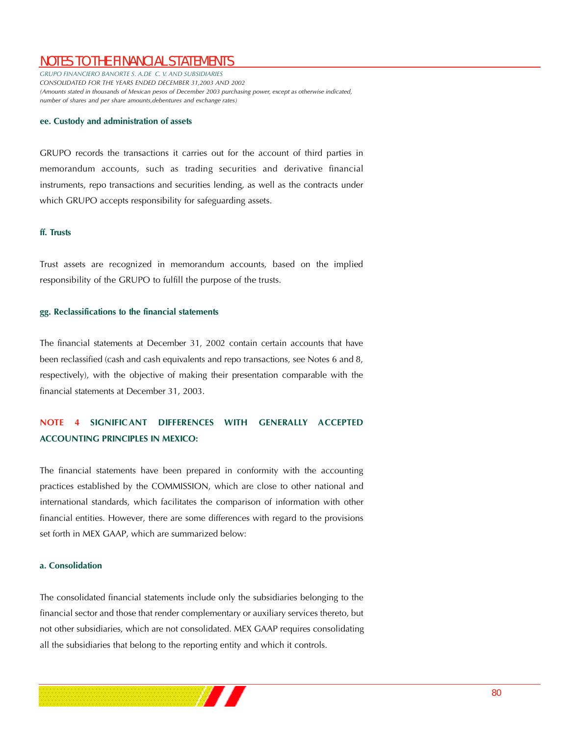*GRUPO FINANCIERO BANORTE S. A.DE C. V. AND SUBSIDIARIES CONSOLIDATED FOR THE YEARS ENDED DECEMBER 31,2003 AND 2002 (Amounts stated in thousands of Mexican pesos of December 2003 purchasing power, except as otherwise indicated, number of shares and per share amounts,debentures and exchange rates)*

## **ee. Custody and administration of assets**

GRUPO records the transactions it carries out for the account of third parties in memorandum accounts, such as trading securities and derivative financial instruments, repo transactions and securities lending, as well as the contracts under which GRUPO accepts responsibility for safeguarding assets.

## **ff. Trusts**

Trust assets are recognized in memorandum accounts, based on the implied responsibility of the GRUPO to fulfill the purpose of the trusts.

## **gg. Reclassifications to the financial statements**

The financial statements at December 31, 2002 contain certain accounts that have been reclassified (cash and cash equivalents and repo transactions, see Notes 6 and 8, respectively), with the objective of making their presentation comparable with the financial statements at December 31, 2003.

# **NOTE 4 SIGNIFICANT DIFFERENCES WITH GENERALLY ACCEPTED ACCOUNTING PRINCIPLES IN MEXICO:**

The financial statements have been prepared in conformity with the accounting practices established by the COMMISSION, which are close to other national and international standards, which facilitates the comparison of information with other financial entities. However, there are some differences with regard to the provisions set forth in MEX GAAP, which are summarized below:

## **a. Consolidation**

The consolidated financial statements include only the subsidiaries belonging to the financial sector and those that render complementary or auxiliary services thereto, but not other subsidiaries, which are not consolidated. MEX GAAP requires consolidating all the subsidiaries that belong to the reporting entity and which it controls.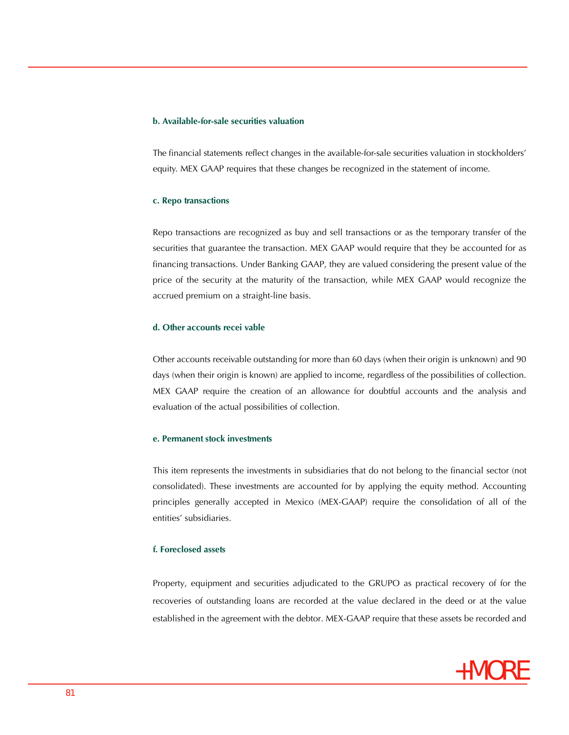# **b. Available-for-sale securities valuation**

The financial statements reflect changes in the available-for-sale securities valuation in stockholders' equity. MEX GAAP requires that these changes be recognized in the statement of income.

## **c. Repo transactions**

Repo transactions are recognized as buy and sell transactions or as the temporary transfer of the securities that guarantee the transaction. MEX GAAP would require that they be accounted for as financing transactions. Under Banking GAAP, they are valued considering the present value of the price of the security at the maturity of the transaction, while MEX GAAP would recognize the accrued premium on a straight-line basis.

## **d. Other accounts recei vable**

Other accounts receivable outstanding for more than 60 days (when their origin is unknown) and 90 days (when their origin is known) are applied to income, regardless of the possibilities of collection. MEX GAAP require the creation of an allowance for doubtful accounts and the analysis and evaluation of the actual possibilities of collection.

# **e. Permanent stock investments**

This item represents the investments in subsidiaries that do not belong to the financial sector (not consolidated). These investments are accounted for by applying the equity method. Accounting principles generally accepted in Mexico (MEX-GAAP) require the consolidation of all of the entities' subsidiaries.

# **f. Foreclosed assets**

Property, equipment and securities adjudicated to the GRUPO as practical recovery of for the recoveries of outstanding loans are recorded at the value declared in the deed or at the value established in the agreement with the debtor. MEX-GAAP require that these assets be recorded and

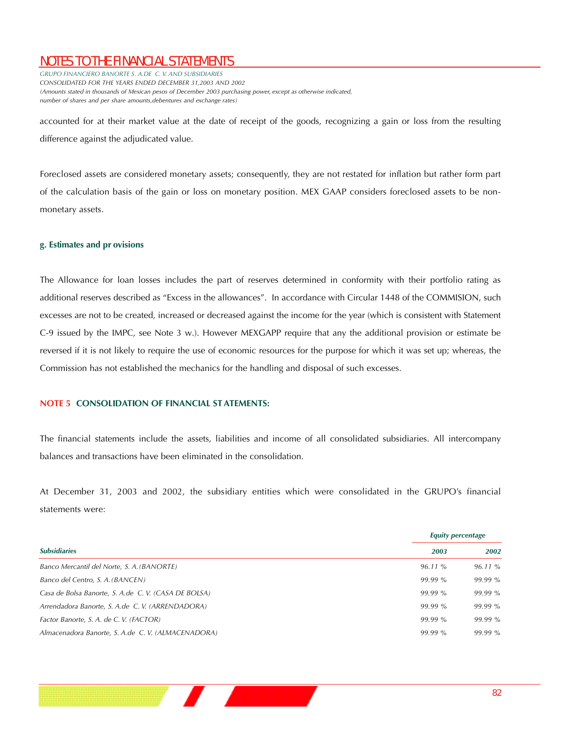*GRUPO FINANCIERO BANORTE S. A.DE C. V. AND SUBSIDIARIES CONSOLIDATED FOR THE YEARS ENDED DECEMBER 31,2003 AND 2002 (Amounts stated in thousands of Mexican pesos of December 2003 purchasing power, except as otherwise indicated, number of shares and per share amounts,debentures and exchange rates)*

accounted for at their market value at the date of receipt of the goods, recognizing a gain or loss from the resulting difference against the adjudicated value.

Foreclosed assets are considered monetary assets; consequently, they are not restated for inflation but rather form part of the calculation basis of the gain or loss on monetary position. MEX GAAP considers foreclosed assets to be nonmonetary assets.

## **g. Estimates and pr ovisions**

The Allowance for loan losses includes the part of reserves determined in conformity with their portfolio rating as additional reserves described as "Excess in the allowances". In accordance with Circular 1448 of the COMMISION, such excesses are not to be created, increased or decreased against the income for the year (which is consistent with Statement C-9 issued by the IMPC, see Note 3 w.). However MEXGAPP require that any the additional provision or estimate be reversed if it is not likely to require the use of economic resources for the purpose for which it was set up; whereas, the Commission has not established the mechanics for the handling and disposal of such excesses.

# **NOTE 5 CONSOLIDATION OF FINANCIAL ST ATEMENTS:**

The financial statements include the assets, liabilities and income of all consolidated subsidiaries. All intercompany balances and transactions have been eliminated in the consolidation.

At December 31, 2003 and 2002, the subsidiary entities which were consolidated in the GRUPO's financial statements were:

|                                                      | <b>Equity percentage</b> |         |
|------------------------------------------------------|--------------------------|---------|
| <b>Subsidiaries</b>                                  | 2003                     | 2002    |
| Banco Mercantil del Norte, S. A. (BANORTE)           | $96.11\%$                | 96.11%  |
| Banco del Centro, S. A. (BANCEN)                     | $99.99\%$                | 99.99 % |
| Casa de Bolsa Banorte, S. A.de C. V. (CASA DE BOLSA) | $99.99\%$                | 99.99 % |
| Arrendadora Banorte, S. A.de C. V. (ARRENDADORA)     | $99.99\%$                | 99.99 % |
| Factor Banorte, S. A. de C. V. (FACTOR)              | $99.99\%$                | 99.99 % |
| Almacenadora Banorte, S. A.de C. V. (ALMACENADORA)   | $99.99\%$                | 99.99 % |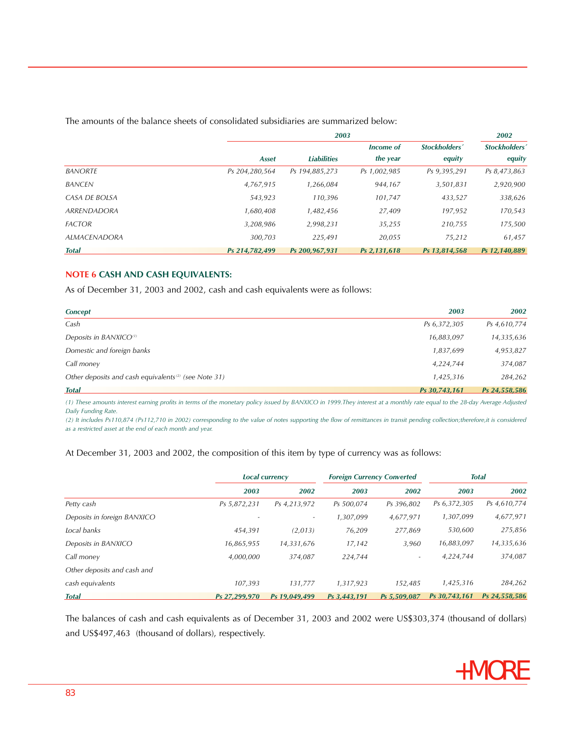|                     |                | 2003               |              |               |               |
|---------------------|----------------|--------------------|--------------|---------------|---------------|
|                     |                |                    | Income of    | Stockholders' | Stockholders' |
|                     | <b>Asset</b>   | <b>Liabilities</b> | the year     | equity        | equity        |
| <b>BANORTE</b>      | Ps 204,280,564 | Ps 194,885,273     | Ps 1,002,985 | Ps 9,395,291  | Ps 8,473,863  |
| <b>BANCEN</b>       | 4,767,915      | 1,266,084          | 944,167      | 3,501,831     | 2,920,900     |
| CASA DE BOLSA       | 543,923        | 110,396            | 101,747      | 433,527       | 338,626       |
| <b>ARRENDADORA</b>  | 1,680,408      | 1,482,456          | 27,409       | 197,952       | 170,543       |
| <b>FACTOR</b>       | 3,208,986      | 2,998,231          | 35,255       | 210,755       | 175,500       |
| <b>AIMACENADORA</b> | 300,703        | 225,491            | 20,055       | 75,212        | 61,457        |
| <b>Total</b>        | Ps 214.782.499 | Ps 200.967.931     | Ps 2.131.618 | Ps 13.814.568 | Ps 12.140.889 |

The amounts of the balance sheets of consolidated subsidiaries are summarized below:

# **NOTE 6 CASH AND CASH EQUIVALENTS:**

As of December 31, 2003 and 2002, cash and cash equivalents were as follows:

| <b>Concept</b>                                                   | 2003          | 2002          |
|------------------------------------------------------------------|---------------|---------------|
| Cash                                                             | Ps 6,372,305  | Ps 4,610,774  |
| Deposits in BANXICO <sup>(1)</sup>                               | 16,883,097    | 14,335,636    |
| Domestic and foreign banks                                       | 1,837,699     | 4,953,827     |
| Call money                                                       | 4,224,744     | 374,087       |
| Other deposits and cash equivalents <sup>(2)</sup> (see Note 31) | 1,425,316     | 284,262       |
| <b>Total</b>                                                     | Ps 30,743,161 | Ps 24,558,586 |

*(1) These amounts interest earning profits in terms of the monetary policy issued by BANXICO in 1999.They interest at a monthly rate equal to the 28-day Average Adjusted Daily Funding Rate.*

*(2) It includes Ps110,874 (Ps112,710 in 2002) corresponding to the value of notes supporting the flow of remittances in transit pending collection;therefore,it is considered as a restricted asset at the end of each month and year.*

## At December 31, 2003 and 2002, the composition of this item by type of currency was as follows:

|                             | <b>Local currency</b> |                          | <b>Foreign Currency Converted</b> |              | <b>Total</b>  |               |
|-----------------------------|-----------------------|--------------------------|-----------------------------------|--------------|---------------|---------------|
|                             | 2003                  | 2002                     | 2003                              | 2002         | 2003          | 2002          |
| Petty cash                  | Ps 5,872,231          | Ps 4,213,972             | Ps 500.074                        | Ps 396,802   | Ps 6,372,305  | Ps 4,610,774  |
| Deposits in foreign BANXICO |                       | $\overline{\phantom{a}}$ | 1,307,099                         | 4,677,971    | 1,307,099     | 4,677,971     |
| Local banks                 | 454,391               | (2,013)                  | 76,209                            | 277,869      | 530,600       | 275,856       |
| Deposits in BANXICO         | 16,865,955            | 14,331,676               | 17,142                            | 3,960        | 16,883,097    | 14,335,636    |
| Call money                  | 4,000,000             | 374.087                  | 224.744                           |              | 4,224,744     | 374,087       |
| Other deposits and cash and |                       |                          |                                   |              |               |               |
| cash equivalents            | 107.393               | 131.777                  | 1,317,923                         | 152.485      | 1,425,316     | 284,262       |
| <b>Total</b>                | Ps 27,299,970         | Ps 19,049,499            | Ps 3,443,191                      | Ps 5,509,087 | Ps 30,743,161 | Ps 24,558,586 |

The balances of cash and cash equivalents as of December 31, 2003 and 2002 were US\$303,374 (thousand of dollars) and US\$497,463 (thousand of dollars), respectively.

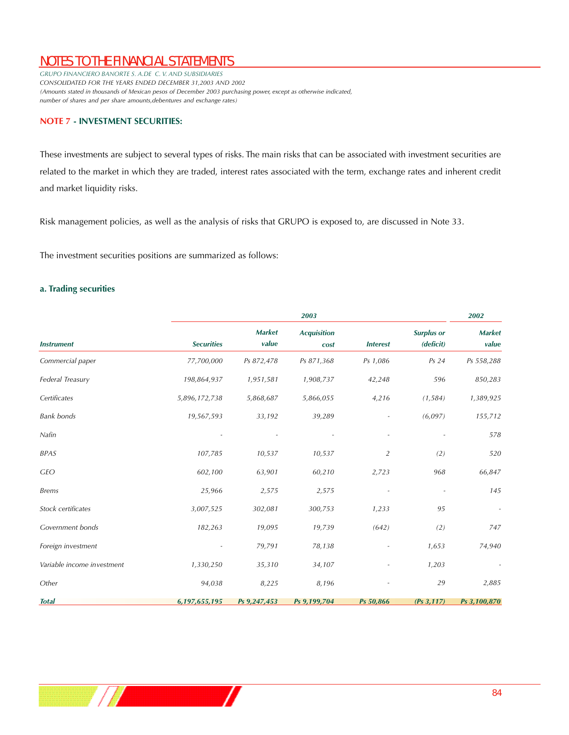*GRUPO FINANCIERO BANORTE S. A.DE C. V. AND SUBSIDIARIES CONSOLIDATED FOR THE YEARS ENDED DECEMBER 31,2003 AND 2002 (Amounts stated in thousands of Mexican pesos of December 2003 purchasing power, except as otherwise indicated, number of shares and per share amounts,debentures and exchange rates)*

# **NOTE 7 - INVESTMENT SECURITIES:**

**The Company of the Company of the Company of the Company of the Company of the Company of the Company of the** 

These investments are subject to several types of risks. The main risks that can be associated with investment securities are related to the market in which they are traded, interest rates associated with the term, exchange rates and inherent credit and market liquidity risks.

Risk management policies, as well as the analysis of risks that GRUPO is exposed to, are discussed in Note 33.

The investment securities positions are summarized as follows:

# **a. Trading securities**

|                            | 2003              |                        |                            |                 |                                | 2002                   |
|----------------------------|-------------------|------------------------|----------------------------|-----------------|--------------------------------|------------------------|
| <b>Instrument</b>          | <b>Securities</b> | <b>Market</b><br>value | <b>Acquisition</b><br>cost | <b>Interest</b> | <b>Surplus or</b><br>(deficit) | <b>Market</b><br>value |
| Commercial paper           | 77,700,000        | Ps 872,478             | Ps 871,368                 | Ps 1,086        | Ps 24                          | Ps 558,288             |
| Federal Treasury           | 198,864,937       | 1,951,581              | 1,908,737                  | 42,248          | 596                            | 850,283                |
| Certificates               | 5,896,172,738     | 5,868,687              | 5,866,055                  | 4,216           | (1,584)                        | 1,389,925              |
| <b>Bank</b> bonds          | 19,567,593        | 33,192                 | 39,289                     |                 | (6,097)                        | 155,712                |
| Nafin                      |                   |                        |                            |                 |                                | 578                    |
| <b>BPAS</b>                | 107,785           | 10,537                 | 10,537                     | $\overline{2}$  | (2)                            | 520                    |
| <b>GEO</b>                 | 602,100           | 63,901                 | 60,210                     | 2,723           | 968                            | 66,847                 |
| <b>Brems</b>               | 25,966            | 2,575                  | 2,575                      |                 |                                | 145                    |
| Stock certificates         | 3,007,525         | 302,081                | 300,753                    | 1,233           | 95                             |                        |
| Government bonds           | 182,263           | 19,095                 | 19,739                     | (642)           | (2)                            | 747                    |
| Foreign investment         |                   | 79,791                 | 78,138                     |                 | 1,653                          | 74,940                 |
| Variable income investment | 1,330,250         | 35,310                 | 34,107                     |                 | 1,203                          |                        |
| Other                      | 94,038            | 8,225                  | 8,196                      |                 | 29                             | 2,885                  |
| <b>Total</b>               | 6,197,655,195     | Ps 9,247,453           | Ps 9,199,704               | Ps 50,866       | (Ps 3, 117)                    | Ps 3,100,870           |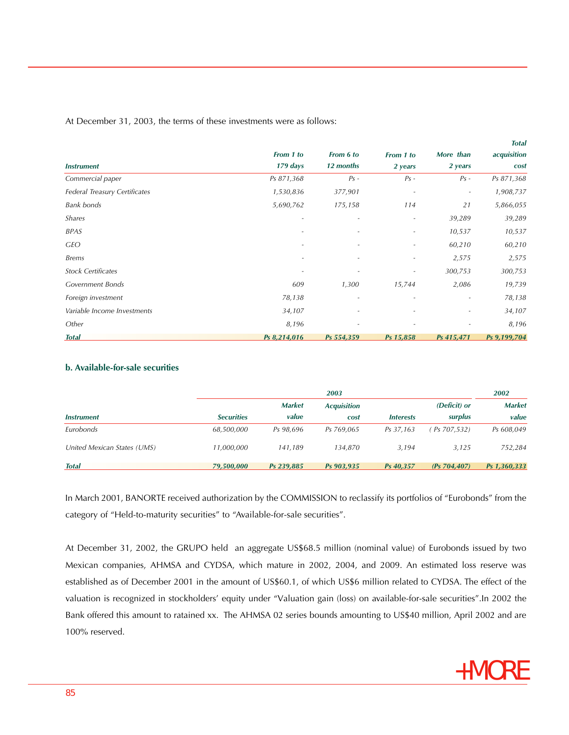At December 31, 2003, the terms of these investments were as follows:

|                               |                          |                          |                          |                          | <b>Total</b> |
|-------------------------------|--------------------------|--------------------------|--------------------------|--------------------------|--------------|
|                               | From 1 to                | From 6 to                | From 1 to                | More than                | acquisition  |
| <b>Instrument</b>             | 179 days                 | 12 months                | 2 years                  | 2 years                  | cost         |
| Commercial paper              | Ps 871,368               | $Ps -$                   | $Ps -$                   | $Ps -$                   | Ps 871,368   |
| Federal Treasury Certificates | 1,530,836                | 377,901                  | $\overline{\phantom{a}}$ | $\overline{\phantom{a}}$ | 1,908,737    |
| <b>Bank</b> bonds             | 5,690,762                | 175,158                  | 114                      | 21                       | 5,866,055    |
| <b>Shares</b>                 | $\overline{\phantom{a}}$ | $\overline{\phantom{a}}$ | $\overline{\phantom{a}}$ | 39,289                   | 39,289       |
| <b>BPAS</b>                   |                          |                          | $\overline{\phantom{a}}$ | 10,537                   | 10,537       |
| <b>GEO</b>                    | $\overline{\phantom{a}}$ | $\overline{\phantom{a}}$ | $\overline{\phantom{a}}$ | 60,210                   | 60,210       |
| <b>Brems</b>                  |                          |                          | $\overline{\phantom{a}}$ | 2,575                    | 2,575        |
| <b>Stock Certificates</b>     | $\overline{\phantom{a}}$ | $\overline{\phantom{a}}$ | $\overline{\phantom{a}}$ | 300,753                  | 300,753      |
| <b>Government Bonds</b>       | 609                      | 1,300                    | 15,744                   | 2,086                    | 19,739       |
| Foreign investment            | 78,138                   | $\overline{\phantom{a}}$ | $\overline{\phantom{a}}$ | $\overline{\phantom{a}}$ | 78,138       |
| Variable Income Investments   | 34,107                   | $\overline{\phantom{a}}$ |                          |                          | 34,107       |
| Other                         | 8,196                    | ٠                        | $\overline{\phantom{a}}$ | $\overline{\phantom{a}}$ | 8,196        |
| <b>Total</b>                  | Ps 8,214,016             | Ps 554,359               | Ps 15,858                | Ps 415,471               | Ps 9,199,704 |

# **b. Available-for-sale securities**

|                             | 2003              |               |                    |                                |               | 2002          |
|-----------------------------|-------------------|---------------|--------------------|--------------------------------|---------------|---------------|
|                             |                   | <b>Market</b> | <b>Acquisition</b> |                                | (Deficit) or  | <b>Market</b> |
| <i><b>Instrument</b></i>    | <b>Securities</b> | value         | cost               | <i><u><b>Interests</b></u></i> | surplus       | value         |
| Eurobonds                   | 68,500,000        | Ps 98,696     | Ps 769.065         | Ps 37.163                      | (Ps 707.532)  | Ps 608,049    |
| United Mexican States (UMS) | 11,000,000        | 141.189       | 134.870            | 3.194                          | 3.125         | 752,284       |
| <b>Total</b>                | 79,500,000        | Ps 239.885    | Ps 903.935         | Ps 40.357                      | (Ps 704, 407) | Ps 1,360,333  |

In March 2001, BANORTE received authorization by the COMMISSION to reclassify its portfolios of "Eurobonds" from the category of "Held-to-maturity securities" to "Available-for-sale securities".

At December 31, 2002, the GRUPO held an aggregate US\$68.5 million (nominal value) of Eurobonds issued by two Mexican companies, AHMSA and CYDSA, which mature in 2002, 2004, and 2009. An estimated loss reserve was established as of December 2001 in the amount of US\$60.1, of which US\$6 million related to CYDSA. The effect of the valuation is recognized in stockholders' equity under "Valuation gain (loss) on available-for-sale securities".In 2002 the Bank offered this amount to ratained xx. The AHMSA 02 series bounds amounting to US\$40 million, April 2002 and are 100% reserved.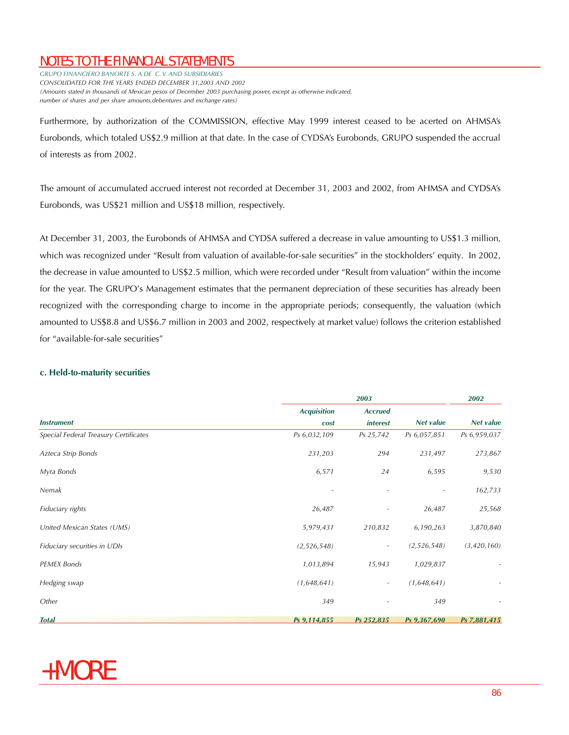*GRUPO FINANCIERO BANORTE S. A.DE C. V. AND SUBSIDIARIES CONSOLIDATED FOR THE YEARS ENDED DECEMBER 31,2003 AND 2002 (Amounts stated in thousands of Mexican pesos of December 2003 purchasing power, except as otherwise indicated, number of shares and per share amounts,debentures and exchange rates)*

Furthermore, by authorization of the COMMISSION, effective May 1999 interest ceased to be acerted on AHMSA's Eurobonds, which totaled US\$2.9 million at that date. In the case of CYDSA's Eurobonds, GRUPO suspended the accrual of interests as from 2002.

The amount of accumulated accrued interest not recorded at December 31, 2003 and 2002, from AHMSA and CYDSA's Eurobonds, was US\$21 million and US\$18 million, respectively.

At December 31, 2003, the Eurobonds of AHMSA and CYDSA suffered a decrease in value amounting to US\$1.3 million, which was recognized under "Result from valuation of available-for-sale securities" in the stockholders' equity. In 2002, the decrease in value amounted to US\$2.5 million, which were recorded under "Result from valuation" within the income for the year. The GRUPO's Management estimates that the permanent depreciation of these securities has already been recognized with the corresponding charge to income in the appropriate periods; consequently, the valuation (which amounted to US\$8.8 and US\$6.7 million in 2003 and 2002, respectively at market value) follows the criterion established for "available-for-sale securities"

# **c. Held-to-maturity securities**

|                                       |                    | 2003                     |              |                          |
|---------------------------------------|--------------------|--------------------------|--------------|--------------------------|
|                                       | <b>Acquisition</b> | <b>Accrued</b>           |              |                          |
| <b>Instrument</b>                     | cost               | <i>interest</i>          | Net value    | Net value                |
| Special Federal Treasury Certificates | Ps 6,032,109       | Ps 25,742                | Ps 6,057,851 | Ps 6,959,037             |
| Azteca Strip Bonds                    | 231,203            | 294                      | 231,497      | 273,867                  |
| Myra Bonds                            | 6,571              | 24                       | 6,595        | 9,530                    |
| Nemak                                 |                    |                          |              | 162,733                  |
| Fiduciary rights                      | 26,487             |                          | 26,487       | 25,568                   |
| United Mexican States (UMS)           | 5,979,431          | 210,832                  | 6,190,263    | 3,870,840                |
| Fiduciary securities in UDIs          | (2,526,548)        | $\overline{\phantom{a}}$ | (2,526,548)  | (3,420,160)              |
| <b>PEMEX Bonds</b>                    | 1,013,894          | 15,943                   | 1,029,837    | $\overline{\phantom{a}}$ |
| Hedging swap                          | (1,648,641)        | $\overline{\phantom{a}}$ | (1,648,641)  | $\overline{\phantom{a}}$ |
| Other                                 | 349                |                          | 349          |                          |
| <b>Total</b>                          | Ps 9,114,855       | Ps 252,835               | Ps 9,367,690 | Ps 7,881,415             |

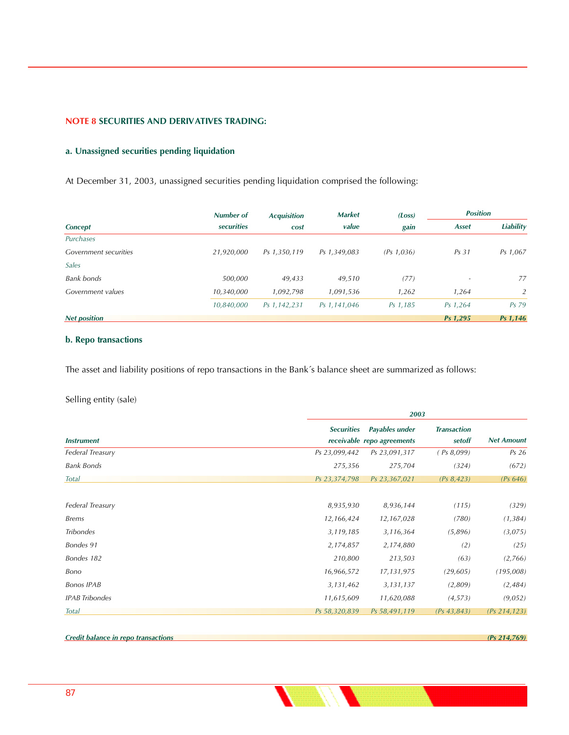# **NOTE 8 SECURITIES AND DERIVATIVES TRADING:**

# **a. Unassigned securities pending liquidation**

At December 31, 2003, unassigned securities pending liquidation comprised the following:

|                              | Number of         | <b>Market</b><br><b>Acquisition</b> |              | (Loss)        | <b>Position</b> |              |
|------------------------------|-------------------|-------------------------------------|--------------|---------------|-----------------|--------------|
| <b>Concept</b>               | <b>securities</b> | cost                                | value        | gain          | <b>Asset</b>    | Liability    |
| Purchases                    |                   |                                     |              |               |                 |              |
| <b>Government securities</b> | 21,920,000        | Ps 1,350,119                        | Ps 1,349,083 | $(Ps\ 1.036)$ | Ps 31           | Ps 1,067     |
| Sales                        |                   |                                     |              |               |                 |              |
| Bank bonds                   | 500,000           | 49,433                              | 49,510       | (77)          | $\sim$          | 77           |
| Government values            | 10,340,000        | 1,092,798                           | 1,091,536    | 1,262         | 1,264           | 2            |
|                              | 10,840,000        | Ps 1,142,231                        | Ps 1,141,046 | Ps 1,185      | Ps 1,264        | <i>Ps</i> 79 |
| <b>Net position</b>          |                   |                                     |              |               | Ps 1,295        | Ps 1,146     |

# **b. Repo transactions**

The asset and liability positions of repo transactions in the Bank´s balance sheet are summarized as follows:

Selling entity (sale)

|                       | 2003              |                                              |                              |                   |  |
|-----------------------|-------------------|----------------------------------------------|------------------------------|-------------------|--|
| <b>Instrument</b>     | <b>Securities</b> | Payables under<br>receivable repo agreements | <b>Transaction</b><br>setoff | <b>Net Amount</b> |  |
| Federal Treasury      | Ps 23,099,442     | Ps 23,091,317                                | (Ps 8,099)                   | Ps 26             |  |
| <b>Bank Bonds</b>     | 275,356           | 275,704                                      | (324)                        | (672)             |  |
| Total                 | Ps 23,374,798     | Ps 23,367,021                                | (Ps 8, 423)                  | (Ps 646)          |  |
|                       |                   |                                              |                              |                   |  |
| Federal Treasury      | 8,935,930         | 8,936,144                                    | (115)                        | (329)             |  |
| <b>Brems</b>          | 12,166,424        | 12,167,028                                   | (780)                        | (1, 384)          |  |
| <b>Tribondes</b>      | 3,119,185         | 3,116,364                                    | (5,896)                      | (3,075)           |  |
| Bondes 91             | 2,174,857         | 2,174,880                                    | (2)                          | (25)              |  |
| Bondes 182            | 210,800           | 213,503                                      | (63)                         | (2,766)           |  |
| Bono                  | 16,966,572        | 17,131,975                                   | (29, 605)                    | (195,008)         |  |
| <b>Bonos IPAB</b>     | 3,131,462         | 3,131,137                                    | (2,809)                      | (2,484)           |  |
| <b>IPAB</b> Tribondes | 11,615,609        | 11,620,088                                   | (4, 573)                     | (9,052)           |  |
| Total                 | Ps 58,320,839     | Ps 58,491,119                                | (Ps 43, 843)                 | (Ps 214, 123)     |  |

*Credit balance in repo transactions*

*(Ps 214,769)*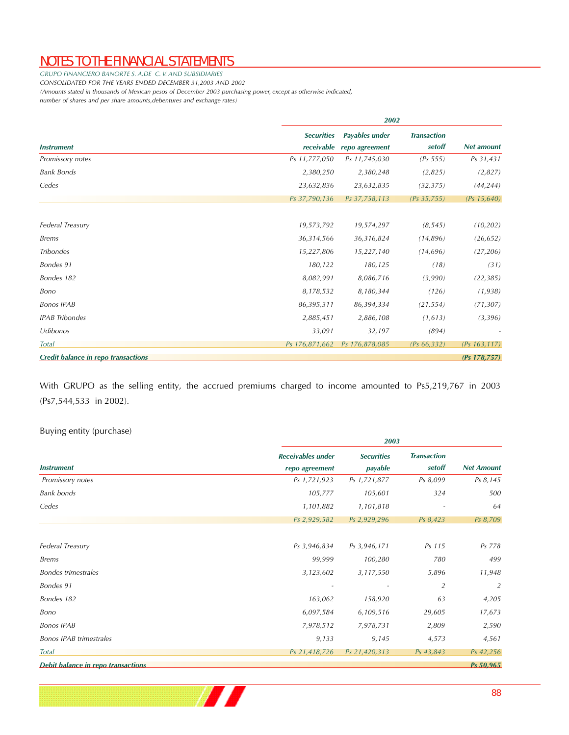*GRUPO FINANCIERO BANORTE S. A.DE C. V. AND SUBSIDIARIES*

*CONSOLIDATED FOR THE YEARS ENDED DECEMBER 31,2003 AND 2002*

*(Amounts stated in thousands of Mexican pesos of December 2003 purchasing power, except as otherwise indicated, number of shares and per share amounts,debentures and exchange rates)*

*Promissory notes Bank Bonds Cedes Federal Treasury Brems Tribondes Bondes 91 Bondes 182 Bono Bonos IPAB IPAB Tribondes Udibonos Total Credit balance in repo transactions 2002 Instrument Securities receivable Payables under repo agreement Transaction setoff Net amount Ps 11,777,050 2,380,250 23,632,836 Ps 37,790,136 19,573,792 36,314,566 15,227,806 180,122 8,082,991 8,178,532 86,395,311 2,885,451 33,091 Ps 176,871,662 Ps 176,878,085 Ps 11,745,030 2,380,248 23,632,835 Ps 37,758,113 19,574,297 36,316,824 15,227,140 180,125 8,086,716 8,180,344 86,394,334 2,886,108 32,197 (Ps 555) (2,825) (32,375) (Ps 35,755) (8,545) (14,896) (14,696) (18) (3,990) (126) (21,554) (1,613) (894) (Ps 66,332) Ps 31,431 (2,827) (44,244) (Ps 15,640) (10,202) (26,652) (27,206) (31) (22,385) (1,938) (71,307) (3,396) - (Ps 163,117) (Ps 178,757)*

With GRUPO as the selling entity, the accrued premiums charged to income amounted to Ps5,219,767 in 2003 (Ps7,544,533 in 2002).

Buying entity (purchase)

|                                    | 2003                     |                   |                    |                   |  |  |
|------------------------------------|--------------------------|-------------------|--------------------|-------------------|--|--|
|                                    | <b>Receivables under</b> | <b>Securities</b> | <b>Transaction</b> |                   |  |  |
| <b>Instrument</b>                  | repo agreement           | payable           | setoff             | <b>Net Amount</b> |  |  |
| Promissory notes                   | Ps 1,721,923             | Ps 1,721,877      | Ps 8,099           | Ps 8,145          |  |  |
| <b>Bank</b> bonds                  | 105,777                  | 105,601           | 324                | 500               |  |  |
| Cedes                              | 1,101,882                | 1,101,818         |                    | 64                |  |  |
|                                    | Ps 2,929,582             | Ps 2,929,296      | Ps 8,423           | Ps 8,709          |  |  |
|                                    |                          |                   |                    |                   |  |  |
| Federal Treasury                   | Ps 3,946,834             | Ps 3,946,171      | Ps 115             | Ps 778            |  |  |
| <b>Brems</b>                       | 99,999                   | 100,280           | 780                | 499               |  |  |
| Bondes trimestrales                | 3,123,602                | 3,117,550         | 5,896              | 11,948            |  |  |
| Bondes 91                          |                          |                   | $\overline{2}$     | $\overline{2}$    |  |  |
| Bondes 182                         | 163,062                  | 158,920           | 63                 | 4,205             |  |  |
| Bono                               | 6,097,584                | 6,109,516         | 29,605             | 17,673            |  |  |
| <b>Bonos IPAB</b>                  | 7,978,512                | 7,978,731         | 2,809              | 2,590             |  |  |
| <b>Bonos IPAB trimestrales</b>     | 9,133                    | 9,145             | 4,573              | 4,561             |  |  |
| <b>Total</b>                       | Ps 21,418,726            | Ps 21,420,313     | Ps 43,843          | Ps 42,256         |  |  |
| Debit balance in repo transactions |                          |                   |                    | Ps 50,965         |  |  |

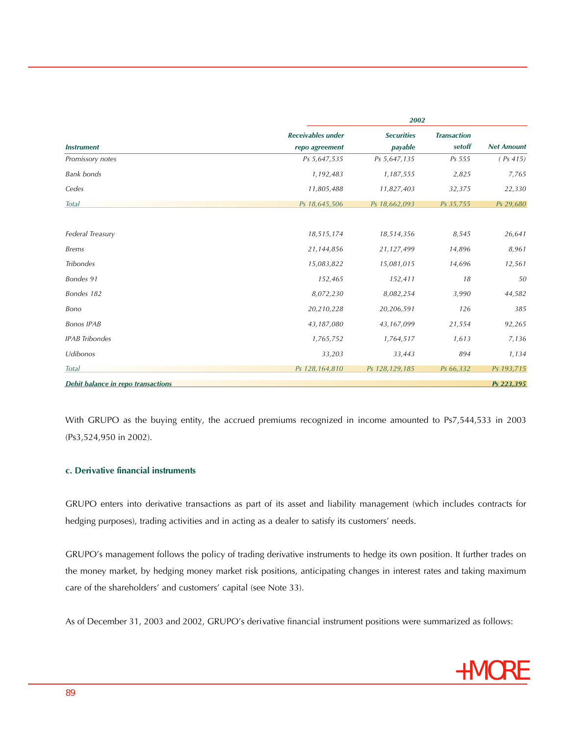|                                    | 2002                     |                   |                    |                   |  |  |
|------------------------------------|--------------------------|-------------------|--------------------|-------------------|--|--|
|                                    | <b>Receivables under</b> | <b>Securities</b> | <b>Transaction</b> |                   |  |  |
| <b>Instrument</b>                  | repo agreement           | payable           | setoff             | <b>Net Amount</b> |  |  |
| Promissory notes                   | Ps 5,647,535             | Ps 5,647,135      | Ps 555             | (Ps 415)          |  |  |
| <b>Bank</b> bonds                  | 1,192,483                | 1,187,555         | 2,825              | 7,765             |  |  |
| Cedes                              | 11,805,488               | 11,827,403        | 32,375             | 22,330            |  |  |
| <b>Total</b>                       | Ps 18,645,506            | Ps 18,662,093     | Ps 35,755          | Ps 29,680         |  |  |
|                                    |                          |                   |                    |                   |  |  |
| Federal Treasury                   | 18,515,174               | 18,514,356        | 8,545              | 26,641            |  |  |
| <b>Brems</b>                       | 21,144,856               | 21,127,499        | 14,896             | 8,961             |  |  |
| <b>Tribondes</b>                   | 15,083,822               | 15,081,015        | 14,696             | 12,561            |  |  |
| Bondes 91                          | 152,465                  | 152,411           | 18                 | 50                |  |  |
| Bondes 182                         | 8,072,230                | 8,082,254         | 3,990              | 44,582            |  |  |
| Bono                               | 20,210,228               | 20,206,591        | 126                | 385               |  |  |
| <b>Bonos IPAB</b>                  | 43,187,080               | 43,167,099        | 21,554             | 92,265            |  |  |
| <b>IPAB Tribondes</b>              | 1,765,752                | 1,764,517         | 1,613              | 7,136             |  |  |
| Udibonos                           | 33,203                   | 33,443            | 894                | 1,134             |  |  |
| <b>Total</b>                       | Ps 128,164,810           | Ps 128,129,185    | Ps 66,332          | Ps 193,715        |  |  |
| Debit balance in repo transactions |                          |                   |                    | Ps 223,395        |  |  |

With GRUPO as the buying entity, the accrued premiums recognized in income amounted to Ps7,544,533 in 2003 (Ps3,524,950 in 2002).

# **c. Derivative financial instruments**

GRUPO enters into derivative transactions as part of its asset and liability management (which includes contracts for hedging purposes), trading activities and in acting as a dealer to satisfy its customers' needs.

GRUPO's management follows the policy of trading derivative instruments to hedge its own position. It further trades on the money market, by hedging money market risk positions, anticipating changes in interest rates and taking maximum care of the shareholders' and customers' capital (see Note 33).

As of December 31, 2003 and 2002, GRUPO's derivative financial instrument positions were summarized as follows:

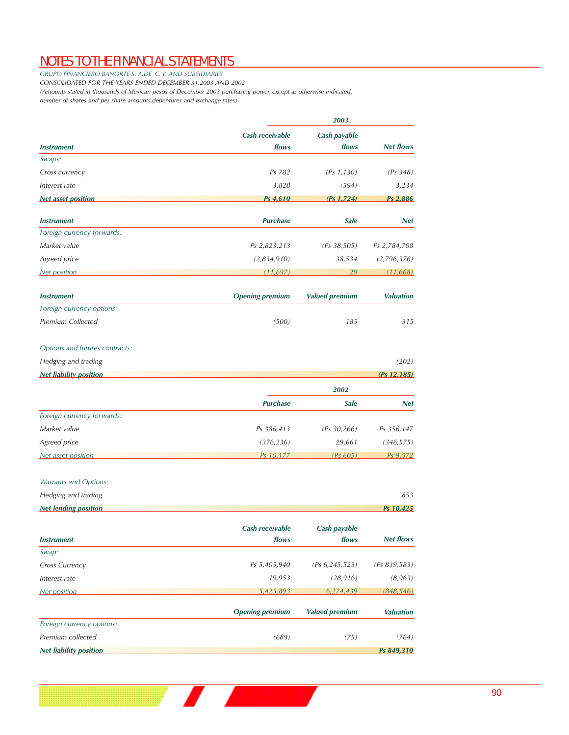*GRUPO FINANCIERO BANORTE S. A.DE C. V. AND SUBSIDIARIES*

*CONSOLIDATED FOR THE YEARS ENDED DECEMBER 31,2003 AND 2002*

*(Amounts stated in thousands of Mexican pesos of December 2003 purchasing power, except as otherwise indicated, number of shares and per share amounts,debentures and exchange rates)*

| Cash receivable<br>Cash payable<br>flows<br>flows<br><b>Instrument</b><br>Swaps:<br>Cross currency<br>Ps 782<br>$(Ps\ 1, 130)$<br>3,828<br>(594)<br>Interest rate<br>Ps 4,610<br>$(Ps\ 1,724)$<br><b>Net asset position</b><br><b>Purchase</b><br><b>Sale</b><br><b>Instrument</b><br>Foreign currency forwards:<br>Market value<br>Ps 2,823,213<br>(Ps 38, 505)<br>Agreed price<br>(2,834,910)<br>38,534<br>29<br><b>Net position</b><br>(11.697)<br><b>Opening premium</b><br><b>Valued premium</b><br><b>Instrument</b><br>Foreign currency options:<br>Premium Collected<br>(500)<br>185<br>Options and futures contracts:<br>Hedging and trading<br><b>Net liability position</b><br>2002<br><b>Purchase</b><br><b>Sale</b><br>Foreign currency forwards:<br>Market value<br>Ps 386,413<br>(Ps 30, 266)<br>Agreed price<br>29,661<br>(376, 236)<br>Ps 10,177<br>(Ps 605)<br>Net asset position<br>Warrants and Options:<br>Hedging and trading<br>853<br><b>Net lending position</b><br>Ps 10,425<br><b>Cash receivable</b><br>Cash payable<br>flows<br>flows<br><b>Instrument</b><br>Swap:<br>Ps 5,405,940<br>(Ps 6, 245, 523)<br>Cross Currency<br>(28, 916)<br>19,953<br>Interest rate<br>5,425,893<br>6,274,439<br>Net position<br><b>Opening premium</b><br><b>Valued premium</b><br>Foreign currency options:<br>Premium collected<br>(689)<br>(75)<br><b>Net liability position</b> |  | 2003 |                  |
|-------------------------------------------------------------------------------------------------------------------------------------------------------------------------------------------------------------------------------------------------------------------------------------------------------------------------------------------------------------------------------------------------------------------------------------------------------------------------------------------------------------------------------------------------------------------------------------------------------------------------------------------------------------------------------------------------------------------------------------------------------------------------------------------------------------------------------------------------------------------------------------------------------------------------------------------------------------------------------------------------------------------------------------------------------------------------------------------------------------------------------------------------------------------------------------------------------------------------------------------------------------------------------------------------------------------------------------------------------------------------------------------------|--|------|------------------|
|                                                                                                                                                                                                                                                                                                                                                                                                                                                                                                                                                                                                                                                                                                                                                                                                                                                                                                                                                                                                                                                                                                                                                                                                                                                                                                                                                                                                 |  |      |                  |
|                                                                                                                                                                                                                                                                                                                                                                                                                                                                                                                                                                                                                                                                                                                                                                                                                                                                                                                                                                                                                                                                                                                                                                                                                                                                                                                                                                                                 |  |      | <b>Net flows</b> |
|                                                                                                                                                                                                                                                                                                                                                                                                                                                                                                                                                                                                                                                                                                                                                                                                                                                                                                                                                                                                                                                                                                                                                                                                                                                                                                                                                                                                 |  |      |                  |
|                                                                                                                                                                                                                                                                                                                                                                                                                                                                                                                                                                                                                                                                                                                                                                                                                                                                                                                                                                                                                                                                                                                                                                                                                                                                                                                                                                                                 |  |      | (Ps 348)         |
|                                                                                                                                                                                                                                                                                                                                                                                                                                                                                                                                                                                                                                                                                                                                                                                                                                                                                                                                                                                                                                                                                                                                                                                                                                                                                                                                                                                                 |  |      | 3,234            |
|                                                                                                                                                                                                                                                                                                                                                                                                                                                                                                                                                                                                                                                                                                                                                                                                                                                                                                                                                                                                                                                                                                                                                                                                                                                                                                                                                                                                 |  |      | Ps 2,886         |
|                                                                                                                                                                                                                                                                                                                                                                                                                                                                                                                                                                                                                                                                                                                                                                                                                                                                                                                                                                                                                                                                                                                                                                                                                                                                                                                                                                                                 |  |      | <b>Net</b>       |
|                                                                                                                                                                                                                                                                                                                                                                                                                                                                                                                                                                                                                                                                                                                                                                                                                                                                                                                                                                                                                                                                                                                                                                                                                                                                                                                                                                                                 |  |      |                  |
|                                                                                                                                                                                                                                                                                                                                                                                                                                                                                                                                                                                                                                                                                                                                                                                                                                                                                                                                                                                                                                                                                                                                                                                                                                                                                                                                                                                                 |  |      | Ps 2,784,708     |
|                                                                                                                                                                                                                                                                                                                                                                                                                                                                                                                                                                                                                                                                                                                                                                                                                                                                                                                                                                                                                                                                                                                                                                                                                                                                                                                                                                                                 |  |      | (2,796,376)      |
|                                                                                                                                                                                                                                                                                                                                                                                                                                                                                                                                                                                                                                                                                                                                                                                                                                                                                                                                                                                                                                                                                                                                                                                                                                                                                                                                                                                                 |  |      | (11, 668)        |
|                                                                                                                                                                                                                                                                                                                                                                                                                                                                                                                                                                                                                                                                                                                                                                                                                                                                                                                                                                                                                                                                                                                                                                                                                                                                                                                                                                                                 |  |      | <b>Valuation</b> |
|                                                                                                                                                                                                                                                                                                                                                                                                                                                                                                                                                                                                                                                                                                                                                                                                                                                                                                                                                                                                                                                                                                                                                                                                                                                                                                                                                                                                 |  |      |                  |
|                                                                                                                                                                                                                                                                                                                                                                                                                                                                                                                                                                                                                                                                                                                                                                                                                                                                                                                                                                                                                                                                                                                                                                                                                                                                                                                                                                                                 |  |      | 315              |
|                                                                                                                                                                                                                                                                                                                                                                                                                                                                                                                                                                                                                                                                                                                                                                                                                                                                                                                                                                                                                                                                                                                                                                                                                                                                                                                                                                                                 |  |      |                  |
|                                                                                                                                                                                                                                                                                                                                                                                                                                                                                                                                                                                                                                                                                                                                                                                                                                                                                                                                                                                                                                                                                                                                                                                                                                                                                                                                                                                                 |  |      | (202)            |
|                                                                                                                                                                                                                                                                                                                                                                                                                                                                                                                                                                                                                                                                                                                                                                                                                                                                                                                                                                                                                                                                                                                                                                                                                                                                                                                                                                                                 |  |      | $(Ps\ 12, 185)$  |
|                                                                                                                                                                                                                                                                                                                                                                                                                                                                                                                                                                                                                                                                                                                                                                                                                                                                                                                                                                                                                                                                                                                                                                                                                                                                                                                                                                                                 |  |      |                  |
|                                                                                                                                                                                                                                                                                                                                                                                                                                                                                                                                                                                                                                                                                                                                                                                                                                                                                                                                                                                                                                                                                                                                                                                                                                                                                                                                                                                                 |  |      | <b>Net</b>       |
|                                                                                                                                                                                                                                                                                                                                                                                                                                                                                                                                                                                                                                                                                                                                                                                                                                                                                                                                                                                                                                                                                                                                                                                                                                                                                                                                                                                                 |  |      |                  |
|                                                                                                                                                                                                                                                                                                                                                                                                                                                                                                                                                                                                                                                                                                                                                                                                                                                                                                                                                                                                                                                                                                                                                                                                                                                                                                                                                                                                 |  |      | Ps 356,147       |
|                                                                                                                                                                                                                                                                                                                                                                                                                                                                                                                                                                                                                                                                                                                                                                                                                                                                                                                                                                                                                                                                                                                                                                                                                                                                                                                                                                                                 |  |      | (346, 575)       |
|                                                                                                                                                                                                                                                                                                                                                                                                                                                                                                                                                                                                                                                                                                                                                                                                                                                                                                                                                                                                                                                                                                                                                                                                                                                                                                                                                                                                 |  |      | Ps 9,572         |
|                                                                                                                                                                                                                                                                                                                                                                                                                                                                                                                                                                                                                                                                                                                                                                                                                                                                                                                                                                                                                                                                                                                                                                                                                                                                                                                                                                                                 |  |      |                  |
|                                                                                                                                                                                                                                                                                                                                                                                                                                                                                                                                                                                                                                                                                                                                                                                                                                                                                                                                                                                                                                                                                                                                                                                                                                                                                                                                                                                                 |  |      |                  |
|                                                                                                                                                                                                                                                                                                                                                                                                                                                                                                                                                                                                                                                                                                                                                                                                                                                                                                                                                                                                                                                                                                                                                                                                                                                                                                                                                                                                 |  |      |                  |
|                                                                                                                                                                                                                                                                                                                                                                                                                                                                                                                                                                                                                                                                                                                                                                                                                                                                                                                                                                                                                                                                                                                                                                                                                                                                                                                                                                                                 |  |      |                  |
|                                                                                                                                                                                                                                                                                                                                                                                                                                                                                                                                                                                                                                                                                                                                                                                                                                                                                                                                                                                                                                                                                                                                                                                                                                                                                                                                                                                                 |  |      |                  |
|                                                                                                                                                                                                                                                                                                                                                                                                                                                                                                                                                                                                                                                                                                                                                                                                                                                                                                                                                                                                                                                                                                                                                                                                                                                                                                                                                                                                 |  |      | <b>Net flows</b> |
|                                                                                                                                                                                                                                                                                                                                                                                                                                                                                                                                                                                                                                                                                                                                                                                                                                                                                                                                                                                                                                                                                                                                                                                                                                                                                                                                                                                                 |  |      |                  |
|                                                                                                                                                                                                                                                                                                                                                                                                                                                                                                                                                                                                                                                                                                                                                                                                                                                                                                                                                                                                                                                                                                                                                                                                                                                                                                                                                                                                 |  |      | (Ps 839, 583)    |
|                                                                                                                                                                                                                                                                                                                                                                                                                                                                                                                                                                                                                                                                                                                                                                                                                                                                                                                                                                                                                                                                                                                                                                                                                                                                                                                                                                                                 |  |      | (8, 963)         |
|                                                                                                                                                                                                                                                                                                                                                                                                                                                                                                                                                                                                                                                                                                                                                                                                                                                                                                                                                                                                                                                                                                                                                                                                                                                                                                                                                                                                 |  |      | (848, 546)       |
|                                                                                                                                                                                                                                                                                                                                                                                                                                                                                                                                                                                                                                                                                                                                                                                                                                                                                                                                                                                                                                                                                                                                                                                                                                                                                                                                                                                                 |  |      | <b>Valuation</b> |
|                                                                                                                                                                                                                                                                                                                                                                                                                                                                                                                                                                                                                                                                                                                                                                                                                                                                                                                                                                                                                                                                                                                                                                                                                                                                                                                                                                                                 |  |      |                  |
|                                                                                                                                                                                                                                                                                                                                                                                                                                                                                                                                                                                                                                                                                                                                                                                                                                                                                                                                                                                                                                                                                                                                                                                                                                                                                                                                                                                                 |  |      | (764)            |
|                                                                                                                                                                                                                                                                                                                                                                                                                                                                                                                                                                                                                                                                                                                                                                                                                                                                                                                                                                                                                                                                                                                                                                                                                                                                                                                                                                                                 |  |      | Ps 849,310       |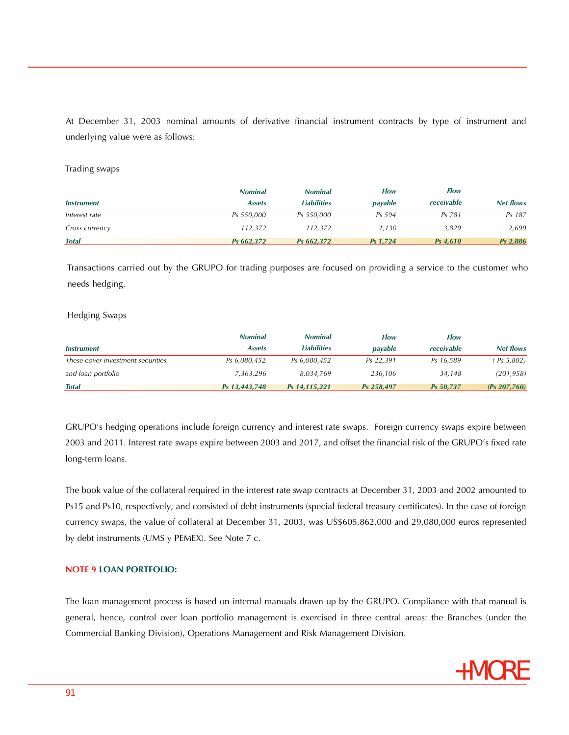At December 31, 2003 nominal amounts of derivative financial instrument contracts by type of instrument and underlying value were as follows:

## Trading swaps

|                   | <b>Nominal</b> | <b>Nominal</b>     | <b>Flow</b> | <b>Flow</b> |           |
|-------------------|----------------|--------------------|-------------|-------------|-----------|
| <i>Instrument</i> | <b>Assets</b>  | <b>Liabilities</b> | payable     | receivable  | Net flows |
| Interest rate     | Ps 550,000     | Ps 550.000         | Ps 594      | Ps 781      | Ps 187    |
| Cross currency    | 112.372        | 112.372            | 1.130       | 3,829       | 2,699     |
| <b>Total</b>      | Ps 662.372     | Ps 662.372         | Ps 1.724    | $Ps\,4.610$ | Ps 2,886  |

Transactions carried out by the GRUPO for trading purposes are focused on providing a service to the customer who needs hedging.

## Hedging Swaps

|                                   | <b>Nominal</b> | <b>Nominal</b> | <b>Flow</b> | Flow       |                  |
|-----------------------------------|----------------|----------------|-------------|------------|------------------|
| <i>Instrument</i>                 | <b>Assets</b>  | Liabilities    | payable     | receivable | <b>Net flows</b> |
| These cover investment securities | Ps 6,080,452   | Ps 6,080,452   | Ps 22.391   | Ps 16.589  | PS 5,802         |
| and loan portfolio                | 7,363,296      | 8.034.769      | 236.106     | 34.148     | (201, 958)       |
| <b>Total</b>                      | Ps 13.443.748  | Ps 14.115.221  | Ps 258.497  | Ps 50.737  | $(Ps\,207,760)$  |

GRUPO's hedging operations include foreign currency and interest rate swaps. Foreign currency swaps expire between 2003 and 2011. Interest rate swaps expire between 2003 and 2017, and offset the financial risk of the GRUPO's fixed rate long-term loans.

The book value of the collateral required in the interest rate swap contracts at December 31, 2003 and 2002 amounted to Ps15 and Ps10, respectively, and consisted of debt instruments (special federal treasury certificates). In the case of foreign currency swaps, the value of collateral at December 31, 2003, was US\$605,862,000 and 29,080,000 euros represented by debt instruments (UMS y PEMEX). See Note 7 c.

# **NOTE 9 LOAN PORTFOLIO:**

The loan management process is based on internal manuals drawn up by the GRUPO. Compliance with that manual is general, hence, control over loan portfolio management is exercised in three central areas: the Branches (under the Commercial Banking Division), Operations Management and Risk Management Division.

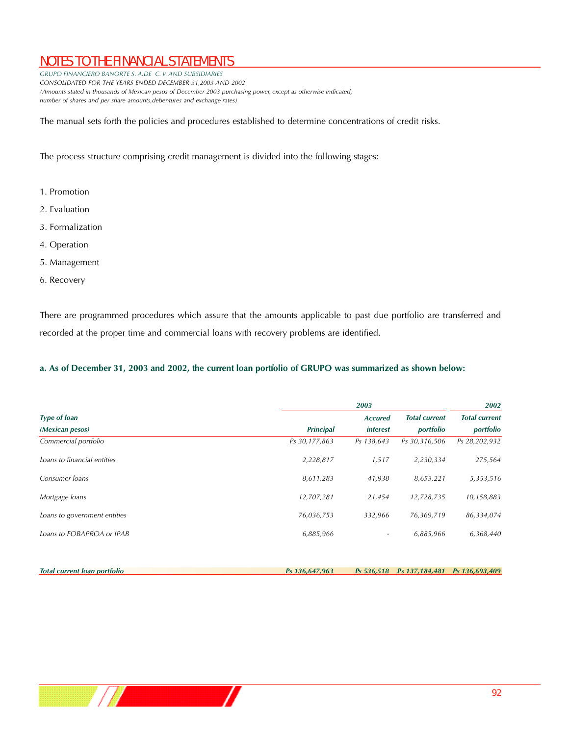*GRUPO FINANCIERO BANORTE S. A.DE C. V. AND SUBSIDIARIES CONSOLIDATED FOR THE YEARS ENDED DECEMBER 31,2003 AND 2002 (Amounts stated in thousands of Mexican pesos of December 2003 purchasing power, except as otherwise indicated, number of shares and per share amounts,debentures and exchange rates)*

The manual sets forth the policies and procedures established to determine concentrations of credit risks.

The process structure comprising credit management is divided into the following stages:

- 1. Promotion
- 2. Evaluation
- 3. Formalization
- 4. Operation
- 5. Management

*Total current loan portfolio*

 $\blacksquare$ 

6. Recovery

There are programmed procedures which assure that the amounts applicable to past due portfolio are transferred and recorded at the proper time and commercial loans with recovery problems are identified.

# **a. As of December 31, 2003 and 2002, the current loan portfolio of GRUPO was summarized as shown below:**

|                              |                  | 2003                     |                      | 2002                 |
|------------------------------|------------------|--------------------------|----------------------|----------------------|
| <b>Type of loan</b>          |                  | <b>Accured</b>           | <b>Total current</b> | <b>Total current</b> |
| (Mexican pesos)              | <b>Principal</b> | <i>interest</i>          | portfolio            | portfolio            |
| Commercial portfolio         | Ps 30,177,863    | Ps 138,643               | Ps 30,316,506        | Ps 28,202,932        |
| Loans to financial entities  | 2,228,817        | 1,517                    | 2,230,334            | 275,564              |
| Consumer Joans               | 8,611,283        | 41,938                   | 8,653,221            | 5,353,516            |
| Mortgage loans               | 12,707,281       | 21,454                   | 12,728,735           | 10,158,883           |
| Loans to government entities | 76,036,753       | 332,966                  | 76,369,719           | 86,334,074           |
| Loans to FOBAPROA or IPAB    | 6,885,966        | $\overline{\phantom{a}}$ | 6,885,966            | 6,368,440            |
|                              |                  |                          |                      |                      |
|                              |                  |                          |                      |                      |

*Ps 136,647,963 Ps 536,518 Ps 137,184,481 Ps 136,693,409*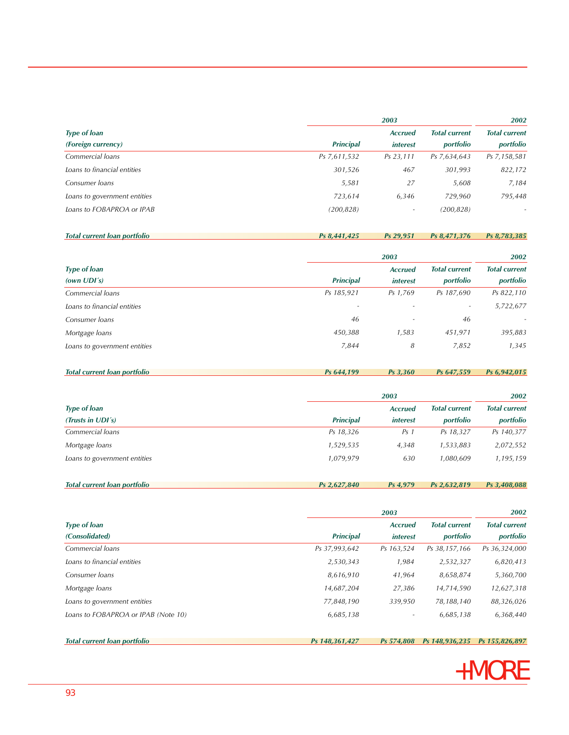|                              | 2003             |                          |                      |                          |
|------------------------------|------------------|--------------------------|----------------------|--------------------------|
| <b>Type of loan</b>          |                  | <b>Accrued</b>           | <b>Total current</b> | <b>Total current</b>     |
| (Foreign currency)           | <b>Principal</b> | <i>interest</i>          | portfolio            | portfolio                |
| Commercial loans             | Ps 7,611,532     | Ps 23,111                | Ps 7,634,643         | Ps 7,158,581             |
| Loans to financial entities  | 301,526          | 467                      | 301,993              | 822,172                  |
| Consumer loans               | 5,581            | 27                       | 5,608                | 7,184                    |
| Loans to government entities | 723,614          | 6,346                    | 729,960              | 795,448                  |
| Loans to FOBAPROA or IPAB    | (200, 828)       | $\overline{\phantom{a}}$ | (200, 828)           | $\overline{\phantom{a}}$ |

| Total current loan portfolio | Ps 8.441.425 | Ps 29.951 | Ps 8.471.376 | Ps 8.783.385 |
|------------------------------|--------------|-----------|--------------|--------------|
|                              |              |           |              |              |
|                              |              |           |              |              |

|                                       | 2003                     |                                   |                                   |                                   |
|---------------------------------------|--------------------------|-----------------------------------|-----------------------------------|-----------------------------------|
| <b>Type of loan</b><br>(own $UDI's$ ) | <b>Principal</b>         | <b>Accrued</b><br><i>interest</i> | <b>Total current</b><br>portfolio | <b>Total current</b><br>portfolio |
| Commercial loans                      | Ps 185,921               | Ps 1,769                          | Ps 187,690                        | Ps 822,110                        |
| Loans to financial entities           | $\overline{\phantom{a}}$ |                                   | $\overline{\phantom{a}}$          | 5,722,677                         |
| Consumer <i>loans</i>                 | 46                       | $\overline{\phantom{0}}$          | 46                                | ۰.                                |
| Mortgage loans                        | 450,388                  | 1,583                             | 451,971                           | 395,883                           |
| Loans to government entities          | 7,844                    | 8                                 | 7,852                             | 1,345                             |

| <b>Total current loan portfolio</b> | Ps 644.199 | $\dot{s}$ 3.360 $^{\circ}$ | Ps 647.559 | Ps 6.942.015 |
|-------------------------------------|------------|----------------------------|------------|--------------|
|                                     |            |                            |            |              |

|                                          | 2003             |                                   |                                   |                                   |
|------------------------------------------|------------------|-----------------------------------|-----------------------------------|-----------------------------------|
| <b>Type of loan</b><br>(Trusts in UDI's) | <b>Principal</b> | <b>Accrued</b><br><i>interest</i> | <b>Total current</b><br>portfolio | <b>Total current</b><br>portfolio |
| Commercial loans                         | Ps 18,326        | Ps <sub>1</sub>                   | Ps 18.327                         | Ps 140,377                        |
| Mortgage loans                           | 1,529,535        | 4.348                             | 1,533,883                         | 2,072,552                         |
| Loans to government entities             | 1,079,979        | 630                               | 1,080,609                         | 1,195,159                         |

| <b>Total current loan portfolio</b> | .840<br>2.627<br>$\mathbf{p}_{\mathbf{c}}$ | 4.979<br>De | 2.632.819<br>$\mathbf{p}_{\mathbf{c}}$ | 408.088<br>$P_{S}$ |
|-------------------------------------|--------------------------------------------|-------------|----------------------------------------|--------------------|
|                                     |                                            |             |                                        |                    |

|                                     |                  | 2002            |                      |                      |
|-------------------------------------|------------------|-----------------|----------------------|----------------------|
| <b>Type of loan</b>                 |                  | <b>Accrued</b>  | <b>Total current</b> | <b>Total current</b> |
| (Consolidated)                      | <b>Principal</b> | <i>interest</i> | portfolio            | portfolio            |
| Commercial loans                    | Ps 37,993,642    | Ps 163,524      | Ps 38,157,166        | Ps 36,324,000        |
| Loans to financial entities         | 2,530,343        | 1,984           | 2,532,327            | 6,820,413            |
| Consumer Joans                      | 8,616,910        | 41,964          | 8,658,874            | 5,360,700            |
| Mortgage loans                      | 14,687,204       | 27,386          | 14,714,590           | 12,627,318           |
| Loans to government entities        | 77,848,190       | 339,950         | 78,188,140           | 88,326,026           |
| Loans to FOBAPROA or IPAB (Note 10) | 6,685,138        | $\sim$          | 6,685,138            | 6,368,440            |

*Total current loan portfolio*

*Ps 148,361,427 Ps 574,808 Ps 148,936,235 Ps 155,826,897*

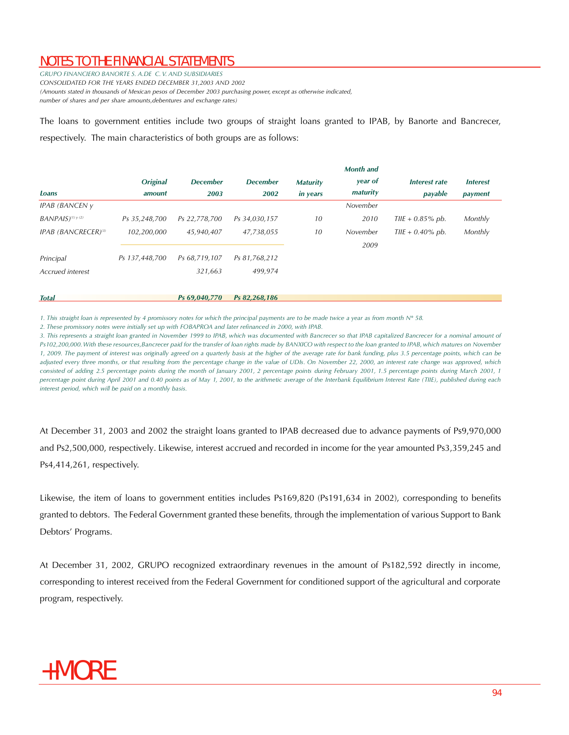*GRUPO FINANCIERO BANORTE S. A.DE C. V. AND SUBSIDIARIES CONSOLIDATED FOR THE YEARS ENDED DECEMBER 31,2003 AND 2002 (Amounts stated in thousands of Mexican pesos of December 2003 purchasing power, except as otherwise indicated, number of shares and per share amounts,debentures and exchange rates)*

The loans to government entities include two groups of straight loans granted to IPAB, by Banorte and Bancrecer, respectively. The main characteristics of both groups are as follows:

|                                        |                 |                 |                 |                 | <b>Month</b> and |                    |                 |
|----------------------------------------|-----------------|-----------------|-----------------|-----------------|------------------|--------------------|-----------------|
|                                        | <b>Original</b> | <b>December</b> | <b>December</b> | <b>Maturity</b> | year of          | Interest rate      | <b>Interest</b> |
| Loans                                  | amount          | 2003            | 2002            | in years        | maturity         | payable            | payment         |
| <b>IPAB (BANCEN y</b>                  |                 |                 |                 |                 | November         |                    |                 |
| $BANPAIS)^{(1)\gamma(2)}$              | Ps 35,248,700   | Ps 22,778,700   | Ps 34,030,157   | 10              | 2010             | THE + $0.85\%$ pb. | Monthly         |
| <b>IPAB (BANCRECER)</b> <sup>(3)</sup> | 102,200,000     | 45,940,407      | 47,738,055      | 10              | November         | THE + $0.40\%$ pb. | Monthly         |
|                                        |                 |                 |                 |                 | 2009             |                    |                 |
| Principal                              | Ps 137,448,700  | Ps 68,719,107   | Ps 81,768,212   |                 |                  |                    |                 |
| Accrued interest                       |                 | 321,663         | 499,974         |                 |                  |                    |                 |
|                                        |                 |                 |                 |                 |                  |                    |                 |

1. This straight loan is represented by 4 promissory notes for which the principal payments are to be made twice a year as from month N° 58.

*Ps 69,040,770 Ps 82,268,186*

2. These promissory notes were initially set up with FOBAPROA and later refinanced in 2000, with IPAB.

3. This represents a straight loan granted in November 1999 to IPAB, which was documented with Bancrecer so that IPAB capitalized Bancrecer for a nominal amount of Ps 102, 200,000. With these resources, Bancrecer paid for the transfer of loan rights made by BANXICO with respect to the loan granted to IPAB, which matures on November *1 , 2 0 0 9 . The payment of interest was originally agreed on a quarterly basis at the higher of the average rate for bank funding, plus 3.5 percentage points, which can be* adjusted every three months, or that resulting from the percentage change in the value of UDIs. On November 22, 2000, an interest rate change was approved, which consisted of adding 2.5 percentage points during the month of January 2001, 2 percentage points during Pebruary 2001, 1.5 percentage points during March 2001, 1 percentage point during April 2001 and 0.40 points as of May 1, 2001, to the arithmetic average of the Interbank Equilibrium Interest Rate (TIIE), published during each *interest period, which will be paid on a monthly basis.* 

At December 31, 2003 and 2002 the straight loans granted to IPAB decreased due to advance payments of Ps9,970,000 and Ps2,500,000, respectively. Likewise, interest accrued and recorded in income for the year amounted Ps3,359,245 and Ps4,414,261, respectively.

Likewise, the item of loans to government entities includes Ps169,820 (Ps191,634 in 2002), corresponding to benefits granted to debtors. The Federal Government granted these benefits, through the implementation of various Support to Bank Debtors' Programs.

At December 31, 2002, GRUPO recognized extraordinary revenues in the amount of Ps182,592 directly in income, corresponding to interest received from the Federal Government for conditioned support of the agricultural and corporate program, respectively.



*Total*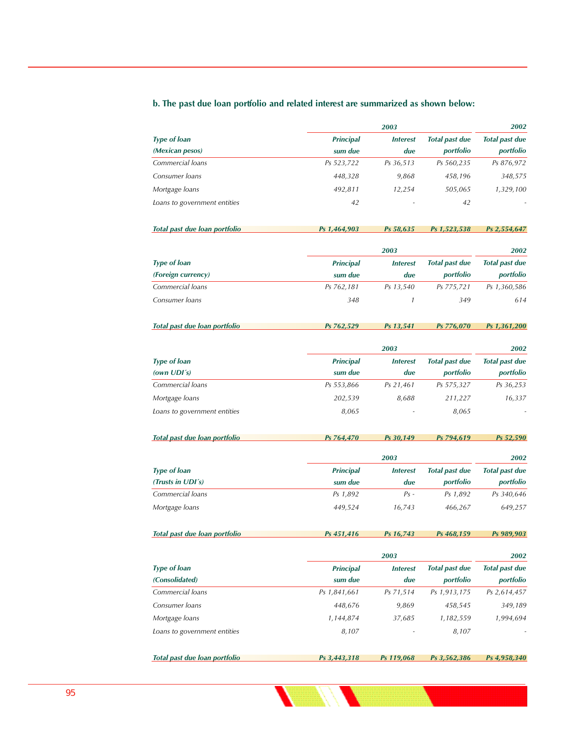# **b. The past due loan portfolio and related interest are summarized as shown below:**

|                              |                  | 2002                          |                       |                       |  |
|------------------------------|------------------|-------------------------------|-----------------------|-----------------------|--|
| <b>Type of loan</b>          | <b>Principal</b> | <i><u><b>Interest</b></u></i> | <b>Total past due</b> | <b>Total past due</b> |  |
| (Mexican pesos)              | sum due          | due                           | portfolio             | portfolio             |  |
| Commercial loans             | Ps 523,722       | Ps 36,513                     | Ps 560,235            | Ps 876,972            |  |
| Consumer loans               | 448,328          | 9,868                         | 458,196               | 348,575               |  |
| Mortgage loans               | 492.811          | 12.254                        | 505,065               | 1,329,100             |  |
| Loans to government entities | 42               |                               | 42                    | -                     |  |

#### *Total past due loan portfolio Ps 1,464,903 Ps 58,635 Ps 1,523,538 Ps 2,554,647*

|                                           |                             | 2002                   |                                    |                                    |
|-------------------------------------------|-----------------------------|------------------------|------------------------------------|------------------------------------|
| <b>Type of loan</b><br>(Foreign currency) | <b>Principal</b><br>sum due | <b>Interest</b><br>due | <b>Total past due</b><br>portfolio | <b>Total past due</b><br>portfolio |
| Commercial loans                          | Ps 762,181                  | Ps 13,540              | Ps 775,721                         | Ps 1,360,586                       |
| Consumer loans                            | 348                         |                        | 349                                | 614                                |

| Total past due loan portfolio | Ps 762.529 | Ps 13.541 | Ps 776.070 | Ps 1.361.200 |  |
|-------------------------------|------------|-----------|------------|--------------|--|
|                               |            |           |            |              |  |

|                              |                  | 2002            |                       |                       |
|------------------------------|------------------|-----------------|-----------------------|-----------------------|
| <b>Type of loan</b>          | <b>Principal</b> | <b>Interest</b> | <b>Total past due</b> | <b>Total past due</b> |
| (own $UDI's$ )               | sum due          | due             | portfolio             | portfolio             |
| Commercial loans             | Ps 553,866       | Ps 21.461       | Ps 575,327            | Ps 36,253             |
| Mortgage loans               | 202,539          | 8,688           | 211.227               | 16,337                |
| Loans to government entities | 8,065            |                 | 8,065                 |                       |

| Total past due loan portfolio | Ps 764,470       | Ps 30.149       | Ps 794.619            | Ps 52.590             |
|-------------------------------|------------------|-----------------|-----------------------|-----------------------|
|                               |                  | 2003            |                       | 2002                  |
| <b>Type of loan</b>           | <b>Principal</b> | <b>Interest</b> | <b>Total past due</b> | <b>Total past due</b> |
| (Trusts in UDI's)             | sum due          | due             | portfolio             | portfolio             |
| Commercial loans              | Ps 1,892         | $Ps -$          | Ps 1,892              | Ps 340,646            |
| Mortgage loans                | 449,524          | 16,743          | 466,267               | 649,257               |

| <u>Total past due loan portfolio</u> | Ps 451,416       | Ps 16,743       | Ps 468,159            | Ps 989,903            |  |
|--------------------------------------|------------------|-----------------|-----------------------|-----------------------|--|
|                                      |                  | 2003            |                       | 2002                  |  |
| <b>Type of loan</b>                  | <b>Principal</b> | <b>Interest</b> | <b>Total past due</b> | <b>Total past due</b> |  |
| (Consolidated)                       | sum due          | due             | portfolio             | portfolio             |  |
| Commercial loans                     | Ps 1,841,661     | Ps 71,514       | Ps 1,913,175          | Ps 2,614,457          |  |
| Consumer Joans                       | 448,676          | 9,869           | 458,545               | 349,189               |  |
| Mortgage loans                       | 1,144,874        | 37,685          | 1,182,559             | 1,994,694             |  |
| Loans to government entities         | 8,107            |                 | 8.107                 |                       |  |
|                                      |                  |                 |                       |                       |  |

*Ps 451,416*

*Total past due loan portfolio Ps 3,443,318 Ps 119,068 Ps 3,562,386 Ps 4,958,340*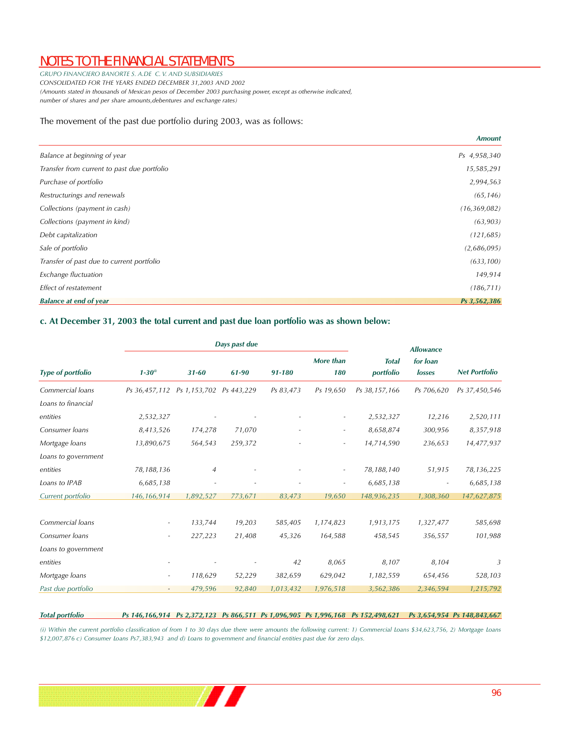*GRUPO FINANCIERO BANORTE S. A.DE C. V. AND SUBSIDIARIES CONSOLIDATED FOR THE YEARS ENDED DECEMBER 31,2003 AND 2002 (Amounts stated in thousands of Mexican pesos of December 2003 purchasing power, except as otherwise indicated, number of shares and per share amounts,debentures and exchange rates)*

# The movement of the past due portfolio during 2003, was as follows:

|                                             | <b>Amount</b> |
|---------------------------------------------|---------------|
| Balance at beginning of year                | Ps 4,958,340  |
| Transfer from current to past due portfolio | 15,585,291    |
| Purchase of portfolio                       | 2,994,563     |
| Restructurings and renewals                 | (65, 146)     |
| Collections (payment in cash)               | (16,369,082)  |
| Collections (payment in kind)               | (63,903)      |
| Debt capitalization                         | (121, 685)    |
| Sale of portfolio                           | (2,686,095)   |
| Transfer of past due to current portfolio   | (633, 100)    |
| Exchange fluctuation                        | 149,914       |
| Effect of restatement                       | (186, 711)    |
| <b>Balance at end of year</b>               | Ps 3,562,386  |

# **c. At December 31, 2003 the total current and past due loan portfolio was as shown below:**

|                          | Days past due              |            |            |           |                          | <b>Allowance</b>          |                           |                      |
|--------------------------|----------------------------|------------|------------|-----------|--------------------------|---------------------------|---------------------------|----------------------|
| <b>Type of portfolio</b> | $1 - 30$                   | $31 - 60$  | 61-90      | 91-180    | More than<br>180         | <b>Total</b><br>portfolio | for loan<br><b>losses</b> | <b>Net Portfolio</b> |
| Commercial loans         | Ps 36,457,112 Ps 1,153,702 |            | Ps 443,229 | Ps 83,473 | Ps 19,650                | Ps 38,157,166             | Ps 706,620                | Ps 37,450,546        |
| Loans to financial       |                            |            |            |           |                          |                           |                           |                      |
| entities                 | 2,532,327                  |            |            |           |                          | 2,532,327                 | 12,216                    | 2,520,111            |
| Consumer loans           | 8,413,526                  | 174,278    | 71,070     |           | $\sim$                   | 8,658,874                 | 300,956                   | 8,357,918            |
| Mortgage loans           | 13,890,675                 | 564,543    | 259,372    |           | $\overline{\phantom{a}}$ | 14,714,590                | 236,653                   | 14,477,937           |
| Loans to government      |                            |            |            |           |                          |                           |                           |                      |
| entities                 | 78,188,136                 | $\sqrt{4}$ |            |           |                          | 78,188,140                | 51,915                    | 78,136,225           |
| Loans to IPAB            | 6,685,138                  |            |            |           |                          | 6,685,138                 |                           | 6,685,138            |
| Current portfolio        | 146, 166, 914              | 1,892,527  | 773,671    | 83,473    | 19,650                   | 148,936,235               | 1,308,360                 | 147,627,875          |
| Commercial loans         |                            | 133,744    | 19,203     | 585,405   | 1,174,823                | 1,913,175                 | 1,327,477                 | 585,698              |
| Consumer loans           |                            | 227,223    | 21,408     | 45,326    | 164,588                  | 458,545                   | 356,557                   | 101,988              |
| Loans to government      |                            |            |            |           |                          |                           |                           |                      |
| entities                 |                            |            |            | 42        | 8,065                    | 8,107                     | 8,104                     | 3                    |
| Mortgage loans           |                            | 118,629    | 52,229     | 382,659   | 629,042                  | 1,182,559                 | 654,456                   | 528,103              |
| Past due portfolio       |                            | 479,596    | 92,840     | 1,013,432 | 1,976,518                | 3,562,386                 | 2,346,594                 | 1,215,792            |

#### *Total portfolio Ps 3,654,954 Ps 148,843,667 Ps 152,498,621 Ps 1,996,168 Ps 1,096,905 Ps 866,511 Ps 2,372,123 Ps 146,166,914*

*(i) Within the current portfolio classification of from 1 to 30 days due there were amounts the following current: 1) Commercial Loans \$34,623,756, 2) Mortgage Loans*  $$12,007,876 c)$  Consumer Loans Ps7,383,943 and d) Loans to government and financial entities past due for zero days.

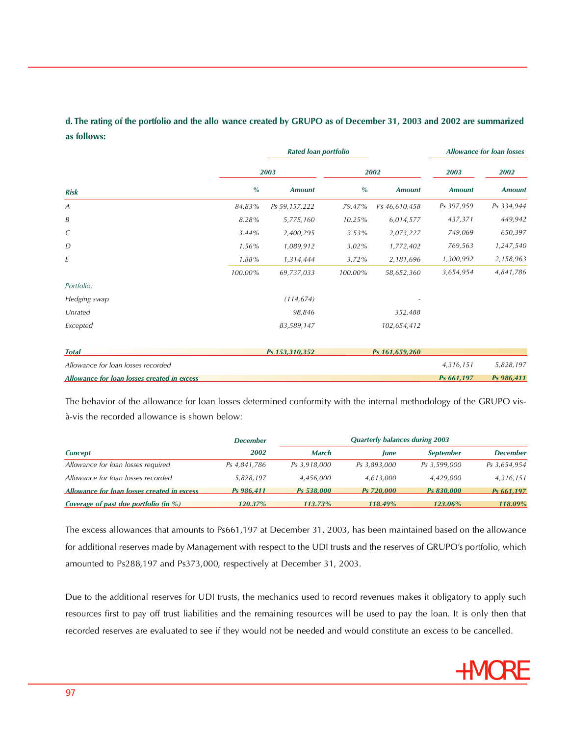|                                    |          | <b>Rated loan portfolio</b> |          |                |               | <b>Allowance for loan losses</b> |
|------------------------------------|----------|-----------------------------|----------|----------------|---------------|----------------------------------|
|                                    |          | 2003                        |          | 2002           | 2003          | 2002                             |
| <b>Risk</b>                        | $\%$     | <b>Amount</b>               | $\%$     | <b>Amount</b>  | <b>Amount</b> | <b>Amount</b>                    |
| $\mathcal{A}_{\mathcal{A}}$        | 84.83%   | Ps 59,157,222               | 79.47%   | Ps 46,610,458  | Ps 397,959    | Ps 334,944                       |
| Β                                  | 8.28%    | 5,775,160                   | 10.25%   | 6,014,577      | 437,371       | 449,942                          |
| C                                  | 3.44%    | 2,400,295                   | 3.53%    | 2,073,227      | 749,069       | 650,397                          |
| D                                  | $1.56\%$ | 1,089,912                   | $3.02\%$ | 1,772,402      | 769,563       | 1,247,540                        |
| E                                  | 1.88%    | 1,314,444                   | $3.72\%$ | 2,181,696      | 1,300,992     | 2,158,963                        |
|                                    | 100.00%  | 69,737,033                  | 100.00%  | 58,652,360     | 3,654,954     | 4,841,786                        |
| Portfolio:                         |          |                             |          |                |               |                                  |
| Hedging swap                       |          | (114, 674)                  |          |                |               |                                  |
| Unrated                            |          | 98,846                      |          | 352,488        |               |                                  |
| Excepted                           |          | 83,589,147                  |          | 102,654,412    |               |                                  |
| <b>Total</b>                       |          | Ps 153,310,352              |          | Ps 161,659,260 |               |                                  |
| Allowance for loan losses recorded |          |                             |          |                | 4,316,151     | 5,828,197                        |

**d. The rating of the portfolio and the allo wance created by GRUPO as of December 31, 2003 and 2002 are summarized as follows:**

The behavior of the allowance for loan losses determined conformity with the internal methodology of the GRUPO visà-vis the recorded allowance is shown below:

|                                             | <b>December</b> | <b>Quarterly balances during 2003</b> |                   |                  |                 |  |  |
|---------------------------------------------|-----------------|---------------------------------------|-------------------|------------------|-----------------|--|--|
| <b>Concept</b>                              | 2002            | <b>March</b>                          | June              | <b>September</b> | <b>December</b> |  |  |
| Allowance for loan losses required          | Ps 4,841,786    | Ps 3,918,000                          | Ps 3,893,000      | Ps 3.599.000     | Ps 3,654,954    |  |  |
| Allowance for loan losses recorded          | 5,828,197       | 4.456.000                             | 4.613.000         | 4.429.000        | 4,316,151       |  |  |
| Allowance for loan losses created in excess | Ps 986.411      | Ps 538,000                            | <b>Ps</b> 720,000 | Ps 830.000       | Ps 661.197      |  |  |
| Coverage of past due portfolio (in %)       | $120.37\%$      | $113.73\%$                            | $118.49\%$        | 123.06%          | 118.09%         |  |  |

The excess allowances that amounts to Ps661,197 at December 31, 2003, has been maintained based on the allowance for additional reserves made by Management with respect to the UDI trusts and the reserves of GRUPO's portfolio, which amounted to Ps288,197 and Ps373,000, respectively at December 31, 2003.

Due to the additional reserves for UDI trusts, the mechanics used to record revenues makes it obligatory to apply such resources first to pay off trust liabilities and the remaining resources will be used to pay the loan. It is only then that recorded reserves are evaluated to see if they would not be needed and would constitute an excess to be cancelled.

*Ps 661,197 Ps 986,411*

*Allowance for loan losses created in excess*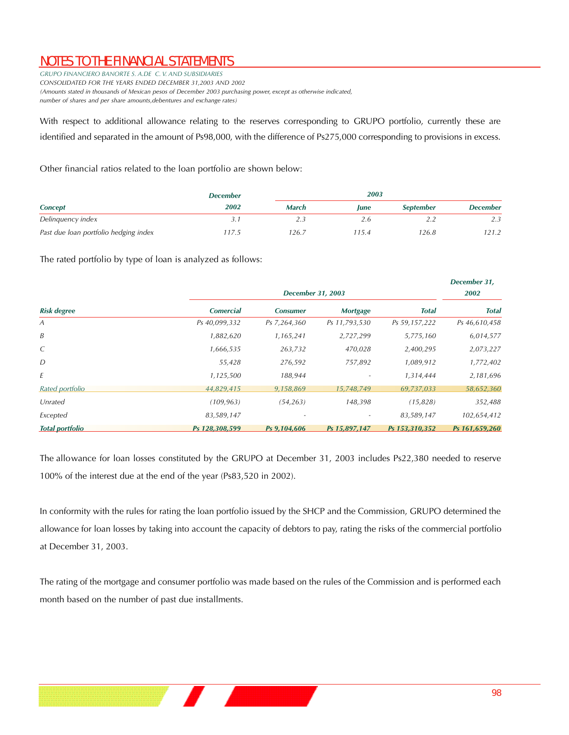*GRUPO FINANCIERO BANORTE S. A.DE C. V. AND SUBSIDIARIES CONSOLIDATED FOR THE YEARS ENDED DECEMBER 31,2003 AND 2002 (Amounts stated in thousands of Mexican pesos of December 2003 purchasing power, except as otherwise indicated, number of shares and per share amounts,debentures and exchange rates)*

With respect to additional allowance relating to the reserves corresponding to GRUPO portfolio, currently these are identified and separated in the amount of Ps98,000, with the difference of Ps275,000 corresponding to provisions in excess.

Other financial ratios related to the loan portfolio are shown below :

|                                       | <b>December</b> |              | 2003  |                  |                 |  |
|---------------------------------------|-----------------|--------------|-------|------------------|-----------------|--|
| <b>Concept</b>                        | 2002            | <b>March</b> | June  | <b>September</b> | <b>December</b> |  |
| Delinguency index                     |                 |              | ∠.t   |                  | <u> 2. J</u>    |  |
| Past due loan portfolio hedging index | 117.5           | 126.7        | 115.4 | 126.8            | 121.2           |  |

The rated portfolio by type of loan is analyzed as follows:

|                        |                  | <b>December 31, 2003</b> |                 |                |                |  |  |
|------------------------|------------------|--------------------------|-----------------|----------------|----------------|--|--|
| <b>Risk degree</b>     | <b>Comercial</b> | <b>Consumer</b>          | <b>Mortgage</b> | <b>Total</b>   | <b>Total</b>   |  |  |
| A                      | Ps 40,099,332    | Ps 7,264,360             | Ps 11,793,530   | Ps 59,157,222  | Ps 46,610,458  |  |  |
| Β                      | 1,882,620        | 1,165,241                | 2,727,299       | 5,775,160      | 6,014,577      |  |  |
| C                      | 1,666,535        | 263,732                  | 470,028         | 2,400,295      | 2,073,227      |  |  |
| D                      | 55,428           | 276,592                  | 757,892         | 1,089,912      | 1,772,402      |  |  |
| Ε                      | 1,125,500        | 188,944                  |                 | 1,314,444      | 2,181,696      |  |  |
| Rated portfolio        | 44,829,415       | 9,158,869                | 15,748,749      | 69,737,033     | 58,652,360     |  |  |
| Unrated                | (109, 963)       | (54, 263)                | 148,398         | (15, 828)      | 352,488        |  |  |
| Excepted               | 83,589,147       |                          |                 | 83,589,147     | 102,654,412    |  |  |
| <b>Total portfolio</b> | Ps 128,308,599   | Ps 9,104,606             | Ps 15,897,147   | Ps 153,310,352 | Ps 161,659,260 |  |  |

The allowance for loan losses constituted by the GRUPO at December 31, 2003 includes Ps22,380 needed to reserve 100% of the interest due at the end of the year (Ps83,520 in 2002).

In conformity with the rules for rating the loan portfolio issued by the SHCP and the Commission, GRUPO determined the allowance for loan losses by taking into account the capacity of debtors to pay, rating the risks of the commercial portfolio at December 31, 2003.

The rating of the mortgage and consumer portfolio was made based on the rules of the Commission and is performed each month based on the number of past due installments.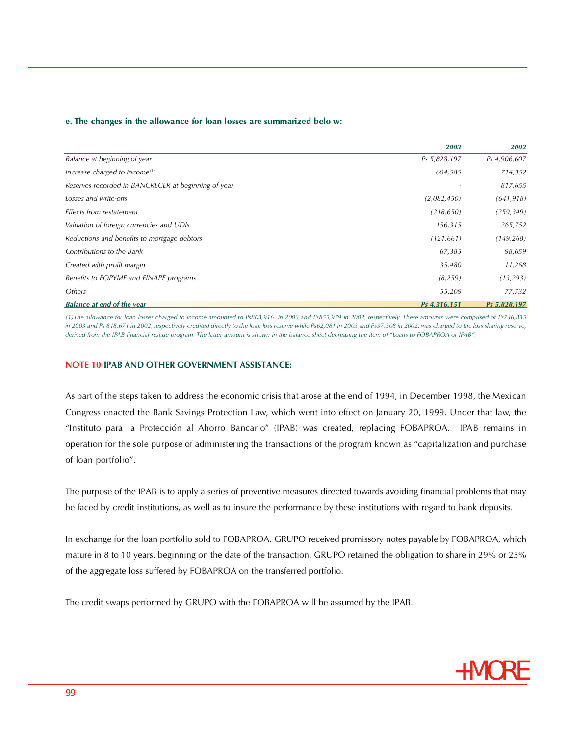## **e. The changes in the allowance for loan losses are summarized belo w :**

|                                                     | 2003         | 2002         |
|-----------------------------------------------------|--------------|--------------|
| Balance at beginning of year                        | Ps 5,828,197 | Ps 4,906,607 |
| Increase charged to income <sup>(1)</sup>           | 604,585      | 714,352      |
| Reserves recorded in BANCRECER at beginning of year |              | 817,655      |
| Losses and write-offs                               | (2,082,450)  | (641, 918)   |
| Effects from restatement                            | (218, 650)   | (259, 349)   |
| Valuation of foreign currencies and UDIs            | 156,315      | 265,752      |
| Reductions and benefits to mortgage debtors         | (121, 661)   | (149, 268)   |
| Contributions to the Bank                           | 67,385       | 98,659       |
| Created with profit margin                          | 35,480       | 11,268       |
| Benefits to FOPYME and FINAPE programs              | (8, 259)     | (13, 293)    |
| Others                                              | 55,209       | 77,732       |
| <b>Balance at end of the year</b>                   | Ps 4,316,151 | Ps 5,828,197 |

(1)The allowance for loan losses charged to income amounted to Ps808,916 in 2003 and Ps855,979 in 2002, respectively. These amounts were comprised of Ps746,835 in 2003 and Ps 818,671 in 2002, respectively credited directly to the loan loss reserve while Ps62,081 in 2003 and Ps37,308 in 2002, was charged to the loss sharing reserve, derived from the IPAB financial rescue program. The latter amount is shown in the balance sheet decreasing the item of "Loans to FOBAPROA or IPAB".

# **NOTE 10 IPAB AND OTHER GOVERNMENT ASSISTANCE:**

As part of the steps taken to address the economic crisis that arose at the end of 1994, in December 1998, the Mexican Congress enacted the Bank Savings Protection Law, which went into effect on January 20, 1999. Under that law, the "Instituto para la Protección al Ahorro Bancario" (IPAB) was created, replacing FOBAPROA. IPAB remains in operation for the sole purpose of administering the transactions of the program known as "capitalization and purchase of loan portfolio".

The purpose of the IPAB is to apply a series of preventive measures directed towards avoiding financial problems that may be faced by credit institutions, as well as to insure the performance by these institutions with regard to bank deposits.

In exchange for the loan portfolio sold to FOBAPROA, GRUPO received promissory notes payable by FOBAPROA, which mature in 8 to 10 years, beginning on the date of the transaction. GRUPO retained the obligation to share in 29% or 25% of the aggregate loss suffered by FOBAPROA on the transferred portfolio.

The credit swaps performed by GRUPO with the FOBAPROA will be assumed by the IPAB.

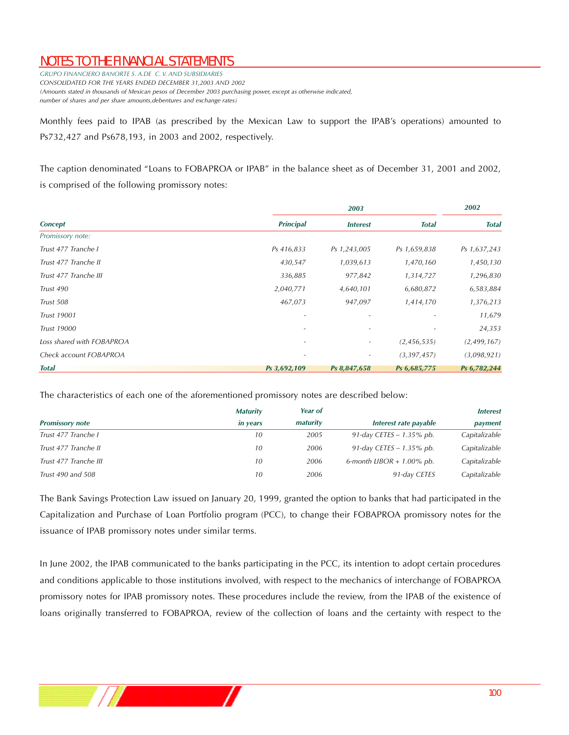*GRUPO FINANCIERO BANORTE S. A.DE C. V. AND SUBSIDIARIES CONSOLIDATED FOR THE YEARS ENDED DECEMBER 31,2003 AND 2002 (Amounts stated in thousands of Mexican pesos of December 2003 purchasing power, except as otherwise indicated, number of shares and per share amounts,debentures and exchange rates)*

Monthly fees paid to IPAB (as prescribed by the Mexican Law to support the IPAB's operations) amounted to Ps732,427 and Ps678,193, in 2003 and 2002, respectively.

The caption denominated "Loans to FOBA PROA or IPAB" in the balance sheet as of December 31, 2001 and 2002, is comprised of the following promissory notes:

|                           |                       | 2003                     |              | 2002         |
|---------------------------|-----------------------|--------------------------|--------------|--------------|
| <b>Concept</b>            | <b>Principal</b>      | <b>Interest</b>          | <b>Total</b> | <b>Total</b> |
| Promissory note:          |                       |                          |              |              |
| Trust 477 Tranche I       | Ps 416,833            | Ps 1,243,005             | Ps 1,659,838 | Ps 1,637,243 |
| Trust 477 Tranche II      | 430,547               | 1,039,613                | 1,470,160    | 1,450,130    |
| Trust 477 Tranche III     | 336,885               | 977,842                  | 1,314,727    | 1,296,830    |
| Trust 490                 | 2,040,771             | 4,640,101                | 6,680,872    | 6,583,884    |
| Trust 508                 | 467,073               | 947,097                  | 1,414,170    | 1,376,213    |
| Trust 19001               | $\tilde{\phantom{a}}$ |                          |              | 11,679       |
| Trust 19000               |                       |                          |              | 24,353       |
| Loss shared with FOBAPROA |                       | $\overline{\phantom{a}}$ | (2,456,535)  | (2,499,167)  |
| Check account FOBAPROA    |                       | $\overline{\phantom{a}}$ | (3,397,457)  | (3,098,921)  |
| <b>Total</b>              | Ps 3,692,109          | Ps 8,847,658             | Ps 6,685,775 | Ps 6,782,244 |

The characteristics of each one of the aforementioned promissory notes are described below:

|                        | <b>Maturity</b> | Year of  |                              | <b>Interest</b> |
|------------------------|-----------------|----------|------------------------------|-----------------|
| <b>Promissory note</b> | in years        | maturity | Interest rate payable        | payment         |
| Trust 477 Tranche I    | 10              | 2005     | 91-day CETES - $1.35\%$ pb.  | Capitalizable   |
| Trust 477 Tranche II   | 10              | 2006     | 91-day CETES - 1.35% pb.     | Capitalizable   |
| Trust 477 Tranche III  | 10              | 2006     | 6-month LIBOR + $1.00\%$ pb. | Capitalizable   |
| Trust 490 and 508      | 10              | 2006     | 91-day CETES                 | Capitalizable   |

The Bank Savings Protection Law issued on January 20, 1999, granted the option to banks that had participated in the Capitalization and Purchase of Loan Portfolio program (PCC), to change their FOBAPROA promissory notes for the issuance of IPAB promissory notes under similar terms.

In June 2002, the IPAB communicated to the banks participating in the PCC, its intention to adopt certain procedures and conditions applicable to those institutions involved, with respect to the mechanics of interchange of FOBAPROA promissory notes for IPAB promissory notes. These procedures include the review, from the IPAB of the existence of loans originally transferred to FOBAPROA, review of the collection of loans and the certainty with respect to the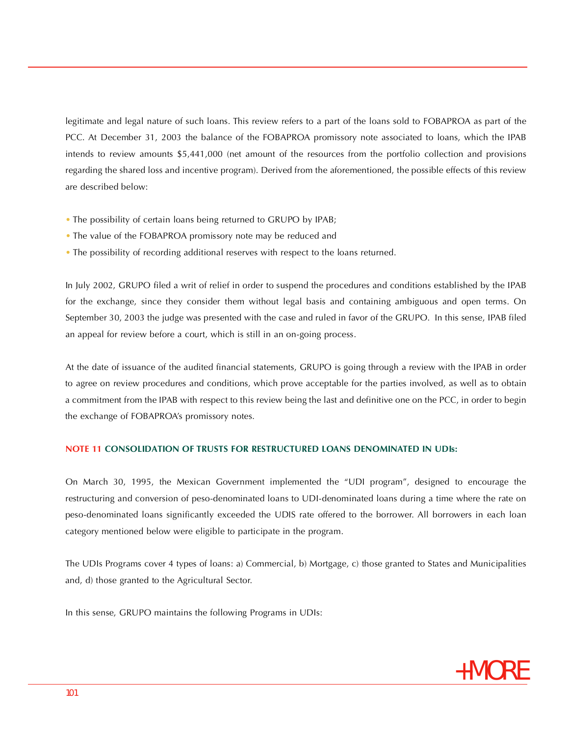legitimate and legal nature of such loans. This review refers to a part of the loans sold to FOBAPROA as part of the PCC. At December 31, 2003 the balance of the FOBAPROA promissory note associated to loans, which the IPAB intends to review amounts  $$5,441,000$  (net amount of the resources from the portfolio collection and provisions regarding the shared loss and incentive program). Derived from the aforementioned, the possible effects of this review are described below:

- The possibility of certain loans being returned to GRUPO by IPAB;
- The value of the FOBAPROA promissory note may be reduced and
- The possibility of recording additional reserves with respect to the loans returned.

In July 2002, GRUPO filed a writ of relief in order to suspend the procedures and conditions established by the IPAB for the exchange, since they consider them without legal basis and containing ambiguous and open terms. On September 30, 2003 the judge was presented with the case and ruled in favor of the GRUPO. In this sense, IPAB filed an appeal for review before a court, which is still in an on-going process.

At the date of issuance of the audited financial statements, GRUPO is going through a review with the IPAB in order to agree on review procedures and conditions, which prove acceptable for the parties involved, as well as to obtain a commitment from the IPAB with respect to this review being the last and definitive one on the PCC, in order to begin the exchange of FOBAPROA's promissory notes.

# **NOTE 11 CONSOLIDATION OF TRUSTS FOR RESTRUCTURED LOANS DENOMINATED IN UDIs:**

On March 30, 1995, the Mexican Government implemented the "UDI program", designed to encourage the restructuring and conversion of peso-denominated loans to UDI-denominated loans during a time where the rate on peso-denominated loans significantly exceeded the UDIS rate offered to the borrower. All borrowers in each loan category mentioned below were eligible to participate in the program.

The UDIs Programs cover 4 types of loans: a) Commercial, b) Mortgage, c) those granted to States and Municipalities and, d) those granted to the Agricultural Sector.

In this sense, GRUPO maintains the following Programs in UDIs:

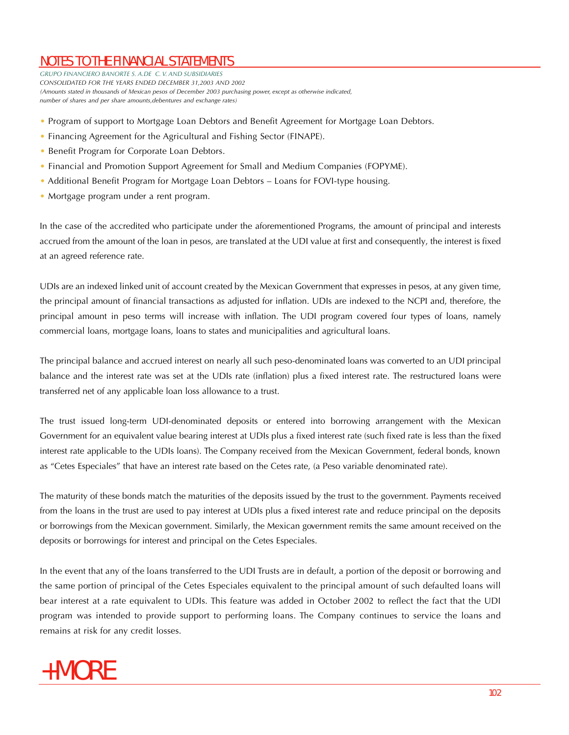*GRUPO FINANCIERO BANORTE S. A.DE C. V. AND SUBSIDIARIES CONSOLIDATED FOR THE YEARS ENDED DECEMBER 31,2003 AND 2002 (Amounts stated in thousands of Mexican pesos of December 2003 purchasing power, except as otherwise indicated, number of shares and per share amounts,debentures and exchange rates)*

- Program of support to Mortgage Loan Debtors and Benefit Agreement for Mortgage Loan Debtors.
- Financing Agreement for the Agricultural and Fishing Sector (FINAPE).
- Benefit Program for Corporate Loan Debtors.
- Financial and Promotion Support Agreement for Small and Medium Companies (FOPYME).
- Additional Benefit Program for Mortgage Loan Debtors Loans for FOVI-type housing.
- Mortgage program under a rent program.

In the case of the accredited who participate under the aforementioned Programs, the amount of principal and interests accrued from the amount of the loan in pesos, are translated at the UDI value at first and consequently, the interest is fixed at an agreed reference rate.

UDIs are an indexed linked unit of account created by the Mexican Government that expresses in pesos, at any given time, the principal amount of financial transactions as adjusted for inflation. UDIs are indexed to the NCPI and, therefore, the principal amount in peso terms will increase with inflation. The UDI program covered four types of loans, namely commercial loans, mortgage loans, loans to states and municipalities and agricultural loans.

The principal balance and accrued interest on nearly all such peso-denominated loans was converted to an UDI principal balance and the interest rate was set at the UDIs rate (inflation) plus a fixed interest rate. The restructured loans were transferred net of any applicable loan loss allowance to a trust.

The trust issued long-term UDI-denominated deposits or entered into borrowing arrangement with the Mexican Government for an equivalent value bearing interest at UDIs plus a fixed interest rate (such fixed rate is less than the fixed interest rate applicable to the UDIs loans). The Company received from the Mexican Government, federal bonds, known as "Cetes Especiales" that have an interest rate based on the Cetes rate, (a Peso variable denominated rate).

The maturity of these bonds match the maturities of the deposits issued by the trust to the government. Payments received from the loans in the trust are used to pay interest at UDIs plus a fixed interest rate and reduce principal on the deposits or borrowings from the Mexican government. Similarly, the Mexican government remits the same amount received on the deposits or borrowings for interest and principal on the Cetes Especiales.

In the event that any of the loans transferred to the UDI Trusts are in default, a portion of the deposit or borrowing and the same portion of principal of the Cetes Especiales equivalent to the principal amount of such defaulted loans will bear interest at a rate equivalent to UDIs. This feature was added in October 2002 to reflect the fact that the UDI program was intended to provide support to performing loans. The Company continues to service the loans and remains at risk for any credit losses.

# +MORE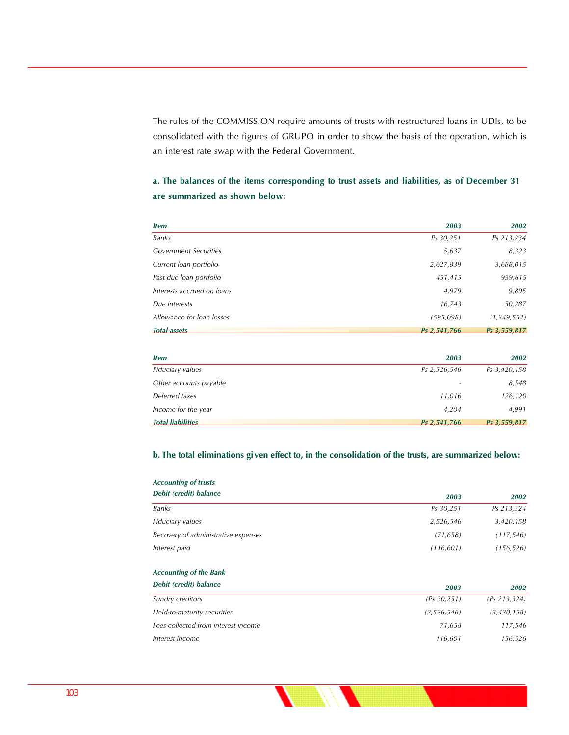The rules of the COMMISSION require amounts of trusts with restructured loans in UDIs, to be consolidated with the figures of GRUPO in order to show the basis of the operation, which is an interest rate swap with the Federal Government.

# **a. The balances of the items corresponding to trust assets and liabilities, as of December 31** are summarized as shown below:

| <b>Item</b>                  | 2003         | 2002         |
|------------------------------|--------------|--------------|
| <b>Banks</b>                 | Ps 30,251    | Ps 213,234   |
| <b>Government Securities</b> | 5,637        | 8,323        |
| Current loan portfolio       | 2,627,839    | 3,688,015    |
| Past due loan portfolio      | 451,415      | 939,615      |
| Interests accrued on loans   | 4,979        | 9,895        |
| Due interests                | 16,743       | 50,287       |
| Allowance for loan losses    | (595,098)    | (1,349,552)  |
| <b>Total assets</b>          | Ps 2,541,766 | Ps 3,559,817 |

| <b>Item</b>              | 2003         | 2002         |
|--------------------------|--------------|--------------|
| Fiduciary values         | Ps 2,526,546 | Ps 3,420,158 |
| Other accounts payable   |              | 8,548        |
| Deferred taxes           | 11,016       | 126,120      |
| Income for the year      | 4,204        | 4,991        |
| <b>Total liabilities</b> | Ps 2.541.766 | Ps 3,559,817 |

# **b. The total eliminations given effect to, in the consolidation of the trusts, are summarized below:**

| <b>Accounting of trusts</b>         |            |            |
|-------------------------------------|------------|------------|
| Debit (credit) balance              | 2003       | 2002       |
| Banks                               | Ps 30,251  | Ps 213,324 |
| Fiduciary values                    | 2,526,546  | 3,420,158  |
| Recovery of administrative expenses | (71, 658)  | (117, 546) |
| Interest paid                       | (116, 601) | (156, 526) |

## *Accounting of the Bank*

| Debit (credit) balance              | 2003         | 2002          |
|-------------------------------------|--------------|---------------|
| Sundry creditors                    | (Ps 30, 251) | (Ps 213, 324) |
| Held-to-maturity securities         | (2,526,546)  | (3,420,158)   |
| Fees collected from interest income | 71.658       | 117,546       |
| Interest income                     | 116.601      | 156,526       |

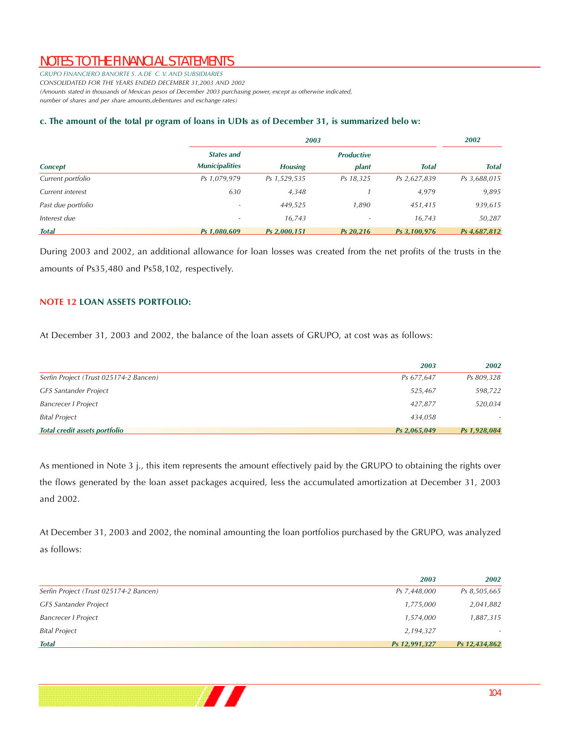*GRUPO FINANCIERO BANORTE S. A.DE C. V. AND SUBSIDIARIES CONSOLIDATED FOR THE YEARS ENDED DECEMBER 31,2003 AND 2002 (Amounts stated in thousands of Mexican pesos of December 2003 purchasing power, except as otherwise indicated, number of shares and per share amounts,debentures and exchange rates)*

# c. The amount of the total pr ogram of loans in UDIs as of December 31, is summarized belo w:

|                    |                          | 2003           |                   |              |              |
|--------------------|--------------------------|----------------|-------------------|--------------|--------------|
| <b>Concept</b>     | <b>States and</b>        |                | <b>Productive</b> |              | <b>Total</b> |
|                    | <b>Municipalities</b>    | <b>Housing</b> | plant             | <b>Total</b> |              |
| Current portfolio  | Ps 1,079,979             | Ps 1,529,535   | Ps 18,325         | Ps 2,627,839 | Ps 3,688,015 |
| Current interest   | 630                      | 4,348          |                   | 4,979        | 9,895        |
| Past due portfolio | $\overline{\phantom{0}}$ | 449,525        | 1,890             | 451,415      | 939,615      |
| Interest due       | $\overline{\phantom{0}}$ | 16.743         |                   | 16,743       | 50,287       |
| <b>Total</b>       | Ps 1.080.609             | Ps 2.000.151   | $Ps$ 20.216       | Ps 3.100.976 | Ps 4,687,812 |

During 2003 and 2002, an additional allowance for loan losses was created from the net profits of the trusts in the amounts of Ps35,480 and Ps58,102, respectively.

# **NOTE 12 LOAN ASSETS PORTFOLIO:**

At December 31, 2003 and 2002, the balance of the loan assets of GRUPO, at cost was as follows:

|                                        | 2003         | 2002                     |
|----------------------------------------|--------------|--------------------------|
| Serfin Project (Trust 025174-2 Bancen) | Ps 677,647   | Ps 809,328               |
| GFS Santander Project                  | 525,467      | 598,722                  |
| <b>Bancrecer I Project</b>             | 427.877      | 520,034                  |
| <b>Bital Project</b>                   | 434,058      | $\overline{\phantom{a}}$ |
| <b>Total credit assets portfolio</b>   | Ps 2,065,049 | Ps 1,928,084             |

As mentioned in Note 3 j., this item represents the amount effectively paid by the GRUPO to obtaining the rights over the flows generated by the loan asset packages acquired, less the accumulated amortization at December 31, 2003 and 2002.

At December 31, 2003 and 2002, the nominal amounting the loan portfolios purchased by the GRUPO, was analyzed as follows:

|                                        | 2003          | 2002          |
|----------------------------------------|---------------|---------------|
| Serfin Project (Trust 025174-2 Bancen) | Ps 7,448,000  | Ps 8,505,665  |
| GFS Santander Project                  | 1,775,000     | 2,041,882     |
| <b>Bancrecer I Project</b>             | 1,574,000     | 1,887,315     |
| <b>Bital Project</b>                   | 2,194,327     |               |
| <b>Total</b>                           | Ps 12,991,327 | Ps 12,434,862 |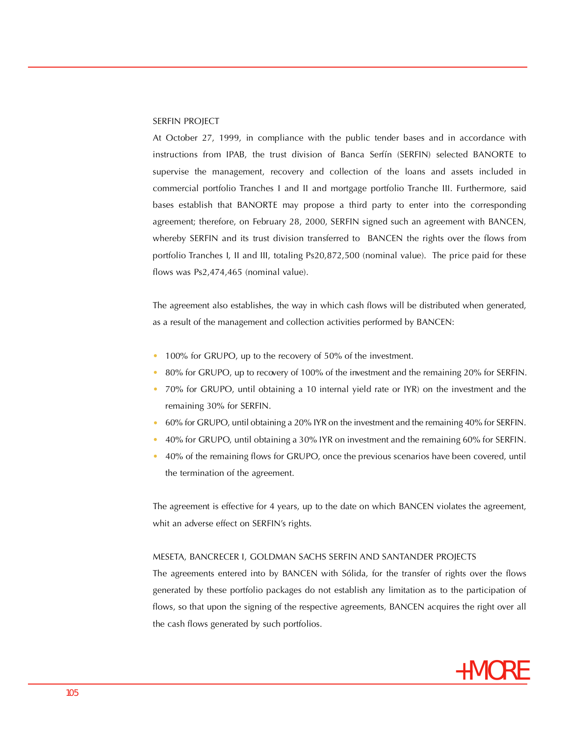# SERFIN PROJECT

At October 27, 1999, in compliance with the public tender bases and in accordance with instructions from IPAB, the trust division of Banca Serfín (SERFIN) selected BANORTE to supervise the management, recovery and collection of the loans and assets included in commercial portfolio Tranches I and II and mortgage portfolio Tranche III. Furthermore, said bases establish that BANORTE may propose a third party to enter into the corresponding agreement; therefore, on February 28, 2000, SERFIN signed such an agreement with BANCEN, whereby SERFIN and its trust division transferred to BANCEN the rights over the flows from portfolio Tranches I, II and III, totaling Ps20,872,500 (nominal value). The price paid for these flows was  $Ps2,474,465$  (nominal value).

The agreement also establishes, the way in which cash flows will be distributed when generated, as a result of the management and collection activities performed by BANCEN:

- 100% for GRUPO, up to the recovery of 50% of the investment.
- 80% for GRUPO, up to recovery of 100% of the investment and the remaining 20% for SERFIN. •
- 70% for GRUPO, until obtaining a 10 internal yield rate or IYR) on the investment and the remaining 30% for SERFIN. •
- 60% for GRUPO, until obtaining a 20% IYR on the investment and the remaining 40% for SERFIN. •
- 40% for GRUPO, until obtaining a 30% IYR on investment and the remaining 60% for SERFIN. •
- 40% of the remaining flows for GRUPO, once the previous scenarios have been covered, until the termination of the agreement. •

The agreement is effective for 4 years, up to the date on which BANCEN violates the agreement, whit an adverse effect on SERFIN's rights.

# MESETA, BANCRECER I, GOLDMAN SACHS SERFIN AND SANTANDER PROJECTS

The agreements entered into by BANCEN with Sólida, for the transfer of rights over the flows generated by these portfolio packages do not establish any limitation as to the participation of flows, so that upon the signing of the respective agreements, BANCEN acquires the right over all the cash flows generated by such portfolios.

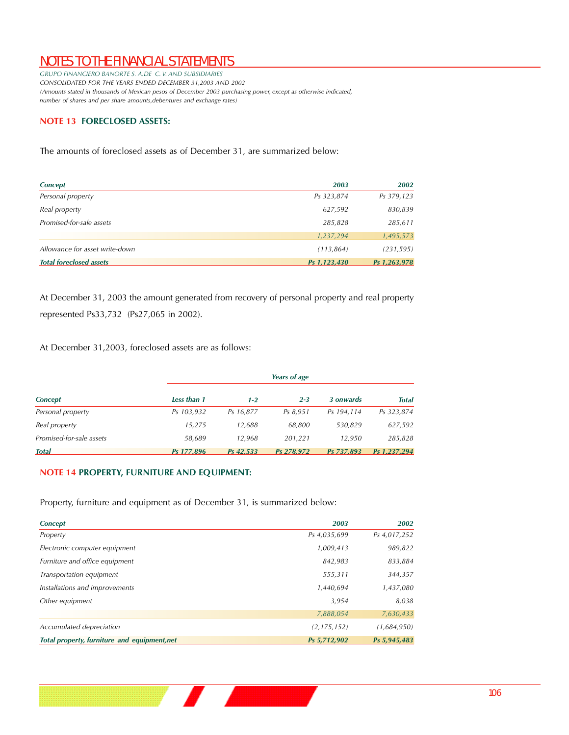*GRUPO FINANCIERO BANORTE S. A.DE C. V. AND SUBSIDIARIES CONSOLIDATED FOR THE YEARS ENDED DECEMBER 31,2003 AND 2002 (Amounts stated in thousands of Mexican pesos of December 2003 purchasing power, except as otherwise indicated, number of shares and per share amounts,debentures and exchange rates)*

# **NOTE 13 FORECLOSED ASSETS:**

The amounts of foreclosed assets as of December 31, are summarized below:

| <b>Concept</b>                 | 2003         | 2002         |
|--------------------------------|--------------|--------------|
| Personal property              | Ps 323,874   | Ps 379,123   |
| Real property                  | 627,592      | 830,839      |
| Promised-for-sale assets       | 285,828      | 285,611      |
|                                | 1,237,294    | 1,495,573    |
| Allowance for asset write-down | (113, 864)   | (231, 595)   |
| <b>Total foreclosed assets</b> | Ps 1,123,430 | Ps 1,263,978 |

At December 31, 2003 the amount generated from recovery of personal property and real property represented Ps33,732 (Ps27,065 in 2002).

At December 31,2003, foreclosed assets are as follows:

| <b>Concept</b>           |             | Years of age |            |            |              |  |
|--------------------------|-------------|--------------|------------|------------|--------------|--|
|                          | Less than 1 | $1 - 2$      | $2 - 3$    | 3 onwards  | <b>Total</b> |  |
| Personal property        | Ps 103,932  | Ps 16,877    | Ps 8.951   | Ps 194.114 | Ps 323,874   |  |
| Real property            | 15.275      | 12,688       | 68,800     | 530,829    | 627,592      |  |
| Promised-for-sale assets | 58.689      | 12.968       | 201.221    | 12.950     | 285,828      |  |
| <b>Total</b>             | Ps 177.896  | Ps 42.533    | Ps 278.972 | Ps 737.893 | Ps 1.237.294 |  |

# **NOTE 14 PROPERTY, FURNITURE AND EQUIPMENT:**

Property, furniture and equipment as of December 31, is summarized below:

| <b>Concept</b>                               | 2003          | 2002         |
|----------------------------------------------|---------------|--------------|
| Property                                     | Ps 4,035,699  | Ps 4,017,252 |
| Electronic computer equipment                | 1,009,413     | 989,822      |
| Furniture and office equipment               | 842,983       | 833,884      |
| Transportation equipment                     | 555,311       | 344,357      |
| Installations and improvements               | 1,440,694     | 1,437,080    |
| Other equipment                              | 3,954         | 8,038        |
|                                              | 7,888,054     | 7,630,433    |
| Accumulated depreciation                     | (2, 175, 152) | (1,684,950)  |
| Total property, furniture and equipment, net | Ps 5,712,902  | Ps 5,945,483 |

 $\mathbf{r}$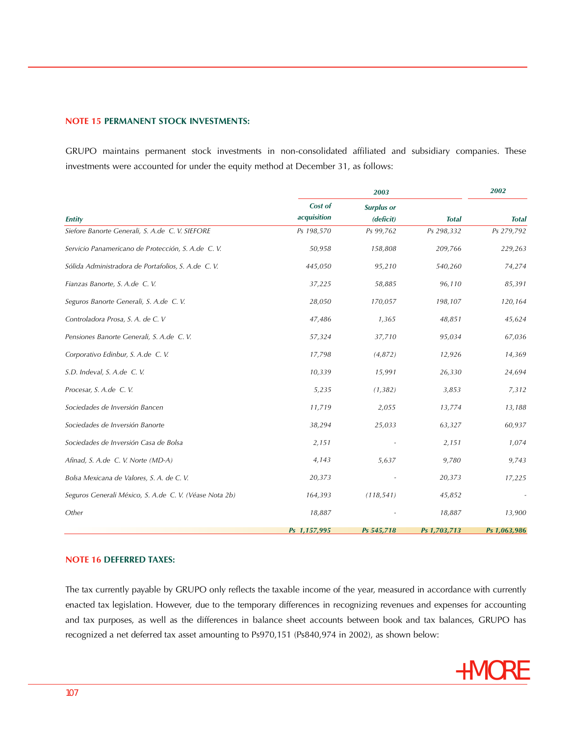## **N OTE 15 PERMANENT STOCK INVESTMENTS:**

GRUPO maintains permanent stock investments in non-consolidated affiliated and subsidiary companies. These investments were accounted for under the equity method at December 31, as follows:

|                                                        |                        | 2002                           |              |              |
|--------------------------------------------------------|------------------------|--------------------------------|--------------|--------------|
| <b>Entity</b>                                          | Cost of<br>acquisition | <b>Surplus or</b><br>(deficit) | <b>Total</b> | <b>Total</b> |
| Siefore Banorte Generali, S. A.de C. V. SIEFORE        | Ps 198,570             | Ps 99,762                      | Ps 298,332   | Ps 279,792   |
| Servicio Panamericano de Protección, S. A.de C. V.     | 50,958                 | 158,808                        | 209,766      | 229,263      |
| Sólida Administradora de Portafolios, S. A.de C. V.    | 445,050                | 95,210                         | 540,260      | 74,274       |
| Fianzas Banorte, S. A.de C. V.                         | 37,225                 | 58,885                         | 96,110       | 85,391       |
| Seguros Banorte Generali, S. A.de C. V.                | 28,050                 | 170,057                        | 198,107      | 120,164      |
| Controladora Prosa, S. A. de C. V                      | 47,486                 | 1,365                          | 48,851       | 45,624       |
| Pensiones Banorte Generali, S. A.de C. V.              | 57,324                 | 37,710                         | 95,034       | 67,036       |
| Corporativo Edinbur, S. A.de C. V.                     | 17,798                 | (4,872)                        | 12,926       | 14,369       |
| S.D. Indeval, S. A.de C. V.                            | 10,339                 | 15,991                         | 26,330       | 24,694       |
| Procesar, S. A.de C. V.                                | 5,235                  | (1, 382)                       | 3,853        | 7,312        |
| Sociedades de Inversión Bancen                         | 11,719                 | 2,055                          | 13,774       | 13,188       |
| Sociedades de Inversión Banorte                        | 38,294                 | 25,033                         | 63,327       | 60,937       |
| Sociedades de Inversión Casa de Bolsa                  | 2,151                  |                                | 2,151        | 1,074        |
| Afinad, S. A.de C. V. Norte (MD-A)                     | 4,143                  | 5,637                          | 9,780        | 9,743        |
| Bolsa Mexicana de Valores, S. A. de C. V.              | 20,373                 |                                | 20,373       | 17,225       |
| Seguros Generali México, S. A.de C. V. (Véase Nota 2b) | 164,393                | (118, 541)                     | 45,852       |              |
| Other                                                  | 18,887                 |                                | 18,887       | 13,900       |
|                                                        | Ps 1,157,995           | Ps 545,718                     | Ps 1,703,713 | Ps 1,063,986 |

# **NOTE 16 DEFERRED TAXES:**

The tax currently payable by GRUPO only reflects the taxable income of the year, measured in accordance with currently enacted tax legislation. However, due to the temporary differences in recognizing revenues and expenses for accounting and tax purposes, as well as the differences in balance sheet accounts between book and tax balances, GRUPO has recognized a net deferred tax asset amounting to Ps970,151 (Ps840,974 in 2002), as shown below :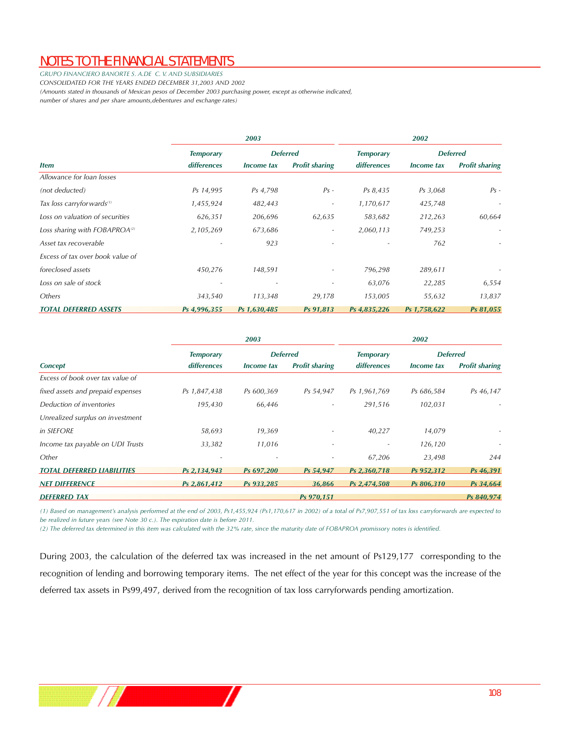*GRUPO FINANCIERO BANORTE S. A.DE C. V. AND SUBSIDIARIES CONSOLIDATED FOR THE YEARS ENDED DECEMBER 31,2003 AND 2002 (Amounts stated in thousands of Mexican pesos of December 2003 purchasing power, except as otherwise indicated, number of shares and per share amounts,debentures and exchange rates)*

|                                           |                    | 2003              |                          |                    | 2002              |                          |  |  |  |
|-------------------------------------------|--------------------|-------------------|--------------------------|--------------------|-------------------|--------------------------|--|--|--|
|                                           | <b>Temporary</b>   |                   | <b>Deferred</b>          |                    | <b>Deferred</b>   |                          |  |  |  |
| <i>Item</i>                               | <b>differences</b> | <b>Income tax</b> | <b>Profit sharing</b>    | <i>differences</i> | <b>Income tax</b> | <b>Profit sharing</b>    |  |  |  |
| Allowance for loan losses                 |                    |                   |                          |                    |                   |                          |  |  |  |
| (not deducted)                            | Ps 14,995          | Ps 4,798          | $Ps -$                   | Ps 8,435           | Ps 3,068          | $Ps -$                   |  |  |  |
| Tax loss carryfor wards <sup>(1)</sup>    | 1,455,924          | 482,443           | $\overline{\phantom{a}}$ | 1,170,617          | 425,748           |                          |  |  |  |
| Loss on valuation of securities           | 626,351            | 206,696           | 62,635                   | 583,682            | 212,263           | 60,664                   |  |  |  |
| Loss sharing with FOBAPROA <sup>(2)</sup> | 2,105,269          | 673,686           | $\overline{\phantom{a}}$ | 2,060,113          | 749,253           | $\overline{\phantom{a}}$ |  |  |  |
| Asset tax recoverable                     |                    | 923               |                          |                    | 762               |                          |  |  |  |
| Excess of tax over book value of          |                    |                   |                          |                    |                   |                          |  |  |  |
| foreclosed assets                         | 450,276            | 148,591           |                          | 796,298            | 289,611           |                          |  |  |  |
| Loss on sale of stock                     |                    |                   |                          | 63,076             | 22,285            | 6,554                    |  |  |  |
| Others                                    | 343,540            | 113,348           | 29,178                   | 153,005            | 55,632            | 13,837                   |  |  |  |
| <b>TOTAL DEFERRED ASSETS</b>              | Ps 4,996,355       | Ps 1,630,485      | Ps 91,813                | Ps 4,835,226       | Ps 1,758,622      | Ps 81,055                |  |  |  |

|                                   |                    | 2003              |                          | 2002               |                   |                          |  |  |
|-----------------------------------|--------------------|-------------------|--------------------------|--------------------|-------------------|--------------------------|--|--|
|                                   | <b>Temporary</b>   |                   | <b>Deferred</b>          |                    | <b>Deferred</b>   |                          |  |  |
| <b>Concept</b>                    | <i>differences</i> | <b>Income tax</b> | <b>Profit sharing</b>    | <i>differences</i> | <b>Income tax</b> | <b>Profit sharing</b>    |  |  |
| Excess of book over tax value of  |                    |                   |                          |                    |                   |                          |  |  |
| fixed assets and prepaid expenses | Ps 1,847,438       | Ps 600,369        | Ps 54,947                | Ps 1,961,769       | Ps 686,584        | Ps 46,147                |  |  |
| Deduction of inventories          | 195,430            | 66,446            | $\overline{\phantom{a}}$ | 291,516            | 102,031           | $\overline{\phantom{a}}$ |  |  |
| Unrealized surplus on investment  |                    |                   |                          |                    |                   |                          |  |  |
| in SIEFORE                        | 58,693             | 19,369            |                          | 40,227             | 14,079            |                          |  |  |
| Income tax payable on UDI Trusts  | 33,382             | 11,016            |                          |                    | 126,120           |                          |  |  |
| Other                             |                    |                   |                          | 67,206             | 23,498            | 244                      |  |  |
| <b>TOTAL DEFERRED LIABILITIES</b> | Ps 2,134,943       | Ps 697,200        | Ps 54,947                | Ps 2,360,718       | Ps 952,312        | Ps 46,391                |  |  |
| <b>NET DIFFERENCE</b>             | Ps 2,861,412       | Ps 933,285        | 36,866                   | Ps 2,474,508       | Ps 806,310        | Ps 34,664                |  |  |
| <b>DEFERRED TAX</b>               |                    |                   | Ps 970,151               |                    |                   | Ps 840,974               |  |  |

*(1) Based on management's analysis performed at the end of 2003, Ps1,455,924 (Ps1,170,617 in 2002) of a total of Ps7,907,551 of tax loss carry for wards are expected to be realized in future years (see Note 30 c.). The expiration date is before 2011.* 

(2) The deferred tax determined in this item was calculated with the 32% rate, since the maturity date of FOBAPROA promissory notes is identified.

During 2003, the calculation of the deferred tax was increased in the net amount of Ps129,177 corresponding to the recognition of lending and borrowing temporary items. The net effect of the year for this concept was the increase of the deferred tax assets in Ps99,497, derived from the recognition of tax loss carryforwards pending amortization.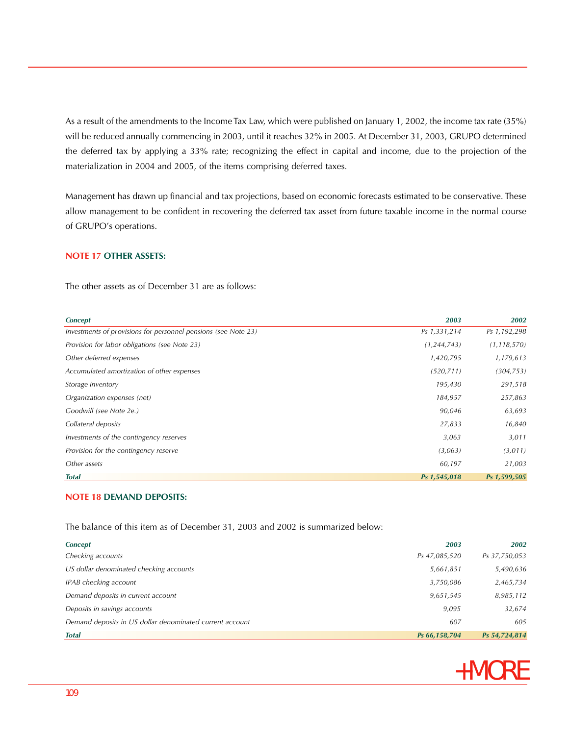As a result of the amendments to the Income Tax Law, which were published on January 1, 2002, the income tax rate (35%) will be reduced annually commencing in 2003, until it reaches 32% in 2005. At December 31, 2003, GRUPO determined the deferred tax by applying a 33% rate; recognizing the effect in capital and income, due to the projection of the materialization in 2004 and 2005, of the items comprising deferred taxes.

Management has drawn up financial and tax projections, based on economic forecasts estimated to be conservative. These allow management to be confident in recovering the deferred tax asset from future taxable income in the normal course of GRUPO's operations.

# **NOTE 17 OTHER ASSETS:**

The other assets as of December 31 are as follows:

| <b>Concept</b>                                                 | 2003          | 2002          |
|----------------------------------------------------------------|---------------|---------------|
| Investments of provisions for personnel pensions (see Note 23) | Ps 1,331,214  | Ps 1,192,298  |
| Provision for labor obligations (see Note 23)                  | (1, 244, 743) | (1, 118, 570) |
| Other deferred expenses                                        | 1,420,795     | 1,179,613     |
| Accumulated amortization of other expenses                     | (520, 711)    | (304, 753)    |
| Storage inventory                                              | 195,430       | 291,518       |
| Organization expenses (net)                                    | 184,957       | 257,863       |
| Goodwill (see Note 2e.)                                        | 90,046        | 63,693        |
| Collateral deposits                                            | 27,833        | 16,840        |
| Investments of the contingency reserves                        | 3,063         | 3,011         |
| Provision for the contingency reserve                          | (3,063)       | (3,011)       |
| Other assets                                                   | 60,197        | 21,003        |
| <b>Total</b>                                                   | Ps 1,545,018  | Ps 1,599,505  |

## **NOTE 18 DEMAND DEPOSITS:**

The balance of this item as of December 31, 2003 and 2002 is summarized below:

| <b>Concept</b>                                           | 2003          | 2002          |
|----------------------------------------------------------|---------------|---------------|
| Checking accounts                                        | Ps 47,085,520 | Ps 37,750,053 |
| US dollar denominated checking accounts                  | 5,661,851     | 5,490,636     |
| IPAB checking account                                    | 3,750,086     | 2,465,734     |
| Demand deposits in current account                       | 9,651,545     | 8,985,112     |
| Deposits in savings accounts                             | 9,095         | 32,674        |
| Demand deposits in US dollar denominated current account | 607           | 605           |
| <b>Total</b>                                             | Ps 66,158,704 | Ps 54,724,814 |

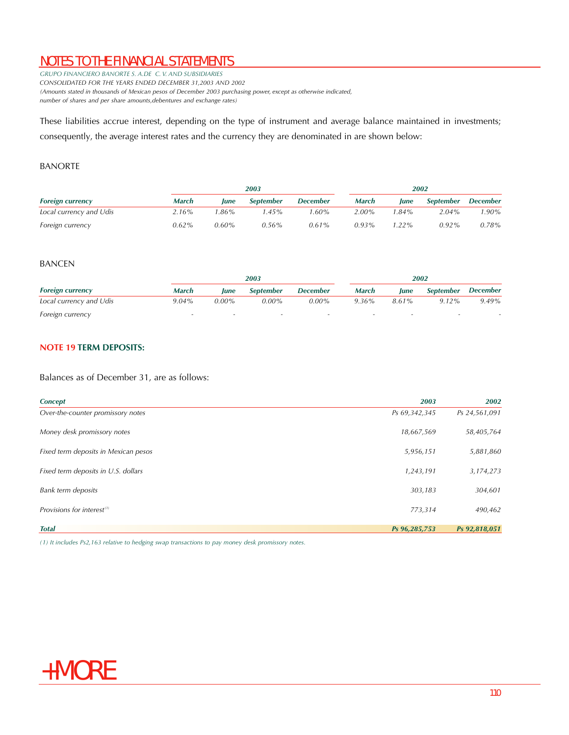*GRUPO FINANCIERO BANORTE S. A.DE C. V. AND SUBSIDIARIES CONSOLIDATED FOR THE YEARS ENDED DECEMBER 31,2003 AND 2002 (Amounts stated in thousands of Mexican pesos of December 2003 purchasing power, except as otherwise indicated, number of shares and per share amounts,debentures and exchange rates)*

These liabilities accrue interest, depending on the type of instrument and average balance maintained in investments; consequently, the average interest rates and the currency they are denominated in are shown below:

# BANORTE

|                         | 2003     |         |                  |                 | 2002         |          |           |                 |
|-------------------------|----------|---------|------------------|-----------------|--------------|----------|-----------|-----------------|
| <b>Foreign currency</b> | March    | June    | <b>September</b> | <b>December</b> | <b>March</b> | lune     | September | <b>December</b> |
| Local currency and Udis | 2.16%    | $.86\%$ | 45%              | $1.60\%$        | $2.00\%$     | 1.84%    | $2.04\%$  | $.90\%$         |
| Foreign currency        | $0.62\%$ | 0.60%   | $0.56\%$         | $0.61\%$        | $0.93\%$     | $1.22\%$ | $0.92\%$  | $0.78\%$        |

# BANCEN

|                         |          | 2003     |                  |                 |              | 2002  |                  |          |  |
|-------------------------|----------|----------|------------------|-----------------|--------------|-------|------------------|----------|--|
| <b>Foreign currency</b> | March    | June     | <b>September</b> | <b>December</b> | <b>March</b> | June  | <b>September</b> | December |  |
| Local currency and Udis | $9.04\%$ | $0.00\%$ | $0.00\%$         | $0.00\%$        | $9.36\%$     | 8.61% | $9.12\%$         | $9.49\%$ |  |
| Foreign currency        |          |          |                  |                 |              |       |                  |          |  |

# **NOTE 19 TERM DEPOSITS:**

# Balances as of December 31, are as follows:

| <b>Concept</b>                         | 2003          | 2002          |
|----------------------------------------|---------------|---------------|
| Over-the-counter promissory notes      | Ps 69,342,345 | Ps 24,561,091 |
| Money desk promissory notes            | 18,667,569    | 58,405,764    |
| Fixed term deposits in Mexican pesos   | 5,956,151     | 5,881,860     |
| Fixed term deposits in U.S. dollars    | 1,243,191     | 3,174,273     |
| Bank term deposits                     | 303,183       | 304,601       |
| Provisions for interest <sup>(1)</sup> | 773,314       | 490,462       |
| <b>Total</b>                           | Ps 96,285,753 | Ps 92,818,051 |

*(1) It includes Ps2,163 relative to hedging swap transactions to pay money desk promissory notes.* 

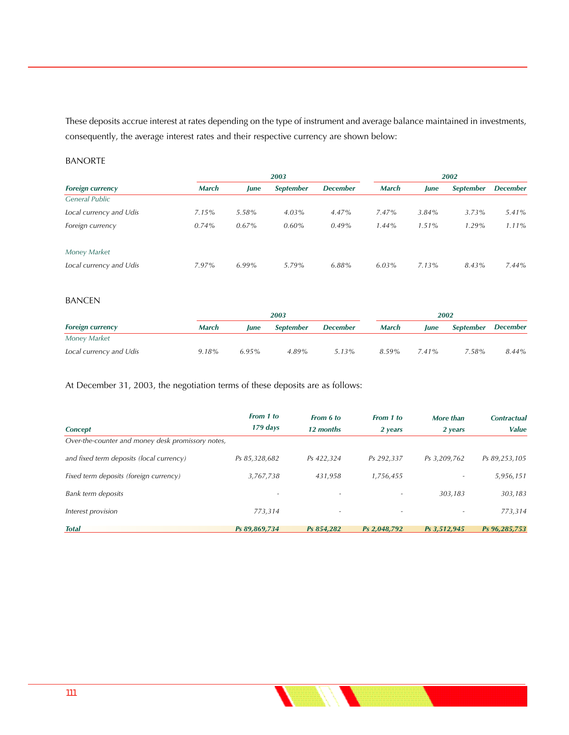These deposits accrue interest at rates depending on the type of instrument and average balance maintained in investments, consequently, the average interest rates and their respective currency are shown below:

# BANORTE

|                         |              | 2003        |                  |                 |              | 2002        |                  |                 |  |
|-------------------------|--------------|-------------|------------------|-----------------|--------------|-------------|------------------|-----------------|--|
| <b>Foreign currency</b> | <b>March</b> | <b>June</b> | <b>September</b> | <b>December</b> | <b>March</b> | <i>lune</i> | <b>September</b> | <b>December</b> |  |
| <b>General Public</b>   |              |             |                  |                 |              |             |                  |                 |  |
| Local currency and Udis | 7.15%        | 5.58%       | $4.03\%$         | 4.47%           | $7.47\%$     | $3.84\%$    | $3.73\%$         | 5.41%           |  |
| Foreign currency        | $0.74\%$     | $0.67\%$    | $0.60\%$         | $0.49\%$        | 1.44%        | $1.51\%$    | $1.29\%$         | $1.11\%$        |  |
| Money Market            |              |             |                  |                 |              |             |                  |                 |  |
| Local currency and Udis | $7.97\%$     | 6.99%       | 5.79%            | 6.88%           | $6.03\%$     | $7.13\%$    | 8.43%            | $7.44\%$        |  |

# BANCEN

|                         | 2003         |          |           |                 | 2002         |             |                  |          |
|-------------------------|--------------|----------|-----------|-----------------|--------------|-------------|------------------|----------|
| <b>Foreign currency</b> | <b>March</b> | lune     | September | <b>December</b> | <b>March</b> | <b>lune</b> | <b>September</b> | December |
| Money Market            |              |          |           |                 |              |             |                  |          |
| Local currency and Udis | 9.18%        | $6.95\%$ | 4.89%     | $5.13\%$        | $8.59\%$     | 741%        | $7.58\%$         | 8.44%    |

At December 31, 2003, the negotiation terms of these deposits are as follows:

|                                                   | From 1 to                | From 6 to                | From 1 to                | More than    | <b>Contractual</b> |
|---------------------------------------------------|--------------------------|--------------------------|--------------------------|--------------|--------------------|
| <b>Concept</b>                                    | $179$ days               | 12 months                | 2 years                  | 2 years      | <b>Value</b>       |
| Over-the-counter and money desk promissory notes, |                          |                          |                          |              |                    |
| and fixed term deposits (local currency)          | Ps 85,328,682            | Ps 422.324               | Ps 292.337               | Ps 3,209,762 | Ps 89,253,105      |
| Fixed term deposits (foreign currency)            | 3,767,738                | 431,958                  | 1,756,455                |              | 5,956,151          |
| Bank term deposits                                | $\overline{\phantom{a}}$ | $\overline{\phantom{a}}$ | $\overline{\phantom{a}}$ | 303.183      | 303,183            |
| Interest provision                                | 773,314                  | $\overline{\phantom{a}}$ | $\sim$                   | -            | 773,314            |
| <b>Total</b>                                      | Ps 89.869.734            | Ps 854.282               | Ps 2.048.792             | Ps 3,512,945 | Ps 96.285.753      |

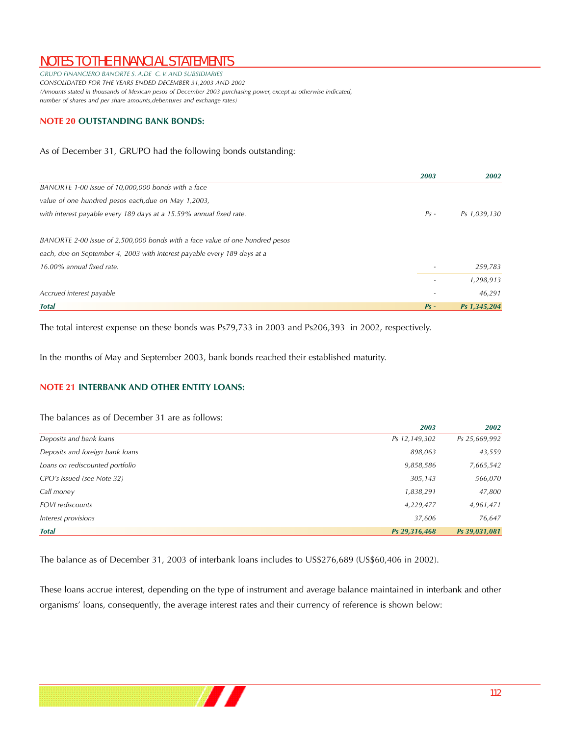*GRUPO FINANCIERO BANORTE S. A.DE C. V. AND SUBSIDIARIES CONSOLIDATED FOR THE YEARS ENDED DECEMBER 31,2003 AND 2002 (Amounts stated in thousands of Mexican pesos of December 2003 purchasing power, except as otherwise indicated, number of shares and per share amounts,debentures and exchange rates)*

# **NOTE 20 OUTSTANDING BANK BONDS:**

# As of December 31, GRUPO had the following bonds outstanding:

|                                                                              | 2003   | 2002         |
|------------------------------------------------------------------------------|--------|--------------|
| BANORTE 1-00 issue of 10,000,000 bonds with a face                           |        |              |
| value of one hundred pesos each, due on May 1,2003,                          |        |              |
| with interest payable every 189 days at a 15.59% annual fixed rate.          | $Ps -$ | Ps 1,039,130 |
| BANORTE 2-00 issue of 2,500,000 bonds with a face value of one hundred pesos |        |              |
| each, due on September 4, 2003 with interest payable every 189 days at a     |        |              |
| 16.00% annual fixed rate.                                                    |        | 259,783      |
|                                                                              |        | 1,298,913    |
| Accrued interest payable                                                     |        | 46,291       |
| <b>Total</b>                                                                 | $Ps -$ | Ps 1,345,204 |

The total interest expense on these bonds was Ps79,733 in 2003 and Ps206,393 in 2002, respectively.

In the months of May and September 2003, bank bonds reached their established maturity.

# **NOTE 21 INTERBANK AND OTHER ENTITY LOANS:**

The balances as of December 31 are as follows:

|                                 | 2003          | 2002          |
|---------------------------------|---------------|---------------|
| Deposits and bank loans         | Ps 12,149,302 | Ps 25,669,992 |
| Deposits and foreign bank loans | 898,063       | 43,559        |
| Loans on rediscounted portfolio | 9,858,586     | 7,665,542     |
| CPO's issued (see Note 32)      | 305,143       | 566,070       |
| Call money                      | 1,838,291     | 47,800        |
| <b>FOVI</b> rediscounts         | 4,229,477     | 4,961,471     |
| Interest provisions             | 37,606        | 76,647        |
| <b>Total</b>                    | Ps 29,316,468 | Ps 39,031,081 |

The balance as of December 31, 2003 of interbank loans includes to US\$276,689 (US\$60,406 in 2002).

These loans accrue interest, depending on the type of instrument and average balance maintained in interbank and other organisms' loans, consequently, the average interest rates and their currency of reference is shown below:

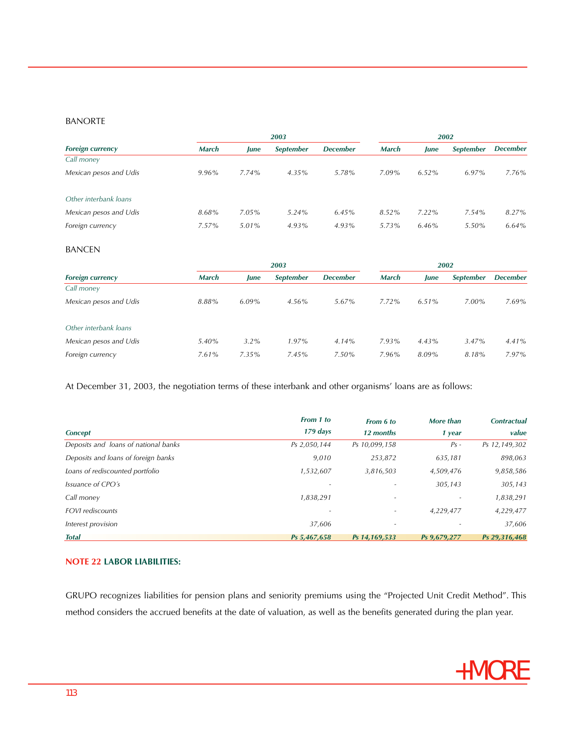### BANORTE

|                         |              |             | 2003             |                 |              |             | 2002             |                 |
|-------------------------|--------------|-------------|------------------|-----------------|--------------|-------------|------------------|-----------------|
| <b>Foreign currency</b> | <b>March</b> | <b>June</b> | <b>September</b> | <b>December</b> | <b>March</b> | <i>lune</i> | <b>September</b> | <b>December</b> |
| Call money              |              |             |                  |                 |              |             |                  |                 |
| Mexican pesos and Udis  | 9.96%        | $7.74\%$    | $4.35\%$         | 5.78%           | 7.09%        | $6.52\%$    | 6.97%            | $7.76\%$        |
| Other interbank loans   |              |             |                  |                 |              |             |                  |                 |
| Mexican pesos and Udis  | 8.68%        | $7.05\%$    | 5.24%            | 6.45%           | $8.52\%$     | $7.22\%$    | $7.54\%$         | 8.27%           |
| Foreign currency        | $7.57\%$     | 5.01%       | 4.93%            | $4.93\%$        | 5.73%        | $6.46\%$    | 5.50%            | $6.64\%$        |

#### BANCEN

|                         | 2003         |             |                  | 2002            |              |             |                  |                 |
|-------------------------|--------------|-------------|------------------|-----------------|--------------|-------------|------------------|-----------------|
| <b>Foreign currency</b> | <b>March</b> | <b>June</b> | <b>September</b> | <b>December</b> | <b>March</b> | <i>lune</i> | <b>September</b> | <b>December</b> |
| Call money              |              |             |                  |                 |              |             |                  |                 |
| Mexican pesos and Udis  | 8.88%        | $6.09\%$    | $4.56\%$         | 5.67%           | $7.72\%$     | $6.51\%$    | $7.00\%$         | 7.69%           |
|                         |              |             |                  |                 |              |             |                  |                 |
| Other interbank loans   |              |             |                  |                 |              |             |                  |                 |
| Mexican pesos and Udis  | 5.40%        | $3.2\%$     | $1.97\%$         | $4.14\%$        | 7.93%        | $4.43\%$    | $3.47\%$         | 4.41%           |
| Foreign currency        | $7.61\%$     | $7.35\%$    | $7.45\%$         | $7.50\%$        | $7.96\%$     | 8.09%       | 8.18%            | $7.97\%$        |

At December 31, 2003, the negotiation terms of these interbank and other organisms' loans are as follows:

|                                      | From 1 to    | From 6 to     | More than    | <b>Contractual</b> |
|--------------------------------------|--------------|---------------|--------------|--------------------|
| <b>Concept</b>                       | 179 days     | 12 months     | 1 year       | value              |
| Deposits and loans of national banks | Ps 2,050,144 | Ps 10,099,158 | $Ps -$       | Ps 12,149,302      |
| Deposits and loans of foreign banks  | 9,010        | 253,872       | 635,181      | 898,063            |
| Loans of rediscounted portfolio      | 1,532,607    | 3,816,503     | 4,509,476    | 9,858,586          |
| <i>Issuance of CPO's</i>             |              |               | 305,143      | 305,143            |
| Call money                           | 1,838,291    |               |              | 1,838,291          |
| <b>FOVI</b> rediscounts              |              |               | 4,229,477    | 4,229,477          |
| Interest provision                   | 37,606       |               |              | 37,606             |
| <b>Total</b>                         | Ps 5.467.658 | Ps 14.169.533 | Ps 9.679.277 | Ps 29.316.468      |

### **NOTE 22 LABOR LIABILITIES:**

GRUPO recognizes liabilities for pension plans and seniority premiums using the "Projected Unit Credit Method". This method considers the accrued benefits at the date of valuation, as well as the benefits generated during the plan year.

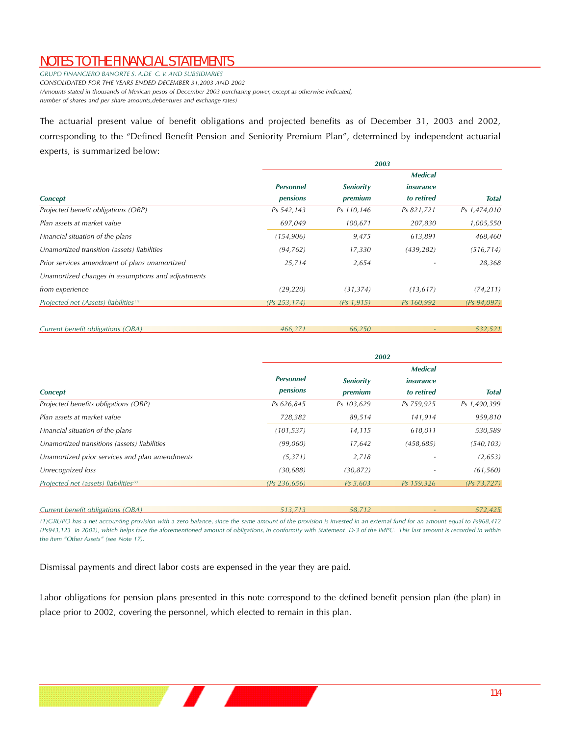*GRUPO FINANCIERO BANORTE S. A.DE C. V. AND SUBSIDIARIES CONSOLIDATED FOR THE YEARS ENDED DECEMBER 31,2003 AND 2002 (Amounts stated in thousands of Mexican pesos of December 2003 purchasing power, except as otherwise indicated, number of shares and per share amounts,debentures and exchange rates)*

The actuarial present value of benefit obligations and projected benefits as of December 31, 2003 and 2002, corresponding to the "Defined Benefit Pension and Seniority Premium Plan", determined by independent actuarial experts, is summarized below:

| <b>Seniority</b><br>premium<br>Ps 110,146<br>100,671 | <b>Medical</b><br><i>insurance</i><br>to retired<br>Ps 821,721<br>207,830 |                              |
|------------------------------------------------------|---------------------------------------------------------------------------|------------------------------|
|                                                      |                                                                           | <b>Total</b><br>Ps 1,474,010 |
|                                                      |                                                                           |                              |
|                                                      |                                                                           |                              |
|                                                      |                                                                           |                              |
|                                                      |                                                                           | 1,005,550                    |
| 9,475                                                | 613,891                                                                   | 468,460                      |
| 17,330                                               | (439, 282)                                                                | (516, 714)                   |
| 2,654                                                |                                                                           | 28,368                       |
|                                                      |                                                                           |                              |
| (31, 374)                                            | (13, 617)                                                                 | (74, 211)                    |
| $(Ps\ 1, 915)$                                       | Ps 160,992                                                                | (Ps 94,097)                  |
|                                                      |                                                                           |                              |

| Current benefit obligations<br>ЈΒА | 466 | hh.<br>51. |  |
|------------------------------------|-----|------------|--|
|                                    |     |            |  |

|                                                   | 2002             |                  |                  |              |  |
|---------------------------------------------------|------------------|------------------|------------------|--------------|--|
|                                                   |                  |                  | <b>Medical</b>   |              |  |
|                                                   | <b>Personnel</b> | <b>Seniority</b> | <i>insurance</i> |              |  |
| <b>Concept</b>                                    | pensions         | premium          | to retired       | <b>Total</b> |  |
| Projected benefits obligations (OBP)              | Ps 626,845       | Ps 103,629       | Ps 759,925       | Ps 1,490,399 |  |
| Plan assets at market value                       | 728,382          | 89,514           | 141,914          | 959,810      |  |
| Financial situation of the plans                  | (101, 537)       | 14,115           | 618,011          | 530,589      |  |
| Unamortized transitions (assets) liabilities      | (99,060)         | 17,642           | (458, 685)       | (540, 103)   |  |
| Unamortized prior services and plan amendments    | (5,371)          | 2,718            |                  | (2,653)      |  |
| Unrecognized loss                                 | (30, 688)        | (30, 872)        |                  | (61, 560)    |  |
| Projected net (assets) liabilities <sup>(1)</sup> | (Ps 236, 656)    | Ps 3,603         | Ps 159,326       | (Ps 73, 727) |  |

(1)GRUPO has a net accounting provision with a zero balance, since the same amount of the provision is invested in an external fund for an amount equal to Ps968,412 *(Ps943,123 in 2002), which helps face the aforementioned amount of obligations, in conformity with Statement D-3 of the IMPC. This last amount is recorded in within the item "Other Assets" (see Note 17).* 

*513,713*

Dismissal payments and direct labor costs are expensed in the year they are paid.

*Current benefit obligations (OBA)*

Labor obligations for pension plans presented in this note correspond to the defined benefit pension plan (the plan) in place prior to 2002, covering the personnel, which elected to remain in this plan.

*572,425*

*-*

*58,712*

*2003*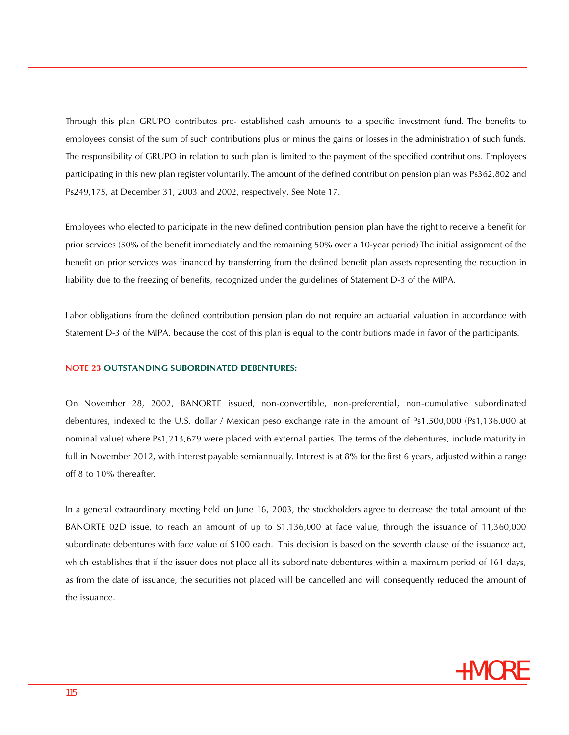Through this plan GRUPO contributes pre- established cash amounts to a specific investment fund. The benefits to employees consist of the sum of such contributions plus or minus the gains or losses in the administration of such funds. The responsibility of GRUPO in relation to such plan is limited to the payment of the specified contributions. Employees participating in this new plan register voluntarily. The amount of the defined contribution pension plan was Ps362,802 and Ps249,175, at December 31, 2003 and 2002, respectively. See Note 17.

Employees who elected to participate in the new defined contribution pension plan have the right to receive a benefit for prior services (50% of the benefit immediately and the remaining 50% over a 10-year period) The initial assignment of the benefit on prior services was financed by transferring from the defined benefit plan assets representing the reduction in liability due to the freezing of benefits, recognized under the guidelines of Statement D-3 of the MIPA.

Labor obligations from the defined contribution pension plan do not require an actuarial valuation in accordance with Statement D-3 of the MIPA, because the cost of this plan is equal to the contributions made in favor of the participants.

### **NOTE 23 OUTSTANDING SUBORDINATED DEBENTURES:**

On November 28, 2002, BANORTE issued, non-convertible, non-preferential, non-cumulative subordinated debentures, indexed to the U.S. dollar / Mexican peso exchange rate in the amount of Ps1,500,000 (Ps1,136,000 at nominal value) where Ps1,213,679 were placed with external parties. The terms of the debentures, include maturity in full in November 2012, with interest payable semiannually. Interest is at 8% for the first 6 years, adjusted within a range off 8 to 10% thereafter.

In a general extraordinary meeting held on June 16, 2003, the stockholders agree to decrease the total amount of the BANORTE 02D issue, to reach an amount of up to \$1,136,000 at face value, through the issuance of 11,360,000 subordinate debentures with face value of \$100 each. This decision is based on the seventh clause of the issuance act, which establishes that if the issuer does not place all its subordinate debentures within a maximum period of 161 days, as from the date of issuance, the securities not placed will be cancelled and will consequently reduced the amount of the issuance.

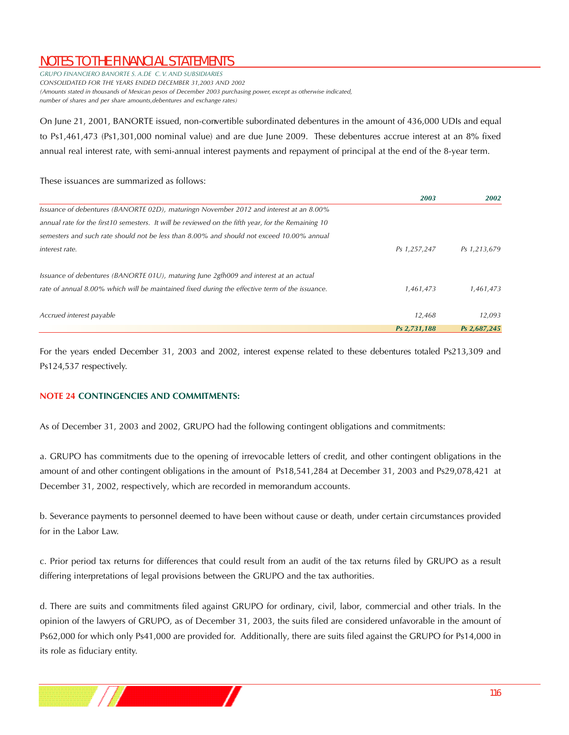*GRUPO FINANCIERO BANORTE S. A.DE C. V. AND SUBSIDIARIES CONSOLIDATED FOR THE YEARS ENDED DECEMBER 31,2003 AND 2002 (Amounts stated in thousands of Mexican pesos of December 2003 purchasing power, except as otherwise indicated, number of shares and per share amounts,debentures and exchange rates)*

On June 21, 2001, BANORTE issued, non-convertible subordinated debentures in the amount of 436,000 UDIs and equal to Ps1,461,473 (Ps1,301,000 nominal value) and are due June 2009. These debentures accrue interest at an 8% fixed annual real interest rate, with semi-annual interest payments and repayment of principal at the end of the 8-year term.

These issuances are summarized as follows:

|                                                                                                    | 2003         | 2002         |
|----------------------------------------------------------------------------------------------------|--------------|--------------|
| Issuance of debentures (BANORTE 02D), maturingn November 2012 and interest at an 8.00%             |              |              |
| annual rate for the first10 semesters. It will be reviewed on the fifth year, for the Remaining 10 |              |              |
| semesters and such rate should not be less than 8.00% and should not exceed 10.00% annual          |              |              |
| interest rate.                                                                                     | Ps 1,257,247 | Ps 1,213,679 |
| Issuance of debentures (BANORTE 01U), maturing June 2gfh009 and interest at an actual              |              |              |
| rate of annual 8.00% which will be maintained fixed during the effective term of the issuance.     | 1,461,473    | 1,461,473    |
| Accrued interest payable                                                                           | 12,468       | 12,093       |
|                                                                                                    | Ps 2,731,188 | Ps 2,687,245 |

For the years ended December 31, 2003 and 2002, interest expense related to these debentures totaled Ps213,309 and Ps124,537 respectively.

### **NOTE 24 CONTINGENCIES AND COMMITMENTS:**

As of December 31, 2003 and 2002, GRUPO had the following contingent obligations and commitments:

a. GRUPO has commitments due to the opening of irrevocable letters of credit, and other contingent obligations in the amount of and other contingent obligations in the amount of Ps18,541,284 at December 31, 2003 and Ps29,078,421 at December 31, 2002, respectively, which are recorded in memorandum accounts.

b. Severance payments to personnel deemed to have been without cause or death, under certain circumstances provided for in the Labor Law.

c. Prior period tax returns for differences that could result from an audit of the tax returns filed by GRUPO as a result differing interpretations of legal provisions between the GRUPO and the tax authorities.

d. There are suits and commitments filed against GRUPO for ordinary, civil, labor, commercial and other trials. In the opinion of the lawyers of GRUPO, as of December 31, 2003, the suits filed are considered unfavorable in the amount of Ps62,000 for which only Ps41,000 are provided for. Additionally, there are suits filed against the GRUPO for Ps14,000 in its role as fiduciary entity.

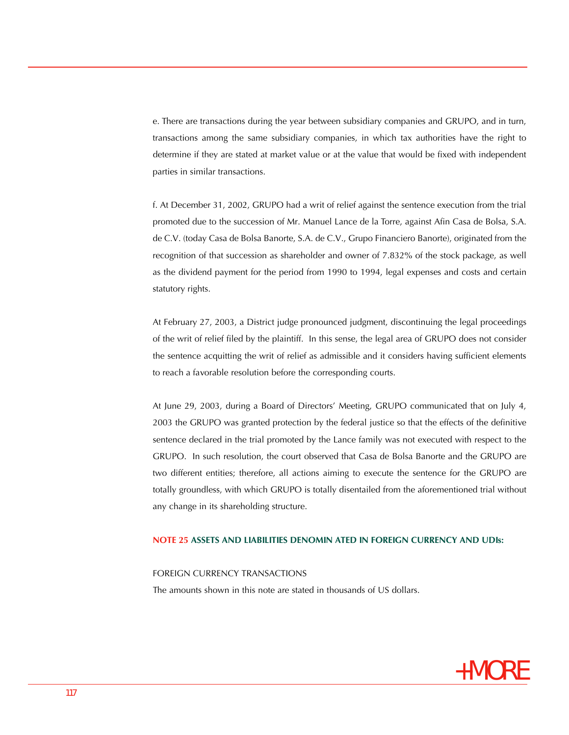e. There are transactions during the year between subsidiary companies and GRUPO, and in turn, transactions among the same subsidiary companies, in which tax authorities have the right to determine if they are stated at market value or at the value that would be fixed with independent parties in similar transactions.

f. At December 31, 2002, GRUPO had a writ of relief against the sentence execution from the trial promoted due to the succession of Mr. Manuel Lance de la Torre, against Afin Casa de Bolsa, S.A. de C.V. (today Casa de Bolsa Banorte, S.A. de C.V., Grupo Financiero Banorte), originated from the recognition of that succession as shareholder and owner of 7.832% of the stock package, as well as the dividend payment for the period from 1990 to 1994, legal expenses and costs and certain statutory rights.

At February 27, 2003, a District judge pronounced judgment, discontinuing the legal proceedings of the writ of relief filed by the plaintiff. In this sense, the legal area of GRUPO does not consider the sentence acquitting the writ of relief as admissible and it considers having sufficient elements to reach a favorable resolution before the corresponding courts.

At June 29, 2003, during a Board of Directors' Meeting, GRUPO communicated that on July 4, 2003 the GRUPO was granted protection by the federal justice so that the effects of the definitive sentence declared in the trial promoted by the Lance family was not executed with respect to the GRUPO. In such resolution, the court observed that Casa de Bolsa Banorte and the GRUPO are two different entities; therefore, all actions aiming to execute the sentence for the GRUPO are totally groundless, with which GRUPO is totally disentailed from the aforementioned trial without any change in its shareholding structure.

#### **NOTE 25 ASSETS AND LIABILITIES DENOMIN ATED IN FOREIGN CURRENCY AND UDIs:**

#### FOREIGN CURRENCY TRANSACTIONS

The amounts shown in this note are stated in thousands of US dollars.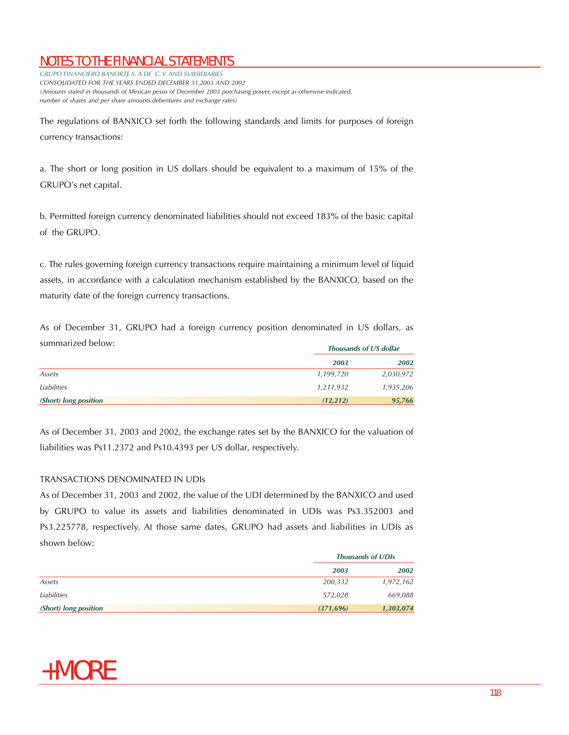*GRUPO FINANCIERO BANORTE S. A.DE C. V. AND SUBSIDIARIES CONSOLIDATED FOR THE YEARS ENDED DECEMBER 31,2003 AND 2002 (Amounts stated in thousands of Mexican pesos of December 2003 purchasing power, except as otherwise indicated, number of shares and per share amounts,debentures and exchange rates)*

The regulations of BANXICO set forth the following standards and limits for purposes of foreign currency transactions:

a. The short or long position in US dollars should be equivalent to a maximum of 15% of the GRUPO's net capital.

b. Permitted foreign currency denominated liabilities should not exceed 183% of the basic capital of the GRUPO.

c. The rules governing foreign currency transactions require maintaining a minimum level of liquid assets, in accordance with a calculation mechanism established by the BANXICO, based on the maturity date of the foreign currency transactions.

As of December 31, GRUPO had a foreign currency position denominated in US dollars, as summarized below:

|                       |           | <b>Thousands of US dollar</b> |  |  |
|-----------------------|-----------|-------------------------------|--|--|
|                       | 2003      | 2002                          |  |  |
| Assets                | 1,199,720 | 2,030,972                     |  |  |
| Liabilities           | 1,211,932 | 1,935,206                     |  |  |
| (Short) long position | (12,212)  | 95,766                        |  |  |

As of December 31, 2003 and 2002, the exchange rates set by the BANXICO for the valuation of liabilities was Ps11.2372 and Ps10.4393 per US dollar, respectively.

## TRANSACTIONS DENOMINATED IN UDIs

As of December 31, 2003 and 2002, the value of the UDI determined by the BANXICO and used by GRUPO to value its assets and liabilities denominated in UDIs was Ps3.352003 and Ps3.225778, respectively. At those same dates, GRUPO had assets and liabilities in UDIs as shown below:

|                       |           | <b>Thousands of UDIs</b> |
|-----------------------|-----------|--------------------------|
|                       | 2003      | 2002                     |
| Assets                | 200,332   | 1,972,162                |
| Liabilities           | 572,028   | 669,088                  |
| (Short) long position | (371,696) | 1,303,074                |

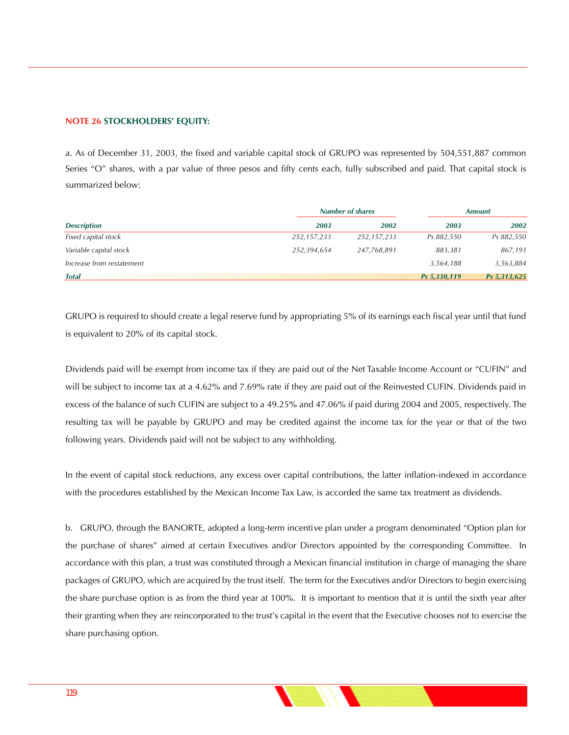#### **NOTE 26 STOCKHOLDERS' EQUITY:**

a. As of December 31, 2003, the fixed and variable capital stock of GRUPO was represented by 504,551,887 common Series "O" shares, with a par value of three pesos and fifty cents each, fully subscribed and paid. That capital stock is summarized below:

|                           |             | <b>Number of shares</b> |              | <b>Amount</b> |
|---------------------------|-------------|-------------------------|--------------|---------------|
| <b>Description</b>        | 2003        | 2002                    | 2003         | 2002          |
| Fixed capital stock       | 252,157,233 | 252,157,233             | Ps 882,550   | Ps 882,550    |
| Variable capital stock    | 252,394,654 | 247,768,891             | 883,381      | 867,191       |
| Increase from restatement |             |                         | 3,564,188    | 3,563,884     |
| <b>Total</b>              |             |                         | Ps 5,330,119 | Ps 5,313,625  |

GRUPO is required to should create a legal reserve fund by appropriating 5% of its earnings each fiscal year until that fund is equivalent to 20% of its capital stock.

Dividends paid will be exempt from income tax if they are paid out of the Net Taxable Income Account or "CUFIN" and will be subject to income tax at a 4.62% and 7.69% rate if they are paid out of the Reinvested CUFIN. Dividends paid in excess of the balance of such CUFIN are subject to a 49.25% and 47.06% if paid during 2004 and 2005, respectively. The resulting tax will be payable by GRUPO and may be credited against the income tax for the year or that of the two following years. Dividends paid will not be subject to any withholding.

In the event of capital stock reductions, any excess over capital contributions, the latter inflation-indexed in accordance with the procedures established by the Mexican Income Tax Law, is accorded the same tax treatment as dividends.

b. GRUPO, through the BANORTE, adopted a long-term incentive plan under a program denominated "Option plan for the purchase of shares" aimed at certain Executives and/or Directors appointed by the corresponding Committee. In accordance with this plan, a trust was constituted through a Mexican financial institution in charge of managing the share packages of GRUPO, which are acquired by the trust itself. The term for the Executives and/or Directors to begin exercising the share purchase option is as from the third year at 100%. It is important to mention that it is until the sixth year after their granting when they are reincorporated to the trust's capital in the event that the Executive chooses not to exercise the share purchasing option.

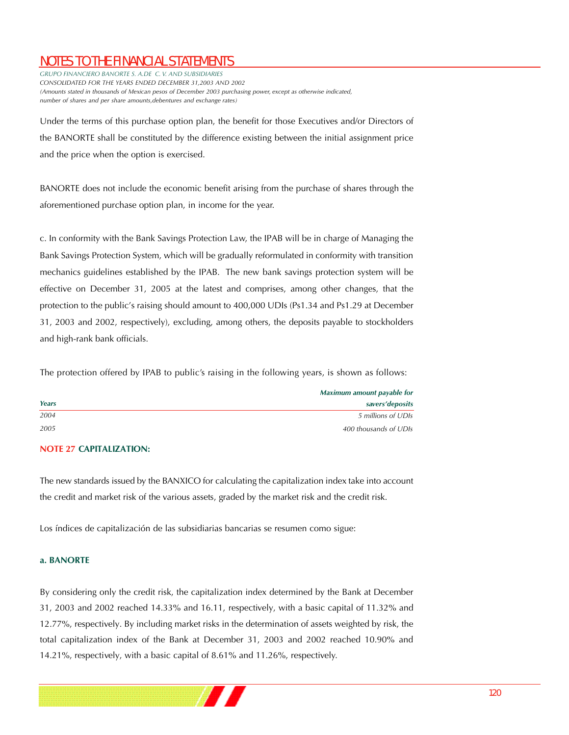*GRUPO FINANCIERO BANORTE S. A.DE C. V. AND SUBSIDIARIES CONSOLIDATED FOR THE YEARS ENDED DECEMBER 31,2003 AND 2002 (Amounts stated in thousands of Mexican pesos of December 2003 purchasing power, except as otherwise indicated, number of shares and per share amounts,debentures and exchange rates)*

Under the terms of this purchase option plan, the benefit for those Executives and/or Directors of the BANORTE shall be constituted by the difference existing between the initial assignment price and the price when the option is exercised.

BANORTE does not include the economic benefit arising from the purchase of shares through the aforementioned purchase option plan, in income for the year.

c. In conformity with the Bank Savings Protection Law, the IPAB will be in charge of Managing the Bank Savings Protection System, which will be gradually reformulated in conformity with transition mechanics guidelines established by the IPAB. The new bank savings protection system will be effective on December 31, 2005 at the latest and comprises, among other changes, that the protection to the public's raising should amount to 400,000 UDIs (Ps1.34 and Ps1.29 at December 31, 2003 and 2002, respectively), excluding, among others, the deposits payable to stockholders and high-rank bank officials.

The protection offered by IPAB to public's raising in the following years, is shown as follows:

|       | Maximum amount payable for |
|-------|----------------------------|
| Years | savers'deposits            |
| 2004  | 5 millions of UDIs         |
| 2005  | 400 thousands of UDIs      |

### **NOTE 27 CAPITALIZATION:**

The new standards issued by the BANXICO for calculating the capitalization index take into account the credit and market risk of the various assets, graded by the market risk and the credit risk.

Los índices de capitalización de las subsidiarias bancarias se resumen como sigue:

#### **a. BANORTE**

By considering only the credit risk, the capitalization index determined by the Bank at December 31, 2003 and 2002 reached 14.33% and 16.11, respectively, with a basic capital of 11.32% and 12.77%, respectively. By including market risks in the determination of assets weighted by risk, the total capitalization index of the Bank at December 31, 2003 and 2002 reached 10.90% and 14.21%, respectively, with a basic capital of 8.61% and 11.26%, respectively.

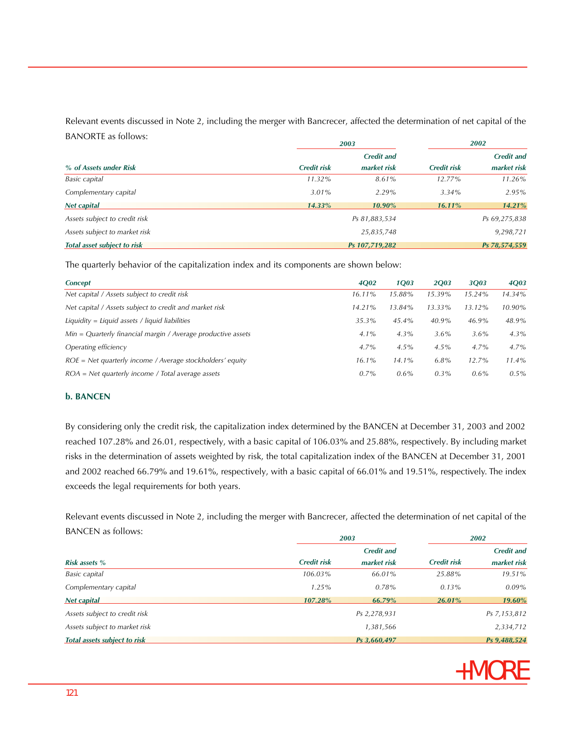Relevant events discussed in Note 2, including the merger with Bancrecer, affected the determination of net capital of the BANORTE as follows:

|                                    |                    | 2003              | 2002               |                   |  |
|------------------------------------|--------------------|-------------------|--------------------|-------------------|--|
|                                    |                    | <b>Credit and</b> |                    | <b>Credit and</b> |  |
| % of Assets under Risk             | <b>Credit risk</b> | market risk       | <b>Credit risk</b> | market risk       |  |
| Basic capital                      | $11.32\%$          | 8.61%             | $12.77\%$          | 11.26%            |  |
| Complementary capital              | $3.01\%$           | 2.29%             | $3.34\%$           | $2.95\%$          |  |
| <b>Net capital</b>                 | 14.33%             | 10.90%            | $16.11\%$          | 14.21%            |  |
| Assets subject to credit risk      |                    | Ps 81,883,534     |                    | Ps 69,275,838     |  |
| Assets subject to market risk      |                    | 25,835,748        |                    | 9,298,721         |  |
| <b>Total asset subject to risk</b> |                    | Ps 107,719,282    |                    | Ps 78,574,559     |  |

The quarterly behavior of the capitalization index and its components are shown below:

| <b>Concept</b>                                                 | <b>4002</b> | <b>1Q03</b> | <b>2O03</b> | <b>3O03</b> | 4Q03    |
|----------------------------------------------------------------|-------------|-------------|-------------|-------------|---------|
| Net capital / Assets subject to credit risk                    | 16.11%      | 15.88%      | 15.39%      | $15.24\%$   | 14.34%  |
| Net capital / Assets subject to credit and market risk         | 14.21%      | 13.84%      | 13.33%      | $13.12\%$   | 10.90%  |
| Liquidity = Liquid assets / liquid liabilities                 | 35.3%       | $45.4\%$    | 40.9%       | 46.9%       | 48.9%   |
| $Min =$ Quarterly financial margin / Average productive assets | $4.1\%$     | $4.3\%$     | $3.6\%$     | $3.6\%$     | $4.3\%$ |
| Operating efficiency                                           | $4.7\%$     | $4.5\%$     | $4.5\%$     | $4.7\%$     | $4.7\%$ |
| $ROE = Net$ quarterly income / Average stockholders' equity    | 16.1%       | $14.1\%$    | $6.8\%$     | $12.7\%$    | 11.4%   |
| $ROA = Net$ quarterly income / Total average assets            | $0.7\%$     | $0.6\%$     | $0.3\%$     | $0.6\%$     | $0.5\%$ |

#### **b. BANCEN**

By considering only the credit risk, the capitalization index determined by the BANCEN at December 31, 2003 and 2002 reached 107.28% and 26.01, respectively, with a basic capital of 106.03% and 25.88%, respectively. By including market risks in the determination of assets weighted by risk, the total capitalization index of the BANCEN at December 31, 2001 and 2002 reached 66.79% and 19.61%, respectively, with a basic capital of 66.01% and 19.51%, respectively. The index exceeds the legal requirements for both years.

Relevant events discussed in Note 2, including the merger with Bancrecer, affected the determination of net capital of the BANCEN as follows:

|                                     |                    | 2003              | 2002               |                   |  |
|-------------------------------------|--------------------|-------------------|--------------------|-------------------|--|
|                                     |                    | <b>Credit and</b> |                    | <b>Credit and</b> |  |
| <b>Risk assets %</b>                | <b>Credit risk</b> | market risk       | <b>Credit risk</b> | market risk       |  |
| Basic capital                       | 106.03%            | 66.01%            | 25.88%             | 19.51%            |  |
| Complementary capital               | 1.25%              | $0.78\%$          | $0.13\%$           | $0.09\%$          |  |
| <b>Net capital</b>                  | 107.28%            | 66.79%            | $26.01\%$          | 19.60%            |  |
| Assets subject to credit risk       |                    | Ps 2,278,931      |                    | Ps 7,153,812      |  |
| Assets subject to market risk       |                    | 1,381,566         |                    | 2,334,712         |  |
| <b>Total assets subject to risk</b> |                    | Ps 3,660,497      |                    | Ps 9,488,524      |  |

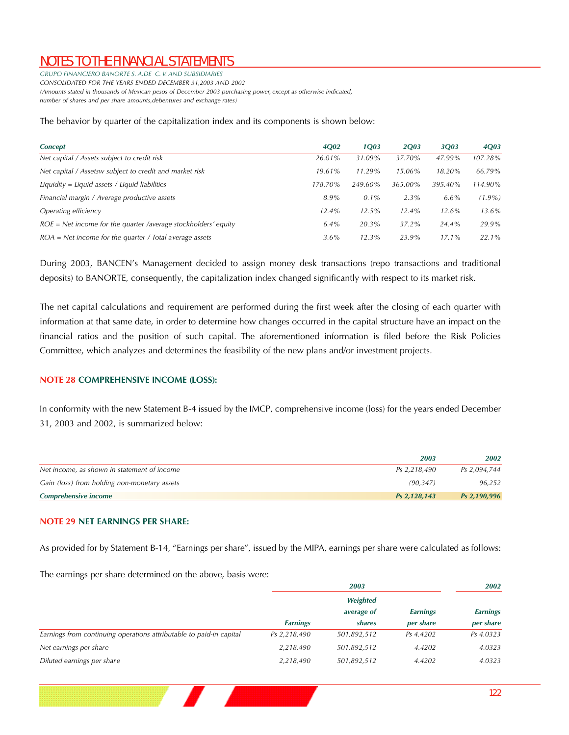*GRUPO FINANCIERO BANORTE S. A.DE C. V. AND SUBSIDIARIES CONSOLIDATED FOR THE YEARS ENDED DECEMBER 31,2003 AND 2002 (Amounts stated in thousands of Mexican pesos of December 2003 purchasing power, except as otherwise indicated, number of shares and per share amounts,debentures and exchange rates)*

The behavior by quarter of the capitalization index and its components is shown below:

| <b>Concept</b>                                                   | <b>4002</b> | <b>1O03</b> | <b>2O03</b> | <b>3Q03</b> | <b>4O03</b> |
|------------------------------------------------------------------|-------------|-------------|-------------|-------------|-------------|
| Net capital / Assets subject to credit risk                      | 26.01%      | 31.09%      | 37.70%      | 47.99%      | 107.28%     |
| Net capital / Assetsw subject to credit and market risk          | 19.61%      | 11.29%      | 15.06%      | 18.20%      | 66.79%      |
| Liquidity = Liquid assets / Liquid liabilities                   | 178.70%     | 249.60%     | 365.00%     | 395.40%     | 114.90%     |
| Financial margin / Average productive assets                     | $8.9\%$     | $0.1\%$     | $2.3\%$     | $6.6\%$     | $(1.9\%)$   |
| Operating efficiency                                             | $12.4\%$    | $12.5\%$    | $12.4\%$    | $12.6\%$    | 13.6%       |
| $ROE = Net$ income for the quarter /average stockholders' equity | $6.4\%$     | $20.3\%$    | $37.2\%$    | 24.4%       | 29.9%       |
| $ROA = Net$ income for the quarter / Total average assets        | $3.6\%$     | $12.3\%$    | 23.9%       | $17.1\%$    | 22.1%       |

During 2003, BANCEN's Management decided to assign money desk transactions (repo transactions and traditional deposits) to BANORTE, consequently, the capitalization index changed significantly with respect to its market risk.

The net capital calculations and requirement are performed during the first week after the closing of each quarter with information at that same date, in order to determine how changes occurred in the capital structure have an impact on the financial ratios and the position of such capital. The aforementioned information is filed before the Risk Policies Committee, which analyzes and determines the feasibility of the new plans and/or investment projects.

### **NOTE 28 COMPREHENSIVE INCOME (LOSS):**

In conformity with the new Statement B-4 issued by the IMCP, comprehensive income (loss) for the years ended December 31, 2003 and 2002, is summarized below:

|                                              | 2003         | 2002           |
|----------------------------------------------|--------------|----------------|
| Net income, as shown in statement of income  | Ps 2.218.490 | Ps 2.094.744   |
| Gain (loss) from holding non-monetary assets | (90.347)     | 96.252         |
| <b>Comprehensive income</b>                  | Ps 2.128.143 | $Ps$ 2,190,996 |

### **NOTE 29 NET EARNINGS PER SHARE:**

As provided for by Statement B-14, "Earnings per share", issued by the MIPA, earnings per share were calculated as follows:

The earnings per share determined on the above, basis were:

|                                                                     |                 | 2003        |                 |                 |  |
|---------------------------------------------------------------------|-----------------|-------------|-----------------|-----------------|--|
|                                                                     |                 | Weighted    |                 |                 |  |
|                                                                     |                 | average of  | <b>Earnings</b> | <b>Earnings</b> |  |
|                                                                     | <b>Earnings</b> | shares      | per share       | per share       |  |
| Earnings from continuing operations attributable to paid-in capital | Ps 2,218,490    | 501,892,512 | Ps 4.4202       | Ps 4.0323       |  |
| Net earnings per share                                              | 2,218,490       | 501,892,512 | 4.4202          | 4.0323          |  |
| Diluted earnings per share                                          | 2,218,490       | 501,892,512 | 4.4202          | 4.0323          |  |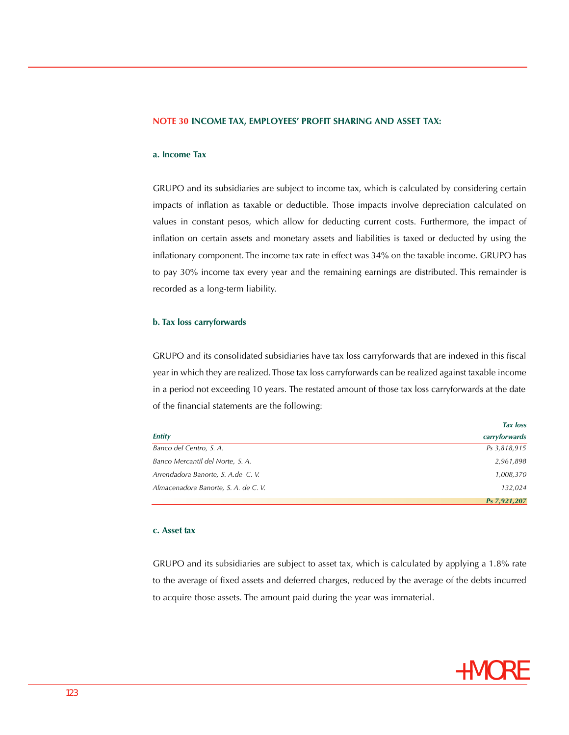### **NOTE 30 INCOME TAX, EMPLOYEES' PROFIT SHARING AND ASSET TAX:**

#### **a. Income Tax**

GRUPO and its subsidiaries are subject to income tax, which is calculated by considering certain impacts of inflation as taxable or deductible. Those impacts involve depreciation calculated on values in constant pesos, which allow for deducting current costs. Furthermore, the impact of inflation on certain assets and monetary assets and liabilities is taxed or deducted by using the inflationary component. The income tax rate in effect was 34% on the taxable income. GRUPO has to pay 30% income tax every year and the remaining earnings are distributed. This remainder is recorded as a long-term liability.

#### **b. Tax loss carryforwards**

GRUPO and its consolidated subsidiaries have tax loss carryforwards that are indexed in this fiscal year in which they are realized. Those tax loss carryforwards can be realized against taxable income in a period not exceeding 10 years. The restated amount of those tax loss carryforwards at the date of the financial statements are the following:

|                                      | <b>Tax loss</b> |
|--------------------------------------|-----------------|
| <b>Entity</b>                        | carryforwards   |
| Banco del Centro, S. A.              | Ps 3,818,915    |
| Banco Mercantil del Norte, S.A.      | 2,961,898       |
| Arrendadora Banorte, S. A.de C. V.   | 1,008,370       |
| Almacenadora Banorte, S. A. de C. V. | 132,024         |
|                                      | Ps 7,921,207    |

#### **c. Asset tax**

GRUPO and its subsidiaries are subject to asset tax, which is calculated by applying a 1.8% rate to the average of fixed assets and deferred charges, reduced by the average of the debts incurred to acquire those assets. The amount paid during the year was immaterial.

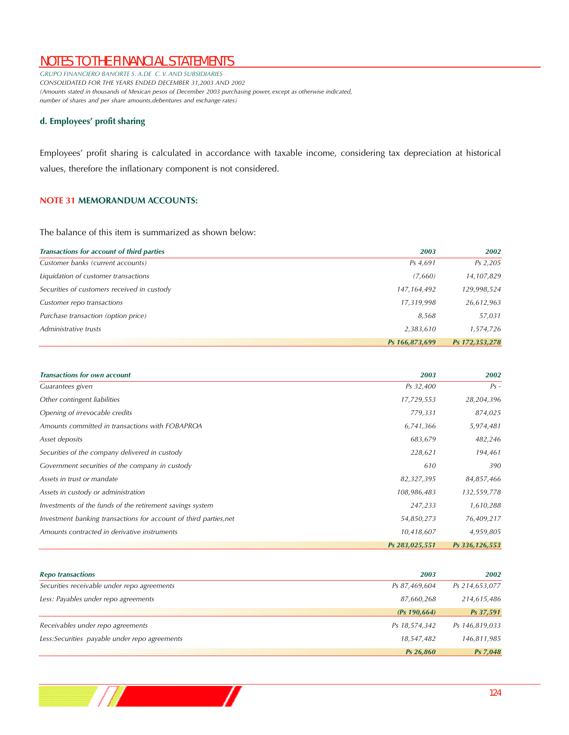*GRUPO FINANCIERO BANORTE S. A.DE C. V. AND SUBSIDIARIES CONSOLIDATED FOR THE YEARS ENDED DECEMBER 31,2003 AND 2002 (Amounts stated in thousands of Mexican pesos of December 2003 purchasing power, except as otherwise indicated, number of shares and per share amounts,debentures and exchange rates)*

### **d. Employees' profit sharing**

 $\overline{\phantom{a}}$ 

Employees' profit sharing is calculated in accordance with taxable income, considering tax depreciation at historical values, therefore the inflationary component is not considered.

#### **NOTE 31 MEMORANDUM ACCOUNTS:**

The balance of this item is summarized as shown below:

| Transactions for account of third parties   | 2003           | 2002           |
|---------------------------------------------|----------------|----------------|
| Customer banks (current accounts)           | Ps 4,691       | Ps 2,205       |
| Liquidation of customer transactions        | (7,660)        | 14,107,829     |
| Securities of customers received in custody | 147, 164, 492  | 129,998,524    |
| Customer repo transactions                  | 17,319,998     | 26,612,963     |
| Purchase transaction (option price)         | 8,568          | 57,031         |
| Administrative trusts                       | 2,383,610      | 1,574,726      |
|                                             | Ps 166,873,699 | Ps 172,353,278 |

| <b>Transactions for own account</b>                               | 2003           | 2002           |
|-------------------------------------------------------------------|----------------|----------------|
| Guarantees given                                                  | Ps 32,400      | $Ps -$         |
| Other contingent liabilities                                      | 17,729,553     | 28,204,396     |
| Opening of irrevocable credits                                    | 779,331        | 874,025        |
| Amounts committed in transactions with FOBAPROA                   | 6,741,366      | 5,974,481      |
| Asset deposits                                                    | 683,679        | 482,246        |
| Securities of the company delivered in custody                    | 228,621        | 194,461        |
| Government securities of the company in custody                   | 610            | 390            |
| Assets in trust or mandate                                        | 82,327,395     | 84,857,466     |
| Assets in custody or administration                               | 108,986,483    | 132,559,778    |
| Investments of the funds of the retirement savings system         | 247,233        | 1,610,288      |
| Investment banking transactions for account of third parties, net | 54,850,273     | 76,409,217     |
| Amounts contracted in derivative instruments                      | 10,418,607     | 4,959,805      |
|                                                                   | Ps 283,025,551 | Ps 336,126,553 |

| <b>Repo transactions</b>                       | 2003          | 2002           |
|------------------------------------------------|---------------|----------------|
| Securities receivable under repo agreements    | Ps 87,469,604 | Ps 214,653,077 |
| Less: Payables under repo agreements           | 87,660,268    | 214,615,486    |
|                                                | (Ps 190, 664) | Ps 37,591      |
| Receivables under repo agreements              | Ps 18,574,342 | Ps 146,819,033 |
| Less: Securities payable under repo agreements | 18,547,482    | 146,811,985    |
|                                                | Ps 26,860     | Ps 7,048       |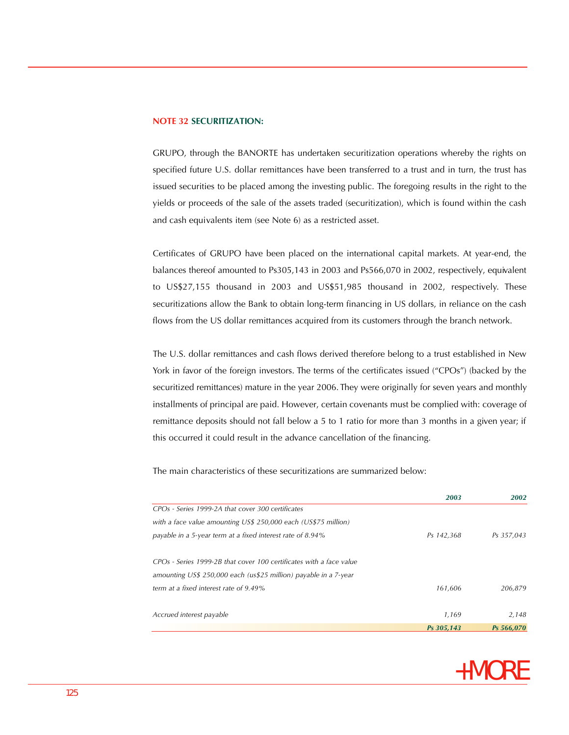### **NOTE 32 SECURITIZATION:**

GRUPO, through the BANORTE has undertaken securitization operations whereby the rights on specified future U.S. dollar remittances have been transferred to a trust and in turn, the trust has issued securities to be placed among the investing public. The foregoing results in the right to the yields or proceeds of the sale of the assets traded (securitization), which is found within the cash and cash equivalents item (see Note 6) as a restricted asset.

Certificates of GRUPO have been placed on the international capital markets. At year-end, the balances thereof amounted to Ps305,143 in 2003 and Ps566,070 in 2002, respectively, equivalent to US\$27,155 thousand in 2003 and US\$51,985 thousand in 2002, respectively. These securitizations allow the Bank to obtain long-term financing in US dollars, in reliance on the cash flows from the US dollar remittances acquired from its customers through the branch network.

The U.S. dollar remittances and cash flows derived therefore belong to a trust established in New York in favor of the foreign investors. The terms of the certificates issued ("CPOs") (backed by the securitized remittances) mature in the year 2006. They were originally for seven years and monthly installments of principal are paid. However, certain covenants must be complied with: coverage of remittance deposits should not fall below a 5 to 1 ratio for more than 3 months in a given year; if this occurred it could result in the advance cancellation of the financing.

The main characteristics of these securitizations are summarized below:

|                                                                     | 2003       | 2002       |
|---------------------------------------------------------------------|------------|------------|
| CPOs - Series 1999-2A that cover 300 certificates                   |            |            |
| with a face value amounting US\$ 250,000 each (US\$75 million)      |            |            |
| payable in a 5-year term at a fixed interest rate of 8.94%          | Ps 142,368 | Ps 357,043 |
| CPOs - Series 1999-2B that cover 100 certificates with a face value |            |            |
| amounting US\$ 250,000 each (us\$25 million) payable in a 7-year    |            |            |
| term at a fixed interest rate of 9.49%                              | 161,606    | 206,879    |
| Accrued interest payable                                            | 1.169      | 2.148      |
|                                                                     | Ps 305.143 | Ps 566.070 |

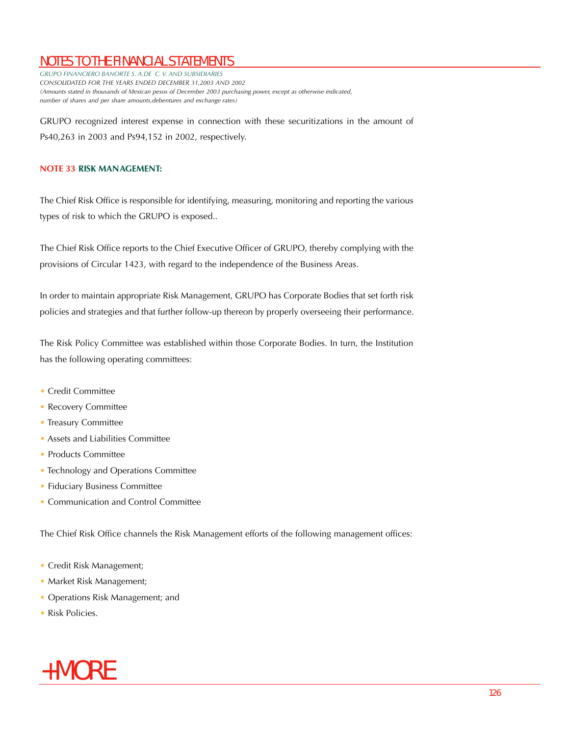*GRUPO FINANCIERO BANORTE S. A.DE C. V. AND SUBSIDIARIES CONSOLIDATED FOR THE YEARS ENDED DECEMBER 31,2003 AND 2002 (Amounts stated in thousands of Mexican pesos of December 2003 purchasing power, except as otherwise indicated, number of shares and per share amounts,debentures and exchange rates)*

GRUPO recognized interest expense in connection with these securitizations in the amount of Ps40,263 in 2003 and Ps94,152 in 2002, respectively.

### **NOTE 33 RISK MANAGEMENT:**

The Chief Risk Office is responsible for identifying, measuring, monitoring and reporting the various types of risk to which the GRUPO is exposed..

The Chief Risk Office reports to the Chief Executive Officer of GRUPO, thereby complying with the provisions of Circular 1423, with regard to the independence of the Business Areas.

In order to maintain appropriate Risk Management, GRUPO has Corporate Bodies that set forth risk policies and strategies and that further follow-up thereon by properly overseeing their performance.

The Risk Policy Committee was established within those Corporate Bodies. In turn, the Institution has the following operating committees:

- Credit Committee
- Recovery Committee
- Treasury Committee
- Assets and Liabilities Committee
- Products Committee
- Technology and Operations Committee
- Fiduciary Business Committee
- Communication and Control Committee

The Chief Risk Office channels the Risk Management efforts of the following management offices:

- Credit Risk Management;
- Market Risk Management;
- Operations Risk Management; and
- Risk Policies.

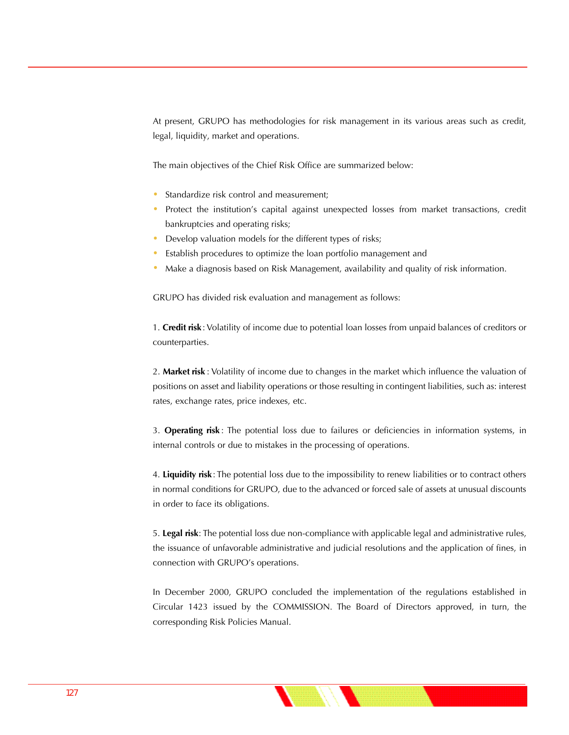At present, GRUPO has methodologies for risk management in its various areas such as credit, legal, liquidity, market and operations.

The main objectives of the Chief Risk Office are summarized below:

- Standardize risk control and measurement; •
- Protect the institution's capital against unexpected losses from market transactions, credit bankruptcies and operating risks; •
- Develop valuation models for the different types of risks; •
- Establish procedures to optimize the loan portfolio management and •
- Make a diagnosis based on Risk Management, availability and quality of risk information. •

GRUPO has divided risk evaluation and management as follows:

1. **Credit risk** : Volatility of income due to potential loan losses from unpaid balances of creditors or counterparties.

2. **Market risk** : Volatility of income due to changes in the market which influence the valuation of positions on asset and liability operations or those resulting in contingent liabilities, such as: interest rates, exchange rates, price indexes, etc.

3. **Operating risk** : The potential loss due to failures or deficiencies in information systems, in internal controls or due to mistakes in the processing of operations.

4. **Liquidity risk**: The potential loss due to the impossibility to renew liabilities or to contract others in normal conditions for GRUPO, due to the advanced or forced sale of assets at unusual discounts in order to face its obligations.

5. **Legal risk**: The potential loss due non-compliance with applicable legal and administrative rules, the issuance of unfavorable administrative and judicial resolutions and the application of fines, in connection with GRUPO's operations.

In December 2000, GRUPO concluded the implementation of the regulations established in Circular 1423 issued by the COMMISSION. The Board of Directors approved, in turn, the corresponding Risk Policies Manual.

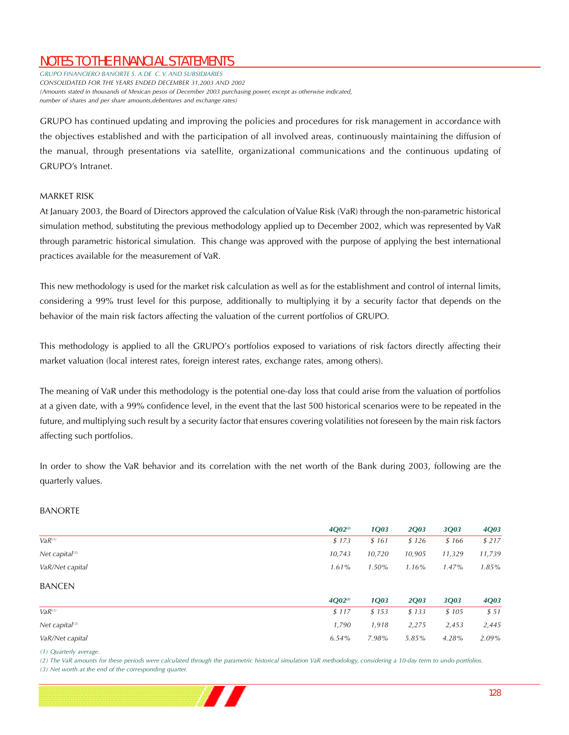*GRUPO FINANCIERO BANORTE S. A.DE C. V. AND SUBSIDIARIES CONSOLIDATED FOR THE YEARS ENDED DECEMBER 31,2003 AND 2002 (Amounts stated in thousands of Mexican pesos of December 2003 purchasing power, except as otherwise indicated, number of shares and per share amounts,debentures and exchange rates)*

GRUPO has continued updating and improving the policies and procedures for risk management in accordance with the objectives established and with the participation of all involved areas, continuously maintaining the diffusion of the manual, through presentations via satellite, organizational communications and the continuous updating of GRUPO's Intranet.

### MARKET RISK

At January 2003, the Board of Directors approved the calculation of Value Risk (VaR) through the non-parametric historical simulation method, substituting the previous methodology applied up to December 2002, which was represented by VaR through parametric historical simulation. This change was approved with the purpose of applying the best international practices available for the measurement of VaR.

This new methodology is used for the market risk calculation as well as for the establishment and control of internal limits, considering a 99% trust level for this purpose, additionally to multiplying it by a security factor that depends on the behavior of the main risk factors affecting the valuation of the current portfolios of GRUPO.

This methodology is applied to all the GRUPO's portfolios exposed to variations of risk factors directly affecting their market valuation (local interest rates, foreign interest rates, exchange rates, among others).

The meaning of VaR under this methodology is the potential one-day loss that could arise from the valuation of portfolios at a given date, with a 99% confidence level, in the event that the last 500 historical scenarios were to be repeated in the future, and multiplying such result by a security factor that ensures covering volatilities not foreseen by the main risk factors affecting such portfolios.

In order to show the VaR behavior and its correlation with the net worth of the Bank during 2003, following are the quarterly values.

### BANORTE

|                            | $4Q02^{(2)}$ | <b>1Q03</b> | <b>2Q03</b> | 3Q03     | <b>4Q03</b> |
|----------------------------|--------------|-------------|-------------|----------|-------------|
| $VaR^{(1)}$                | \$173        | \$161       | \$126       | \$166    | \$217       |
| Net capital <sup>(3)</sup> | 10,743       | 10,720      | 10,905      | 11,329   | 11,739      |
| VaR/Net capital            | 1.61%        | $1.50\%$    | $1.16\%$    | $1.47\%$ | $1.85\%$    |
| <b>BANCEN</b>              |              |             |             |          |             |
|                            | $4Q02^{(2)}$ | <b>1Q03</b> | <b>2Q03</b> | 3Q03     | <b>4Q03</b> |
| $VaR^{(1)}$                | \$117        | \$153       | \$133       | \$105    | \$51        |
| Net capital <sup>(3)</sup> | 1,790        | 1,918       | 2,275       | 2,453    | 2,445       |
| VaR/Net capital            | $6.54\%$     | 7.98%       | 5.85%       | 4.28%    | $2.09\%$    |

*(1) Quarterly average* 

(2) The VaR amounts for these periods were calculated through the parametric historical simulation VaR methodology, considering a 10-day term to undo portfolios.

*(3) Net worth at the end of the corresponding quarter.* 

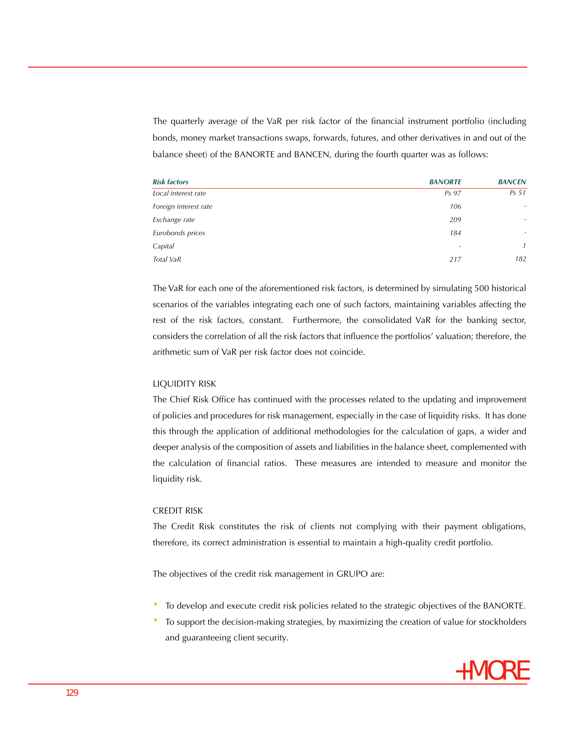The quarterly average of the VaR per risk factor of the financial instrument portfolio (including bonds, money market transactions swaps, forwards, futures, and other derivatives in and out of the balance sheet) of the BANORTE and BANCEN, during the fourth quarter was as follows:

| <b>Risk factors</b>   | <b>BANORTE</b> | <b>BANCEN</b>            |
|-----------------------|----------------|--------------------------|
| Local interest rate   | Ps 97          | Ps <sub>51</sub>         |
| Foreign interest rate | 106            | $\overline{\phantom{a}}$ |
| Exchange rate         | 209            | $\overline{\phantom{a}}$ |
| Eurobonds prices      | 184            | $\overline{\phantom{a}}$ |
| Capital               | -              | $\mathcal{I}$            |
| Total VaR             | 217            | 182                      |

The VaR for each one of the aforementioned risk factors, is determined by simulating 500 historical scenarios of the variables integrating each one of such factors, maintaining variables affecting the rest of the risk factors, constant. Furthermore, the consolidated VaR for the banking sector, considers the correlation of all the risk factors that influence the portfolios' valuation; therefore, the arithmetic sum of VaR per risk factor does not coincide.

#### LIQUIDITY RISK

The Chief Risk Office has continued with the processes related to the updating and improvement of policies and procedures for risk management, especially in the case of liquidity risks. It has done this through the application of additional methodologies for the calculation of gaps, a wider and deeper analysis of the composition of assets and liabilities in the balance sheet, complemented with the calculation of financial ratios. These measures are intended to measure and monitor the liquidity risk.

### CREDIT RISK

The Credit Risk constitutes the risk of clients not complying with their payment obligations, therefore, its correct administration is essential to maintain a high-quality credit portfolio.

The objectives of the credit risk management in GRUPO are:

- To develop and execute credit risk policies related to the strategic objectives of the BANORTE. •
- To support the decision-making strategies, by maximizing the creation of value for stockholders and guaranteeing client security. •

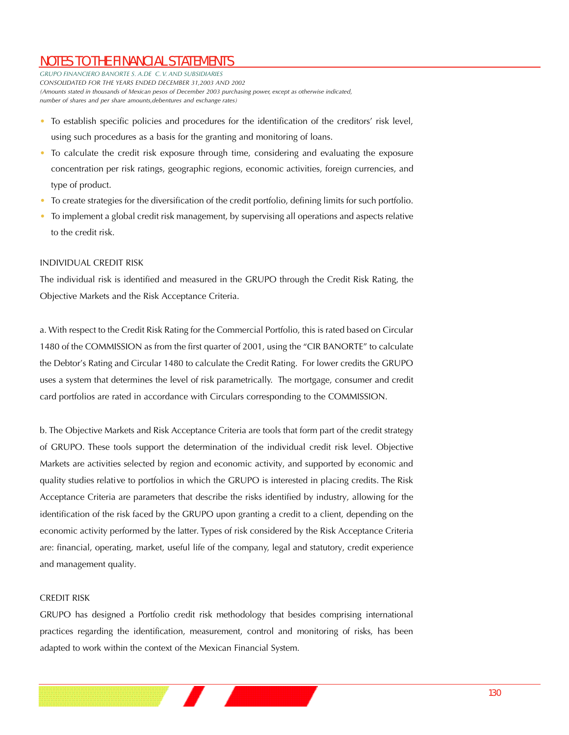*GRUPO FINANCIERO BANORTE S. A.DE C. V. AND SUBSIDIARIES CONSOLIDATED FOR THE YEARS ENDED DECEMBER 31,2003 AND 2002 (Amounts stated in thousands of Mexican pesos of December 2003 purchasing power, except as otherwise indicated, number of shares and per share amounts,debentures and exchange rates)*

- To establish specific policies and procedures for the identification of the creditors' risk level, using such procedures as a basis for the granting and monitoring of loans.
- To calculate the credit risk exposure through time, considering and evaluating the exposure concentration per risk ratings, geographic regions, economic activities, foreign currencies, and type of product. •
- To create strategies for the diversification of the credit portfolio, defining limits for such portfolio. •
- To implement a global credit risk management, by supervising all operations and aspects relative to the credit risk. •

### INDIVIDUAL CREDIT RISK

The individual risk is identified and measured in the GRUPO through the Credit Risk Rating, the Objective Markets and the Risk Acceptance Criteria.

a. With respect to the Credit Risk Rating for the Commercial Portfolio, this is rated based on Circular 1480 of the COMMISSION as from the first quarter of 2001, using the "CIR BANORTE" to calculate the Debtor's Rating and Circular 1480 to calculate the Credit Rating. For lower credits the GRUPO uses a system that determines the level of risk parametrically. The mortgage, consumer and credit card portfolios are rated in accordance with Circulars corresponding to the COMMISSION.

b. The Objective Markets and Risk Acceptance Criteria are tools that form part of the credit strategy of GRUPO. These tools support the determination of the individual credit risk level. Objective Markets are activities selected by region and economic activity, and supported by economic and quality studies relative to portfolios in which the GRUPO is interested in placing credits. The Risk Acceptance Criteria are parameters that describe the risks identified by industry, allowing for the identification of the risk faced by the GRUPO upon granting a credit to a client, depending on the economic activity performed by the latter. Types of risk considered by the Risk Acceptance Criteria are: financial, operating, market, useful life of the company, legal and statutory, credit experience and management quality.

#### CREDIT RISK

GRUPO has designed a Portfolio credit risk methodology that besides comprising international p ractices regarding the identification, measurement, control and monitoring of risks, has been adapted to work within the context of the Mexican Financial System.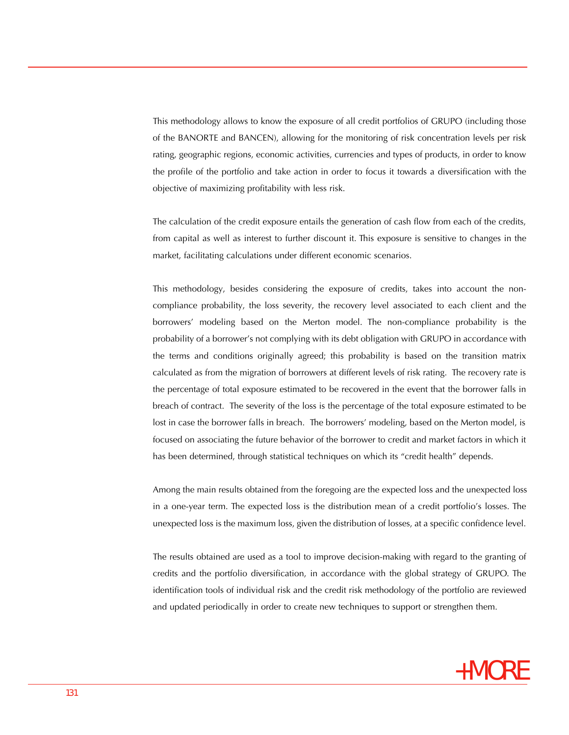This methodology allows to know the exposure of all credit portfolios of GRUPO (including those of the BANORTE and BANCEN), allowing for the monitoring of risk concentration levels per risk rating, geographic regions, economic activities, currencies and types of products, in order to know the profile of the portfolio and take action in order to focus it towards a diversification with the objective of maximizing profitability with less risk.

The calculation of the credit exposure entails the generation of cash flow from each of the credits, from capital as well as interest to further discount it. This exposure is sensitive to changes in the market, facilitating calculations under different economic scenarios.

This methodology, besides considering the exposure of credits, takes into account the noncompliance probability, the loss severity, the recovery level associated to each client and the borrowers' modeling based on the Merton model. The non-compliance probability is the probability of a borrower's not complying with its debt obligation with GRUPO in accordance with the terms and conditions originally agreed; this probability is based on the transition matrix calculated as from the migration of borrowers at different levels of risk rating. The recovery rate is the percentage of total exposure estimated to be recovered in the event that the borrower falls in breach of contract. The severity of the loss is the percentage of the total exposure estimated to be lost in case the borrower falls in breach. The borrowers' modeling, based on the Merton model, is focused on associating the future behavior of the borrower to credit and market factors in which it has been determined, through statistical techniques on which its "credit health" depends.

Among the main results obtained from the foregoing are the expected loss and the unexpected loss in a one-year term. The expected loss is the distribution mean of a credit portfolio's losses. The unexpected loss is the maximum loss, given the distribution of losses, at a specific confidence level.

The results obtained are used as a tool to improve decision-making with regard to the granting of credits and the portfolio diversification, in accordance with the global strategy of GRUPO. The identification tools of individual risk and the credit risk methodology of the portfolio are reviewed and updated periodically in order to create new techniques to support or strengthen them.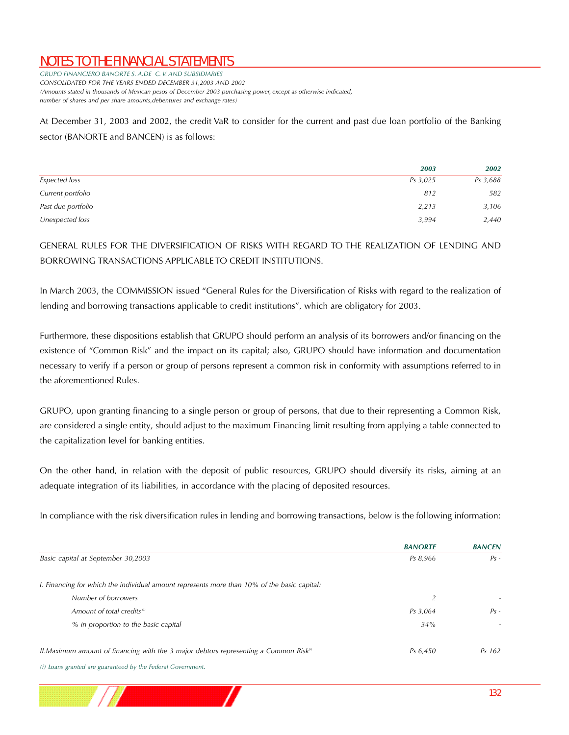*GRUPO FINANCIERO BANORTE S. A.DE C. V. AND SUBSIDIARIES CONSOLIDATED FOR THE YEARS ENDED DECEMBER 31,2003 AND 2002 (Amounts stated in thousands of Mexican pesos of December 2003 purchasing power, except as otherwise indicated, number of shares and per share amounts,debentures and exchange rates)*

At December 31, 2003 and 2002, the credit VaR to consider for the current and past due loan portfolio of the Banking sector (BANORTE and BANCEN) is as follows:

|                    | 2003     | 2002     |
|--------------------|----------|----------|
| Expected loss      | Ps 3,025 | Ps 3,688 |
| Current portfolio  | 812      | 582      |
| Past due portfolio | 2,213    | 3,106    |
| Unexpected loss    | 3,994    | 2,440    |

GENERAL RULES FOR THE DIVERSIFICATION OF RISKS WITH REGARD TO THE REALIZATION OF LENDING AND BORROWING TRANSACTIONS APPLICABLE TO CREDIT INSTITUTIONS.

In March 2003, the COMMISSION issued "General Rules for the Diversification of Risks with regard to the realization of lending and borrowing transactions applicable to credit institutions", which are obligatory for 2003.

Furthermore, these dispositions establish that GRUPO should perform an analysis of its borrowers and/or financing on the existence of "Common Risk" and the impact on its capital; also, GRUPO should have information and documentation necessary to verify if a person or group of persons represent a common risk in conformity with assumptions referred to in the aforementioned Rules.

GRUPO, upon granting financing to a single person or group of persons, that due to their representing a Common Risk, are considered a single entity, should adjust to the maximum Financing limit resulting from applying a table connected to the capitalization level for banking entities.

On the other hand, in relation with the deposit of public resources, GRUPO should diversify its risks, aiming at an adequate integration of its liabilities, in accordance with the placing of deposited resources.

In compliance with the risk diversification rules in lending and borrowing transactions, below is the following information:

|                                                                                                  | <b>BANORTE</b> | <b>BANCEN</b> |
|--------------------------------------------------------------------------------------------------|----------------|---------------|
| Basic capital at September 30,2003                                                               | Ps 8,966       | $Ps -$        |
| I. Financing for which the individual amount represents more than 10% of the basic capital:      |                |               |
| Number of borrowers                                                                              | 2              |               |
| Amount of total credits <sup>(i)</sup>                                                           | Ps 3,064       | $Ps -$        |
| % in proportion to the basic capital                                                             | 34%            |               |
| II. Maximum amount of financing with the 3 major debtors representing a Common Risk <sup>®</sup> | Ps 6,450       | Ps 162        |
| (i) Loans granted are guaranteed by the Federal Government.                                      |                |               |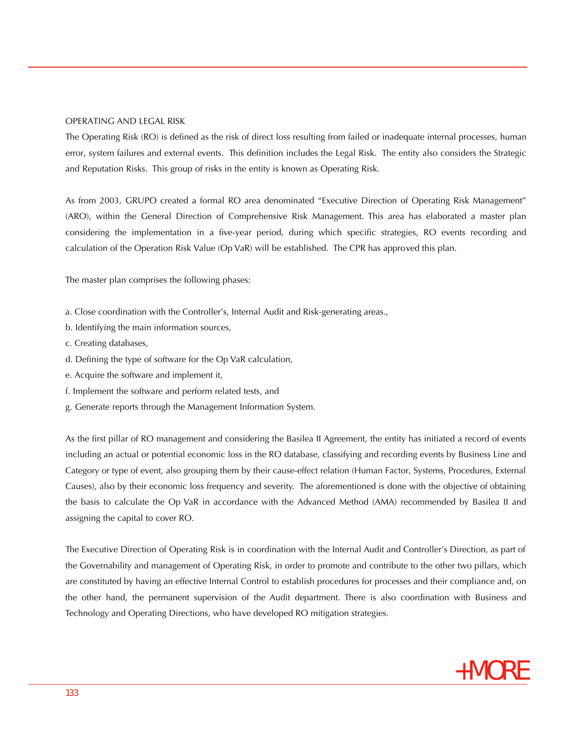#### OPERATING AND LEGAL RISK

The Operating Risk (RO) is defined as the risk of direct loss resulting from failed or inadequate internal processes, human error, system failures and external events. This definition includes the Legal Risk. The entity also considers the Strategic and Reputation Risks. This group of risks in the entity is known as Operating Risk.

As from 2003, GRUPO created a formal RO area denominated "Executive Direction of Operating Risk Management" (ARO), within the General Direction of Comprehensive Risk Management. This area has elaborated a master plan considering the implementation in a five-year period, during which specific strategies, RO events recording and calculation of the Operation Risk Value (Op VaR) will be established. The CPR has approved this plan.

The master plan comprises the following phases:

- a. Close coordination with the Controller's, Internal Audit and Risk-generating areas.,
- b. Identifying the main information sources,
- c. Creating databases,
- d. Defining the type of software for the Op VaR calculation,
- e. Acquire the software and implement it,
- f. Implement the software and perform related tests, and
- g. Generate reports through the Management Information System.

As the first pillar of RO management and considering the Basilea II Agreement, the entity has initiated a record of events including an actual or potential economic loss in the RO database, classifying and recording events by Business Line and Category or type of event, also grouping them by their cause-effect relation (Human Factor, Systems, Procedures, External Causes), also by their economic loss frequency and severity. The aforementioned is done with the objective of obtaining the basis to calculate the Op VaR in accordance with the Advanced Method (AMA) recommended by Basilea II and assigning the capital to cover RO.

The Executive Direction of Operating Risk is in coordination with the Internal Audit and Controller's Direction, as part of the Governability and management of Operating Risk, in order to promote and contribute to the other two pillars, which are constituted by having an effective Internal Control to establish procedures for processes and their compliance and, on the other hand, the permanent supervision of the Audit department. There is also coordination with Business and Technology and Operating Directions, who have developed RO mitigation strategies.

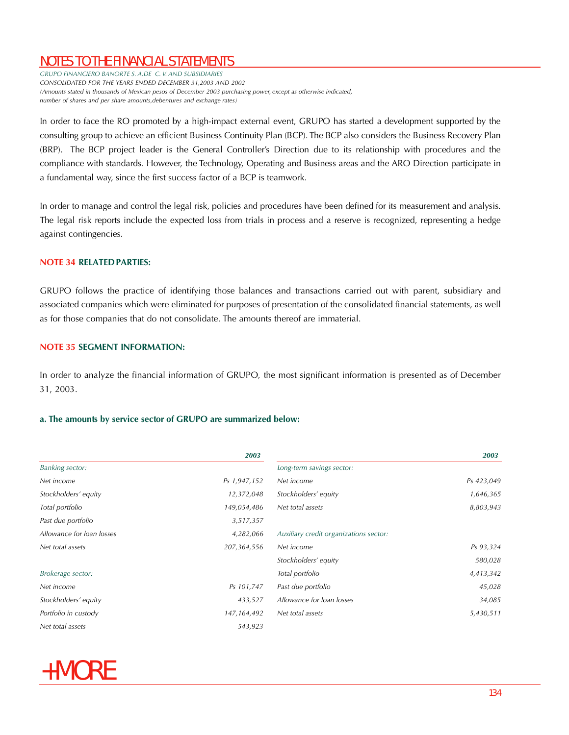*GRUPO FINANCIERO BANORTE S. A.DE C. V. AND SUBSIDIARIES CONSOLIDATED FOR THE YEARS ENDED DECEMBER 31,2003 AND 2002 (Amounts stated in thousands of Mexican pesos of December 2003 purchasing power, except as otherwise indicated, number of shares and per share amounts,debentures and exchange rates)*

In order to face the RO promoted by a high-impact external event, GRUPO has started a development supported by the consulting group to achieve an efficient Business Continuity Plan (BCP). The BCP also considers the Business Recovery Plan (BRP). The BCP project leader is the General Controller's Direction due to its relationship with procedures and the compliance with standards. However, the Technology, Operating and Business areas and the ARO Direction participate in a fundamental way, since the first success factor of a BCP is teamwork.

In order to manage and control the legal risk, policies and procedures have been defined for its measurement and analysis. The legal risk reports include the expected loss from trials in process and a reserve is recognized, representing a hedge against contingencies.

### **NOTE 34 RELATED PARTIES:**

GRUPO follows the practice of identifying those balances and transactions carried out with parent, subsidiary and associated companies which were eliminated for purposes of presentation of the consolidated financial statements, as well as for those companies that do not consolidate. The amounts thereof are immaterial.

### **NOTE 35 SEGMENT INFORMATION:**

In order to analyze the financial information of GRUPO, the most significant information is presented as of December 31, 2003.

### **a. The amounts by service sector of GRUPO are summarized below:**

|                           | 2003          |                                        | 2003       |
|---------------------------|---------------|----------------------------------------|------------|
| <b>Banking sector:</b>    |               | Long-term savings sector:              |            |
| Net income                | Ps 1,947,152  | Net income                             | Ps 423,049 |
| Stockholders' equity      | 12,372,048    | Stockholders' equity                   | 1,646,365  |
| Total portfolio           | 149,054,486   | Net total assets                       | 8,803,943  |
| Past due portfolio        | 3,517,357     |                                        |            |
| Allowance for loan losses | 4,282,066     | Auxiliary credit organizations sector: |            |
| Net total assets          | 207,364,556   | Net income                             | Ps 93,324  |
|                           |               | Stockholders' equity                   | 580,028    |
| Brokerage sector:         |               | Total portfolio                        | 4,413,342  |
| Net income                | Ps 101,747    | Past due portfolio                     | 45,028     |
| Stockholders' equity      | 433,527       | Allowance for loan losses              | 34,085     |
| Portfolio in custody      | 147, 164, 492 | Net total assets                       | 5,430,511  |
| Net total assets          | 543,923       |                                        |            |

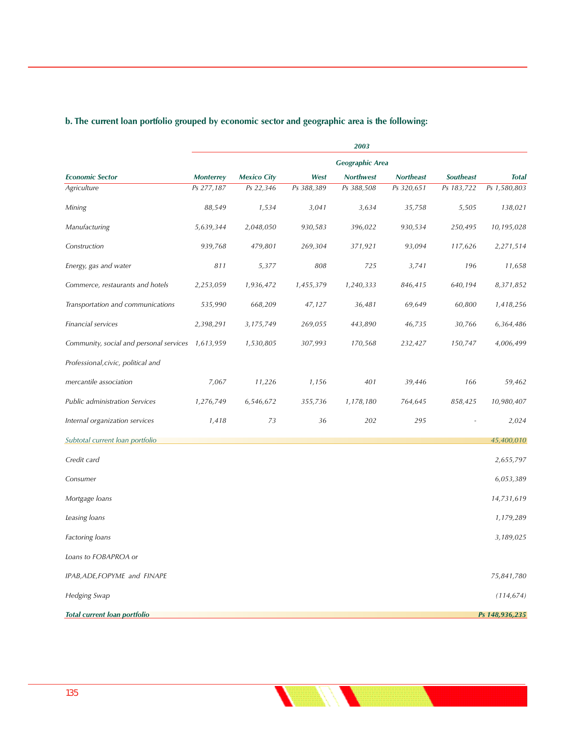|                                         |                  |                    |            | 2003                   |                  |                  |                |
|-----------------------------------------|------------------|--------------------|------------|------------------------|------------------|------------------|----------------|
|                                         |                  |                    |            | <b>Geographic Area</b> |                  |                  |                |
| <b>Economic Sector</b>                  | <b>Monterrey</b> | <b>Mexico City</b> | West       | <b>Northwest</b>       | <b>Northeast</b> | <b>Southeast</b> | <b>Total</b>   |
| Agriculture                             | Ps 277,187       | Ps 22,346          | Ps 388,389 | Ps 388,508             | Ps 320,651       | Ps 183,722       | Ps 1,580,803   |
| Mining                                  | 88,549           | 1,534              | 3,041      | 3,634                  | 35,758           | 5,505            | 138,021        |
| Manufacturing                           | 5,639,344        | 2,048,050          | 930,583    | 396,022                | 930,534          | 250,495          | 10,195,028     |
| Construction                            | 939,768          | 479,801            | 269,304    | 371,921                | 93,094           | 117,626          | 2,271,514      |
| Energy, gas and water                   | 811              | 5,377              | 808        | 725                    | 3,741            | 196              | 11,658         |
| Commerce, restaurants and hotels        | 2,253,059        | 1,936,472          | 1,455,379  | 1,240,333              | 846,415          | 640,194          | 8,371,852      |
| Transportation and communications       | 535,990          | 668,209            | 47,127     | 36,481                 | 69,649           | 60,800           | 1,418,256      |
| Financial services                      | 2,398,291        | 3,175,749          | 269,055    | 443,890                | 46,735           | 30,766           | 6,364,486      |
| Community, social and personal services | 1,613,959        | 1,530,805          | 307,993    | 170,568                | 232,427          | 150,747          | 4,006,499      |
| Professional, civic, political and      |                  |                    |            |                        |                  |                  |                |
| mercantile association                  | 7,067            | 11,226             | 1,156      | 401                    | 39,446           | 166              | 59,462         |
| Public administration Services          | 1,276,749        | 6,546,672          | 355,736    | 1,178,180              | 764,645          | 858,425          | 10,980,407     |
| Internal organization services          | 1,418            | 73                 | 36         | 202                    | 295              |                  | 2,024          |
| Subtotal current loan portfolio         |                  |                    |            |                        |                  |                  | 45,400,010     |
| Credit card                             |                  |                    |            |                        |                  |                  | 2,655,797      |
| Consumer                                |                  |                    |            |                        |                  |                  | 6,053,389      |
| Mortgage loans                          |                  |                    |            |                        |                  |                  | 14,731,619     |
| Leasing loans                           |                  |                    |            |                        |                  |                  | 1,179,289      |
| Factoring loans                         |                  |                    |            |                        |                  |                  | 3,189,025      |
| Loans to FOBAPROA or                    |                  |                    |            |                        |                  |                  |                |
| IPAB, ADE, FOPYME and FINAPE            |                  |                    |            |                        |                  |                  | 75,841,780     |
| Hedging Swap                            |                  |                    |            |                        |                  |                  | (114, 674)     |
| Total current loan portfolio            |                  |                    |            |                        |                  |                  | Ps 148,936,235 |

# **b. The current loan portfolio grouped by economic sector and geographic area is the following:**

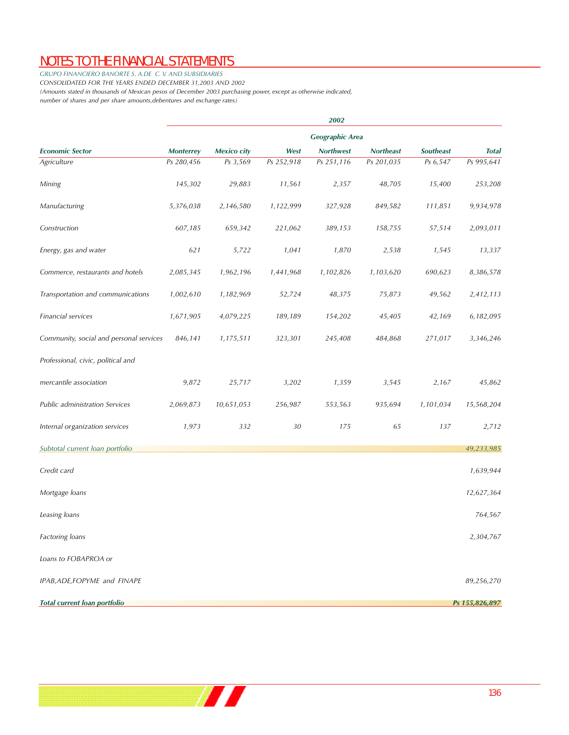*GRUPO FINANCIERO BANORTE S. A.DE C. V. AND SUBSIDIARIES CONSOLIDATED FOR THE YEARS ENDED DECEMBER 31,2003 AND 2002 (Amounts stated in thousands of Mexican pesos of December 2003 purchasing power, except as otherwise indicated, number of shares and per share amounts,debentures and exchange rates)*

|                                         | 2002             |                    |            |                  |                  |                  |                |  |
|-----------------------------------------|------------------|--------------------|------------|------------------|------------------|------------------|----------------|--|
|                                         |                  |                    |            | Geographic Area  |                  |                  |                |  |
| <b>Economic Sector</b>                  | <b>Monterrey</b> | <b>Mexico city</b> | West       | <b>Northwest</b> | <b>Northeast</b> | <b>Southeast</b> | <b>Total</b>   |  |
| Agriculture                             | Ps 280,456       | Ps 3,569           | Ps 252,918 | Ps 251,116       | Ps 201,035       | Ps 6,547         | Ps 995,641     |  |
| Mining                                  | 145,302          | 29,883             | 11,561     | 2,357            | 48,705           | 15,400           | 253,208        |  |
| Manufacturing                           | 5,376,038        | 2,146,580          | 1,122,999  | 327,928          | 849,582          | 111,851          | 9,934,978      |  |
| Construction                            | 607,185          | 659,342            | 221,062    | 389,153          | 158,755          | 57,514           | 2,093,011      |  |
| Energy, gas and water                   | 621              | 5,722              | 1,041      | 1,870            | 2,538            | 1,545            | 13,337         |  |
| Commerce, restaurants and hotels        | 2,085,345        | 1,962,196          | 1,441,968  | 1,102,826        | 1,103,620        | 690,623          | 8,386,578      |  |
| Transportation and communications       | 1,002,610        | 1,182,969          | 52,724     | 48,375           | 75,873           | 49,562           | 2,412,113      |  |
| Financial services                      | 1,671,905        | 4,079,225          | 189,189    | 154,202          | 45,405           | 42,169           | 6,182,095      |  |
| Community, social and personal services | 846,141          | 1,175,511          | 323,301    | 245,408          | 484,868          | 271,017          | 3,346,246      |  |
| Professional, civic, political and      |                  |                    |            |                  |                  |                  |                |  |
| mercantile association                  | 9,872            | 25,717             | 3,202      | 1,359            | 3,545            | 2,167            | 45,862         |  |
| Public administration Services          | 2,069,873        | 10,651,053         | 256,987    | 553,563          | 935,694          | 1,101,034        | 15,568,204     |  |
| Internal organization services          | 1,973            | 332                | 30         | 175              | 65               | 137              | 2,712          |  |
| Subtotal current loan portfolio         |                  |                    |            |                  |                  |                  | 49,233,985     |  |
| Credit card                             |                  |                    |            |                  |                  |                  | 1,639,944      |  |
| Mortgage loans                          |                  |                    |            |                  |                  |                  | 12,627,364     |  |
| Leasing loans                           |                  |                    |            |                  |                  |                  | 764,567        |  |
| Factoring loans                         |                  |                    |            |                  |                  |                  | 2,304,767      |  |
| Loans to FOBAPROA or                    |                  |                    |            |                  |                  |                  |                |  |
| IPAB, ADE, FOPYME and FINAPE            |                  |                    |            |                  |                  |                  | 89,256,270     |  |
| Total current loan portfolio            |                  |                    |            |                  |                  |                  | Ps 155,826,897 |  |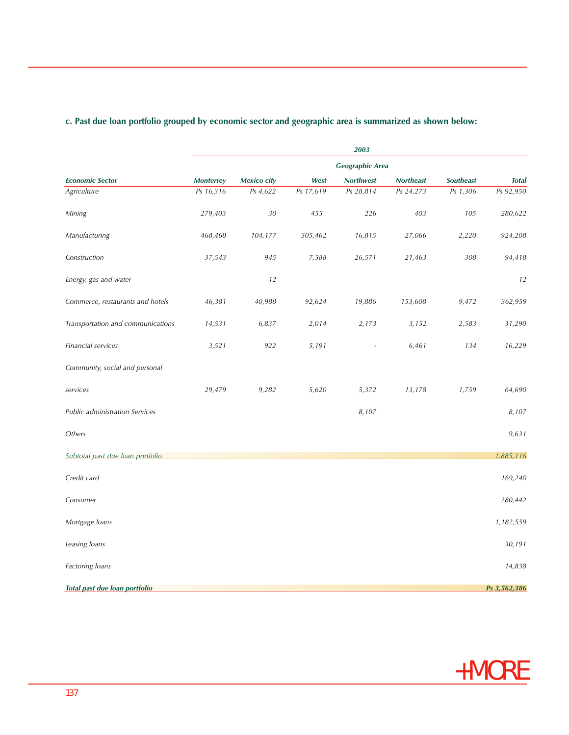|                                   | 2003             |                    |           |                  |                  |           |              |  |  |  |  |  |
|-----------------------------------|------------------|--------------------|-----------|------------------|------------------|-----------|--------------|--|--|--|--|--|
|                                   |                  | Geographic Area    |           |                  |                  |           |              |  |  |  |  |  |
| <b>Economic Sector</b>            | <b>Monterrey</b> | <b>Mexico city</b> | West      | <b>Northwest</b> | <b>Northeast</b> | Southeast | <b>Total</b> |  |  |  |  |  |
| Agriculture                       | Ps 16,316        | Ps 4,622           | Ps 17,619 | Ps 28,814        | Ps 24,273        | Ps 1,306  | Ps 92,950    |  |  |  |  |  |
| Mining                            | 279,403          | 30                 | 455       | 226              | 403              | 105       | 280,622      |  |  |  |  |  |
| Manufacturing                     | 468,468          | 104,177            | 305,462   | 16,815           | 27,066           | 2,220     | 924,208      |  |  |  |  |  |
| Construction                      | 37,543           | 945                | 7,588     | 26,571           | 21,463           | 308       | 94,418       |  |  |  |  |  |
| Energy, gas and water             |                  | 12                 |           |                  |                  |           | 12           |  |  |  |  |  |
| Commerce, restaurants and hotels  | 46,381           | 40,988             | 92,624    | 19,886           | 153,608          | 9,472     | 362,959      |  |  |  |  |  |
| Transportation and communications | 14,531           | 6,837              | 2,014     | 2,173            | 3,152            | 2,583     | 31,290       |  |  |  |  |  |
| Financial services                | 3,521            | 922                | 5,191     |                  | 6,461            | 134       | 16,229       |  |  |  |  |  |
| Community, social and personal    |                  |                    |           |                  |                  |           |              |  |  |  |  |  |
| services                          | 29,479           | 9,282              | 5,620     | 5,372            | 13,178           | 1,759     | 64,690       |  |  |  |  |  |
| Public administration Services    |                  |                    |           | 8,107            |                  |           | 8,107        |  |  |  |  |  |
| Others                            |                  |                    |           |                  |                  |           | 9,631        |  |  |  |  |  |
| Subtotal past due loan portfolio  |                  |                    |           |                  |                  |           | 1,885,116    |  |  |  |  |  |
| Credit card                       |                  |                    |           |                  |                  |           | 169,240      |  |  |  |  |  |
| Consumer                          |                  |                    |           |                  |                  |           | 280,442      |  |  |  |  |  |
| Mortgage loans                    |                  |                    |           |                  |                  |           | 1,182,559    |  |  |  |  |  |
| Leasing loans                     |                  |                    |           |                  |                  |           | 30,191       |  |  |  |  |  |
| Factoring loans                   |                  |                    |           |                  |                  |           | 14,838       |  |  |  |  |  |
| Total past due loan portfolio     |                  |                    |           |                  |                  |           | Ps 3,562,386 |  |  |  |  |  |

# **c. Past due loan portfolio grouped by economic sector and geographic area is summarized as shown below:**

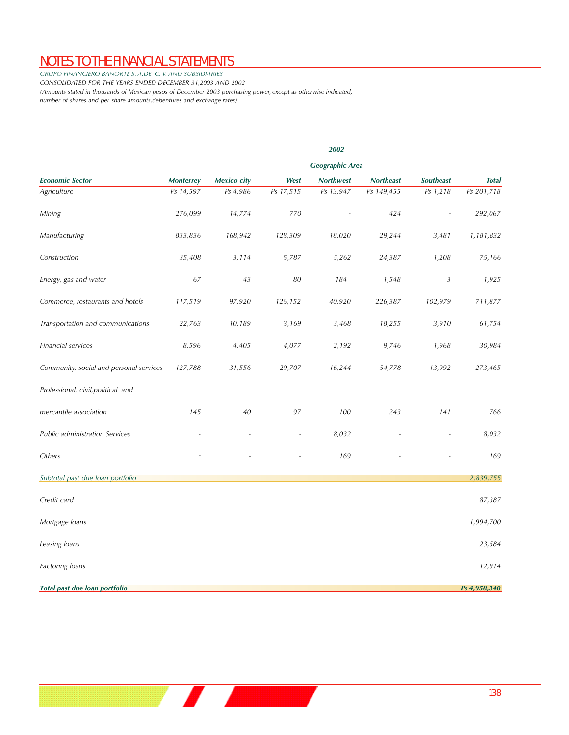*GRUPO FINANCIERO BANORTE S. A.DE C. V. AND SUBSIDIARIES CONSOLIDATED FOR THE YEARS ENDED DECEMBER 31,2003 AND 2002 (Amounts stated in thousands of Mexican pesos of December 2003 purchasing power, except as otherwise indicated, number of shares and per share amounts,debentures and exchange rates)*

|                                         | 2002             |                    |           |                        |                  |                  |              |  |  |  |
|-----------------------------------------|------------------|--------------------|-----------|------------------------|------------------|------------------|--------------|--|--|--|
|                                         |                  |                    |           | <b>Geographic Area</b> |                  |                  |              |  |  |  |
| <b>Economic Sector</b>                  | <b>Monterrey</b> | <b>Mexico city</b> | West      | <b>Northwest</b>       | <b>Northeast</b> | <b>Southeast</b> | <b>Total</b> |  |  |  |
| Agriculture                             | Ps 14,597        | Ps 4,986           | Ps 17,515 | Ps 13,947              | Ps 149,455       | Ps 1,218         | Ps 201,718   |  |  |  |
| Mining                                  | 276,099          | 14,774             | 770       |                        | 424              |                  | 292,067      |  |  |  |
| Manufacturing                           | 833,836          | 168,942            | 128,309   | 18,020                 | 29,244           | 3,481            | 1,181,832    |  |  |  |
| Construction                            | 35,408           | 3,114              | 5,787     | 5,262                  | 24,387           | 1,208            | 75,166       |  |  |  |
| Energy, gas and water                   | 67               | 43                 | 80        | 184                    | 1,548            | 3                | 1,925        |  |  |  |
| Commerce, restaurants and hotels        | 117,519          | 97,920             | 126,152   | 40,920                 | 226,387          | 102,979          | 711,877      |  |  |  |
| Transportation and communications       | 22,763           | 10,189             | 3,169     | 3,468                  | 18,255           | 3,910            | 61,754       |  |  |  |
| Financial services                      | 8,596            | 4,405              | 4,077     | 2,192                  | 9,746            | 1,968            | 30,984       |  |  |  |
| Community, social and personal services | 127,788          | 31,556             | 29,707    | 16,244                 | 54,778           | 13,992           | 273,465      |  |  |  |
| Professional, civil, political and      |                  |                    |           |                        |                  |                  |              |  |  |  |
| mercantile association                  | 145              | 40                 | 97        | 100                    | 243              | 141              | 766          |  |  |  |
| Public administration Services          |                  |                    |           | 8,032                  |                  |                  | 8,032        |  |  |  |
| Others                                  |                  |                    |           | 169                    |                  |                  | 169          |  |  |  |
| Subtotal past due loan portfolio        |                  |                    |           |                        |                  |                  | 2,839,755    |  |  |  |
| Credit card                             |                  |                    |           |                        |                  |                  | 87,387       |  |  |  |
| Mortgage loans                          |                  |                    |           |                        |                  |                  | 1,994,700    |  |  |  |
| Leasing loans                           |                  |                    |           |                        |                  |                  | 23,584       |  |  |  |
| Factoring loans                         |                  |                    |           |                        |                  |                  | 12,914       |  |  |  |
| Total past due loan portfolio           |                  |                    |           |                        |                  |                  | Ps 4,958,340 |  |  |  |

<u> The Common Second Common Second Common Second Common Second Common Second Common Second Common Second Common Second Common Second Common Second Common Second Common Second Common Second Common Second Common Second Common</u>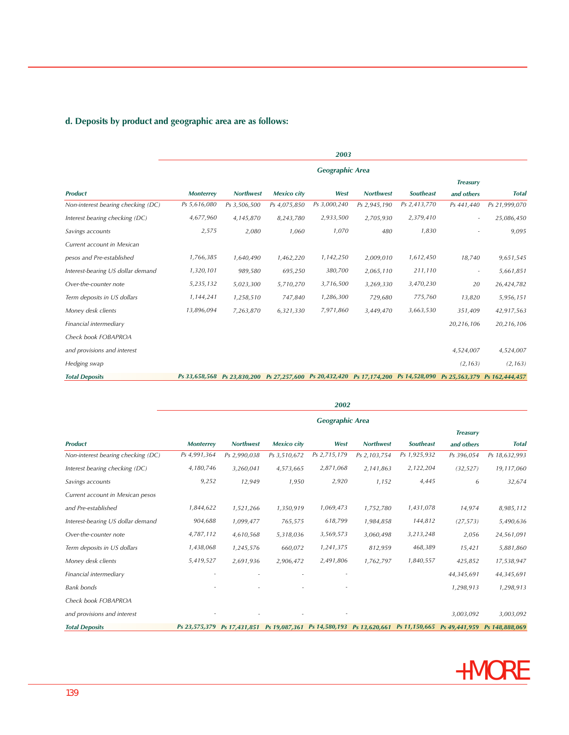# **d. Deposits by product and geographic area are as follows:**

|                                    |                  |                  |                    | 2003         |                  |                  |                 |                                                                                                                  |
|------------------------------------|------------------|------------------|--------------------|--------------|------------------|------------------|-----------------|------------------------------------------------------------------------------------------------------------------|
|                                    | Geographic Area  |                  |                    |              |                  |                  |                 |                                                                                                                  |
|                                    |                  |                  |                    |              |                  |                  | <b>Treasury</b> |                                                                                                                  |
| <b>Product</b>                     | <b>Monterrey</b> | <b>Northwest</b> | <b>Mexico city</b> | West         | <b>Northwest</b> | <b>Southeast</b> | and others      | <b>Total</b>                                                                                                     |
| Non-interest bearing checking (DC) | Ps 5,616,080     | Ps 3,506,500     | Ps 4,075,850       | Ps 3,000,240 | Ps 2,945,190     | Ps 2,413,770     | Ps 441,440      | Ps 21,999,070                                                                                                    |
| Interest bearing checking (DC)     | 4,677,960        | 4,145,870        | 8,243,780          | 2,933,500    | 2,705,930        | 2,379,410        |                 | 25,086,450                                                                                                       |
| Savings accounts                   | 2,575            | 2,080            | 1,060              | 1,070        | 480              | 1,830            |                 | 9,095                                                                                                            |
| Current account in Mexican         |                  |                  |                    |              |                  |                  |                 |                                                                                                                  |
| pesos and Pre-established          | 1,766,385        | 1,640,490        | 1,462,220          | 1,142,250    | 2,009,010        | 1,612,450        | 18,740          | 9,651,545                                                                                                        |
| Interest-bearing US dollar demand  | 1,320,101        | 989,580          | 695,250            | 380,700      | 2,065,110        | 211,110          |                 | 5,661,851                                                                                                        |
| Over-the-counter note              | 5,235,132        | 5,023,300        | 5,710,270          | 3,716,500    | 3,269,330        | 3,470,230        | 20              | 26,424,782                                                                                                       |
| Term deposits in US dollars        | 1,144,241        | 1,258,510        | 747,840            | 1,286,300    | 729,680          | 775,760          | 13,820          | 5,956,151                                                                                                        |
| Money desk clients                 | 13,896,094       | 7,263,870        | 6,321,330          | 7,971,860    | 3,449,470        | 3,663,530        | 351,409         | 42,917,563                                                                                                       |
| Financial intermediary             |                  |                  |                    |              |                  |                  | 20,216,106      | 20,216,106                                                                                                       |
| Check book FOBAPROA                |                  |                  |                    |              |                  |                  |                 |                                                                                                                  |
| and provisions and interest        |                  |                  |                    |              |                  |                  | 4,524,007       | 4,524,007                                                                                                        |
| Hedging swap                       |                  |                  |                    |              |                  |                  | (2, 163)        | (2, 163)                                                                                                         |
| <b>Total Deposits</b>              |                  |                  |                    |              |                  |                  |                 | Ps 33,658,568 Ps 23,830,200 Ps 27,257,600 Ps 20,432,420 Ps 17,174,200 Ps 14,528,090 Ps 25,563,379 Ps 162,444,457 |

|                                    |                        |                  |                                                         | 2002         |                  |                  |                 |                |  |
|------------------------------------|------------------------|------------------|---------------------------------------------------------|--------------|------------------|------------------|-----------------|----------------|--|
|                                    | <b>Geographic Area</b> |                  |                                                         |              |                  |                  |                 |                |  |
|                                    |                        |                  |                                                         |              |                  |                  | <b>Treasury</b> |                |  |
| <b>Product</b>                     | <b>Monterrey</b>       | <b>Northwest</b> | <b>Mexico city</b>                                      | West         | <b>Northwest</b> | <b>Southeast</b> | and others      | <b>Total</b>   |  |
| Non-interest bearing checking (DC) | Ps 4,991,364           | Ps 2,990,038     | Ps 3,510,672                                            | Ps 2,715,179 | Ps 2,103,754     | Ps 1,925,932     | Ps 396,054      | Ps 18,632,993  |  |
| Interest bearing checking (DC)     | 4,180,746              | 3,260,041        | 4,573,665                                               | 2,871,068    | 2,141,863        | 2,122,204        | (32, 527)       | 19,117,060     |  |
| Savings accounts                   | 9,252                  | 12,949           | 1,950                                                   | 2,920        | 1,152            | 4,445            | 6               | 32,674         |  |
| Current account in Mexican pesos   |                        |                  |                                                         |              |                  |                  |                 |                |  |
| and Pre-established                | 1,844,622              | 1,521,266        | 1,350,919                                               | 1,069,473    | 1,752,780        | 1,431,078        | 14,974          | 8,985,112      |  |
| Interest-bearing US dollar demand  | 904,688                | 1,099,477        | 765,575                                                 | 618,799      | 1,984,858        | 144,812          | (27, 573)       | 5,490,636      |  |
| Over-the-counter note              | 4,787,112              | 4,610,568        | 5,318,036                                               | 3,569,573    | 3,060,498        | 3,213,248        | 2,056           | 24,561,091     |  |
| Term deposits in US dollars        | 1,438,068              | 1,245,576        | 660,072                                                 | 1,241,375    | 812,959          | 468,389          | 15,421          | 5,881,860      |  |
| Money desk clients                 | 5,419,527              | 2,691,936        | 2,906,472                                               | 2,491,806    | 1,762,797        | 1,840,557        | 425,852         | 17,538,947     |  |
| Financial intermediary             |                        |                  |                                                         |              |                  |                  | 44,345,691      | 44,345,691     |  |
| <b>Bank</b> bonds                  |                        |                  |                                                         |              |                  |                  | 1,298,913       | 1,298,913      |  |
| Check book FOBAPROA                |                        |                  |                                                         |              |                  |                  |                 |                |  |
| and provisions and interest        |                        |                  | $\overline{a}$                                          |              |                  |                  | 3,003,092       | 3,003,092      |  |
| <b>Total Deposits</b>              | Ps 23,575,379          |                  | Ps 17,431,851 Ps 19,087,361 Ps 14,580,193 Ps 13,620,661 |              |                  | Ps 11,150,665    | Ps 49,441,959   | Ps 148,888,069 |  |